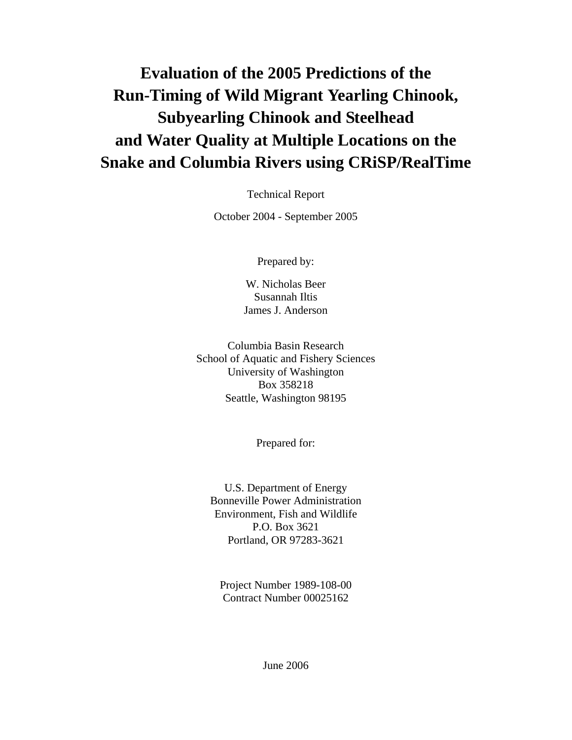# **Evaluation of the 2005 Predictions of the Run-Timing of Wild Migrant Yearling Chinook, Subyearling Chinook and Steelhead and Water Quality at Multiple Locations on the Snake and Columbia Rivers using CRiSP/RealTime**

Technical Report

October 2004 - September 2005

Prepared by:

W. Nicholas Beer Susannah Iltis James J. Anderson

Columbia Basin Research School of Aquatic and Fishery Sciences University of Washington Box 358218 Seattle, Washington 98195

Prepared for:

U.S. Department of Energy Bonneville Power Administration Environment, Fish and Wildlife P.O. Box 3621 Portland, OR 97283-3621

Project Number 1989-108-00 Contract Number 00025162

June 2006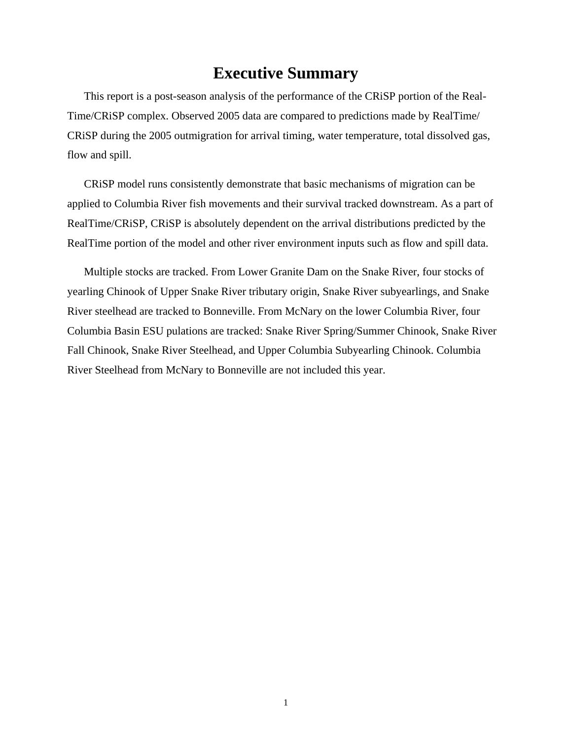## **Executive Summary**

<span id="page-1-0"></span>This report is a post-season analysis of the performance of the CRiSP portion of the Real-Time/CRiSP complex. Observed 2005 data are compared to predictions made by RealTime/ CRiSP during the 2005 outmigration for arrival timing, water temperature, total dissolved gas, flow and spill.

CRiSP model runs consistently demonstrate that basic mechanisms of migration can be applied to Columbia River fish movements and their survival tracked downstream. As a part of RealTime/CRiSP, CRiSP is absolutely dependent on the arrival distributions predicted by the RealTime portion of the model and other river environment inputs such as flow and spill data.

Multiple stocks are tracked. From Lower Granite Dam on the Snake River, four stocks of yearling Chinook of Upper Snake River tributary origin, Snake River subyearlings, and Snake River steelhead are tracked to Bonneville. From McNary on the lower Columbia River, four Columbia Basin ESU pulations are tracked: Snake River Spring/Summer Chinook, Snake River Fall Chinook, Snake River Steelhead, and Upper Columbia Subyearling Chinook. Columbia River Steelhead from McNary to Bonneville are not included this year.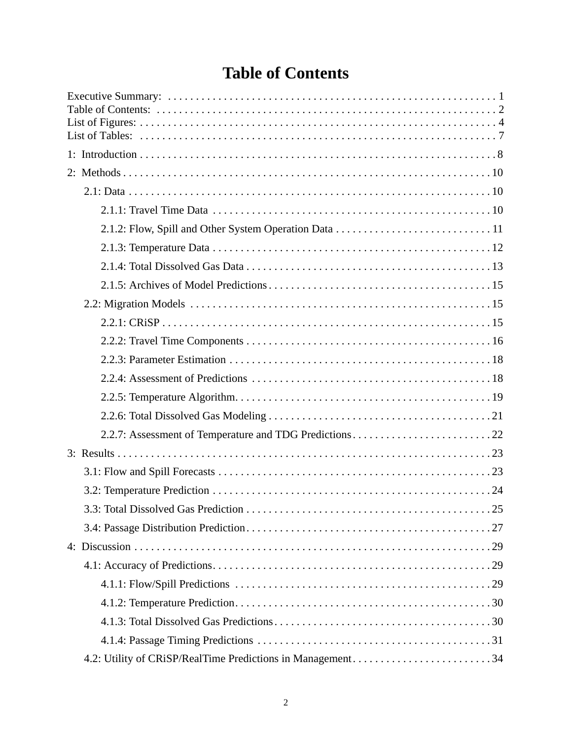# **Table of Contents**

<span id="page-2-0"></span>

| 4.2: Utility of CRiSP/RealTime Predictions in Management34 |
|------------------------------------------------------------|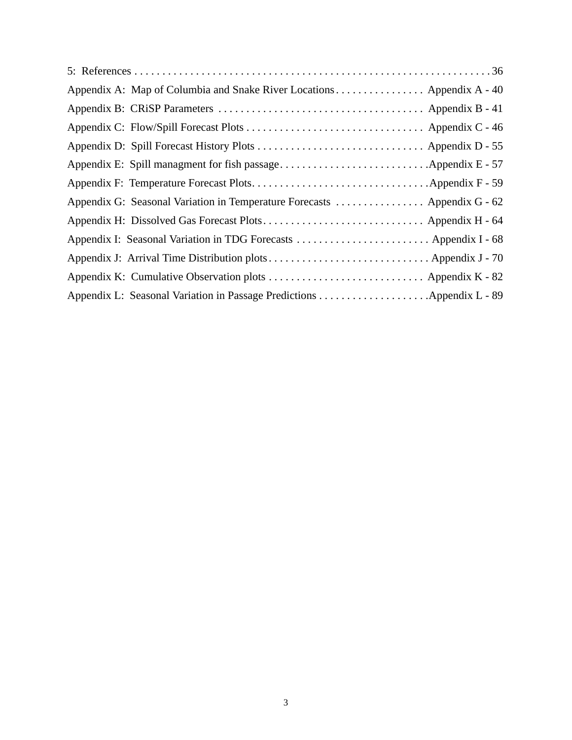| Appendix A: Map of Columbia and Snake River Locations Appendix A - 40    |  |
|--------------------------------------------------------------------------|--|
|                                                                          |  |
|                                                                          |  |
|                                                                          |  |
|                                                                          |  |
|                                                                          |  |
| Appendix G: Seasonal Variation in Temperature Forecasts  Appendix G - 62 |  |
|                                                                          |  |
| Appendix I: Seasonal Variation in TDG Forecasts  Appendix I - 68         |  |
|                                                                          |  |
|                                                                          |  |
|                                                                          |  |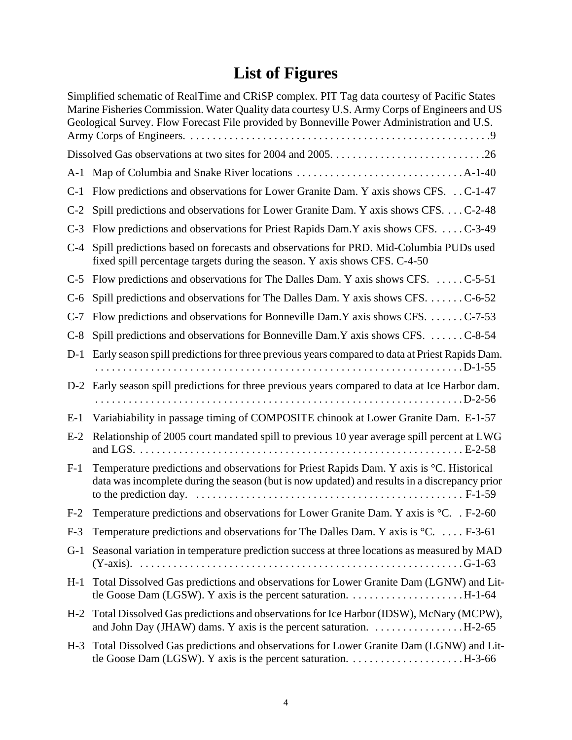# **[List of Figures](#page-40-1)**

<span id="page-4-0"></span>

| Simplified schematic of RealTime and CRiSP complex. PIT Tag data courtesy of Pacific States<br>Marine Fisheries Commission. Water Quality data courtesy U.S. Army Corps of Engineers and US<br>Geological Survey. Flow Forecast File provided by Bonneville Power Administration and U.S. |
|-------------------------------------------------------------------------------------------------------------------------------------------------------------------------------------------------------------------------------------------------------------------------------------------|
|                                                                                                                                                                                                                                                                                           |
|                                                                                                                                                                                                                                                                                           |
| C-1 Flow predictions and observations for Lower Granite Dam. Y axis shows CFS. C-1-47                                                                                                                                                                                                     |
| Spill predictions and observations for Lower Granite Dam. Y axis shows CFS. C-2-48                                                                                                                                                                                                        |
| Flow predictions and observations for Priest Rapids Dam.Y axis shows CFS.  C-3-49                                                                                                                                                                                                         |
| Spill predictions based on forecasts and observations for PRD. Mid-Columbia PUDs used<br>fixed spill percentage targets during the season. Y axis shows CFS. C-4-50                                                                                                                       |
| C-5 Flow predictions and observations for The Dalles Dam. Y axis shows CFS. C-5-51                                                                                                                                                                                                        |
| Spill predictions and observations for The Dalles Dam. Y axis shows CFS. C-6-52                                                                                                                                                                                                           |
| Flow predictions and observations for Bonneville Dam.Y axis shows CFS. C-7-53                                                                                                                                                                                                             |
| Spill predictions and observations for Bonneville Dam.Y axis shows CFS. C-8-54                                                                                                                                                                                                            |
| Early season spill predictions for three previous years compared to data at Priest Rapids Dam.                                                                                                                                                                                            |
| D-2 Early season spill predictions for three previous years compared to data at Ice Harbor dam.                                                                                                                                                                                           |
| Variabiability in passage timing of COMPOSITE chinook at Lower Granite Dam. E-1-57                                                                                                                                                                                                        |
| Relationship of 2005 court mandated spill to previous 10 year average spill percent at LWG                                                                                                                                                                                                |
| Temperature predictions and observations for Priest Rapids Dam. Y axis is °C. Historical<br>data was incomplete during the season (but is now updated) and results in a discrepancy prior                                                                                                 |
| Temperature predictions and observations for Lower Granite Dam. Y axis is °C. F-2-60                                                                                                                                                                                                      |
| Temperature predictions and observations for The Dalles Dam. Y axis is ${}^{\circ}C. \dots$ F-3-61                                                                                                                                                                                        |
| Seasonal variation in temperature prediction success at three locations as measured by MAD                                                                                                                                                                                                |
| Total Dissolved Gas predictions and observations for Lower Granite Dam (LGNW) and Lit-                                                                                                                                                                                                    |
| H-2 Total Dissolved Gas predictions and observations for Ice Harbor (IDSW), McNary (MCPW),<br>and John Day (JHAW) dams. Y axis is the percent saturation. $\dots \dots \dots \dots \dots$ . H-2-65                                                                                        |
| H-3 Total Dissolved Gas predictions and observations for Lower Granite Dam (LGNW) and Lit-                                                                                                                                                                                                |
|                                                                                                                                                                                                                                                                                           |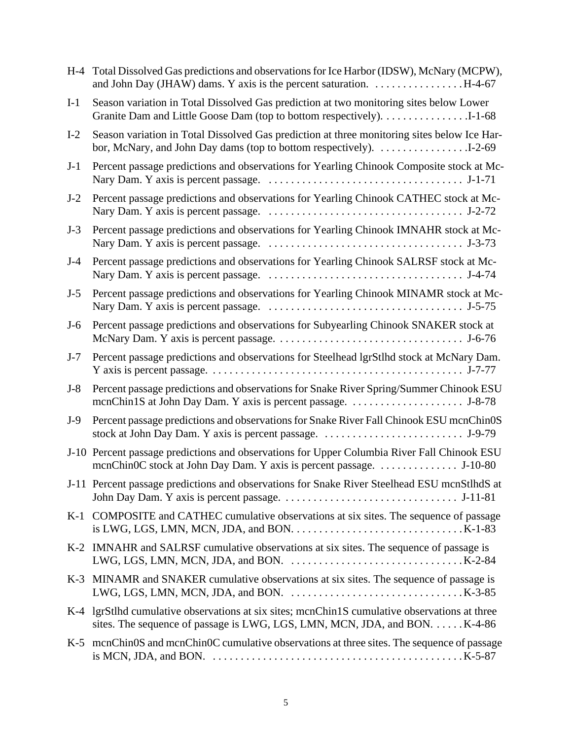| $H-4$ | Total Dissolved Gas predictions and observations for Ice Harbor (IDSW), McNary (MCPW),                                                                                                                                    |
|-------|---------------------------------------------------------------------------------------------------------------------------------------------------------------------------------------------------------------------------|
| $I-1$ | Season variation in Total Dissolved Gas prediction at two monitoring sites below Lower<br>Granite Dam and Little Goose Dam (top to bottom respectively). 1-1-68                                                           |
| $I-2$ | Season variation in Total Dissolved Gas prediction at three monitoring sites below Ice Har-                                                                                                                               |
| $J-1$ | Percent passage predictions and observations for Yearling Chinook Composite stock at Mc-                                                                                                                                  |
| $J-2$ | Percent passage predictions and observations for Yearling Chinook CATHEC stock at Mc-                                                                                                                                     |
| $J-3$ | Percent passage predictions and observations for Yearling Chinook IMNAHR stock at Mc-                                                                                                                                     |
| $J-4$ | Percent passage predictions and observations for Yearling Chinook SALRSF stock at Mc-                                                                                                                                     |
| $J-5$ | Percent passage predictions and observations for Yearling Chinook MINAMR stock at Mc-                                                                                                                                     |
| $J-6$ | Percent passage predictions and observations for Subyearling Chinook SNAKER stock at                                                                                                                                      |
| $J-7$ | Percent passage predictions and observations for Steelhead lgrStlhd stock at McNary Dam.                                                                                                                                  |
| $J-8$ | Percent passage predictions and observations for Snake River Spring/Summer Chinook ESU                                                                                                                                    |
| $J-9$ | Percent passage predictions and observations for Snake River Fall Chinook ESU mcnChinOS                                                                                                                                   |
|       | J-10 Percent passage predictions and observations for Upper Columbia River Fall Chinook ESU                                                                                                                               |
|       | J-11 Percent passage predictions and observations for Snake River Steelhead ESU mcnStlhdS at                                                                                                                              |
|       | K-1 COMPOSITE and CATHEC cumulative observations at six sites. The sequence of passage<br>is LWG, LGS, LMN, MCN, JDA, and BON. $\dots \dots \dots \dots \dots \dots \dots \dots \dots \dots \dots$ K-1-83                 |
|       | K-2 IMNAHR and SALRSF cumulative observations at six sites. The sequence of passage is<br>LWG, LGS, LMN, MCN, JDA, and BON. $\dots \dots \dots \dots \dots \dots \dots \dots \dots \dots$ K-2-84                          |
|       | K-3 MINAMR and SNAKER cumulative observations at six sites. The sequence of passage is<br>LWG, LGS, LMN, MCN, JDA, and BON. $\dots\dots\dots\dots\dots\dots\dots\dots\dots\dotsK-3-85$                                    |
|       | K-4 lgrStlhd cumulative observations at six sites; mcnChin1S cumulative observations at three<br>sites. The sequence of passage is LWG, LGS, LMN, MCN, JDA, and BON. K-4-86                                               |
|       | K-5 mcnChin0S and mcnChin0C cumulative observations at three sites. The sequence of passage<br>is MCN, JDA, and BON. $\dots \dots \dots \dots \dots \dots \dots \dots \dots \dots \dots \dots \dots \dots \dots$ . K-5-87 |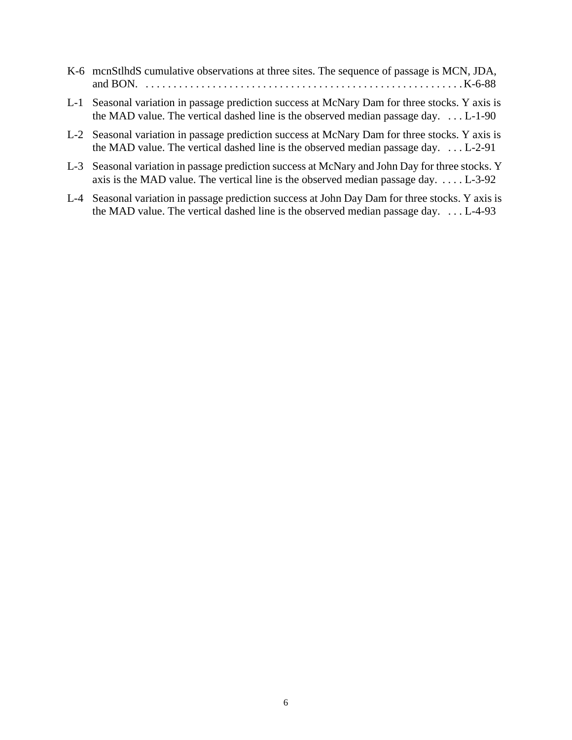| K-6 mcnStlhdS cumulative observations at three sites. The sequence of passage is MCN, JDA,                                                                                                   |
|----------------------------------------------------------------------------------------------------------------------------------------------------------------------------------------------|
|                                                                                                                                                                                              |
| L-1 Seasonal variation in passage prediction success at McNary Dam for three stocks. Y axis is<br>the MAD value. The vertical dashed line is the observed median passage day. $\dots$ L-1-90 |
| $\mathbf{r} \cdot \mathbf{a} = \mathbf{u} \cdot \mathbf{v} + \mathbf{v}$ . The contract $\mathbf{r} \cdot \mathbf{u} = \mathbf{v} \cdot \mathbf{v}$                                          |

- [L-2 Seasonal variation in passage prediction success at McNary Dam for three stocks. Y axis is](#page-91-0)  the MAD value. The vertical dashed line is the observed median passage day. . . . L-2-91
- [L-3 Seasonal variation in passage prediction success at McNary and John Day for three stocks. Y](#page-92-0)  axis is the MAD value. The vertical line is the observed median passage day.  $\dots$  L-3-92
- [L-4 Seasonal variation in passage prediction success at John Day Dam for three stocks. Y axis is](#page-93-0)  the MAD value. The vertical dashed line is the observed median passage day. . . . L-4-93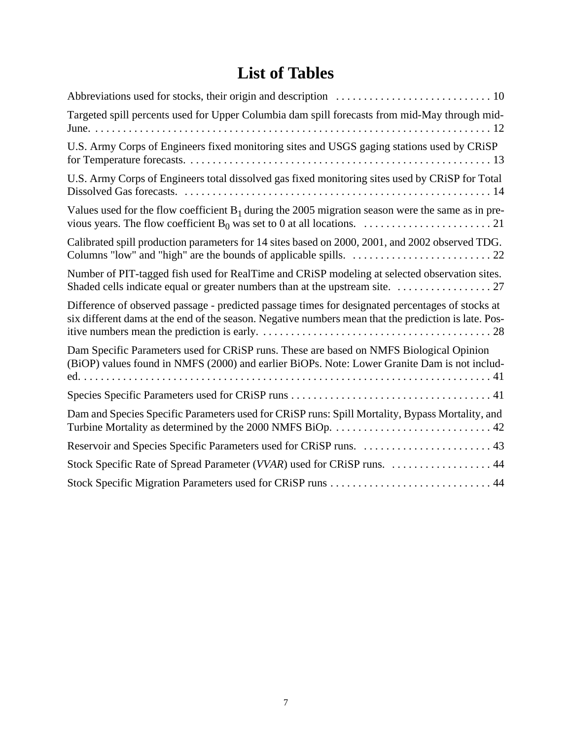# **List of Tables**

<span id="page-7-0"></span>

| Targeted spill percents used for Upper Columbia dam spill forecasts from mid-May through mid-                                                                                                            |
|----------------------------------------------------------------------------------------------------------------------------------------------------------------------------------------------------------|
| U.S. Army Corps of Engineers fixed monitoring sites and USGS gaging stations used by CRiSP                                                                                                               |
| U.S. Army Corps of Engineers total dissolved gas fixed monitoring sites used by CRiSP for Total                                                                                                          |
| Values used for the flow coefficient $B_1$ during the 2005 migration season were the same as in pre-                                                                                                     |
| Calibrated spill production parameters for 14 sites based on 2000, 2001, and 2002 observed TDG.                                                                                                          |
| Number of PIT-tagged fish used for RealTime and CRiSP modeling at selected observation sites.                                                                                                            |
| Difference of observed passage - predicted passage times for designated percentages of stocks at<br>six different dams at the end of the season. Negative numbers mean that the prediction is late. Pos- |
| Dam Specific Parameters used for CRiSP runs. These are based on NMFS Biological Opinion<br>(BiOP) values found in NMFS (2000) and earlier BiOPs. Note: Lower Granite Dam is not includ-                  |
|                                                                                                                                                                                                          |
| Dam and Species Specific Parameters used for CRiSP runs: Spill Mortality, Bypass Mortality, and                                                                                                          |
| Reservoir and Species Specific Parameters used for CRiSP runs.  43                                                                                                                                       |
| Stock Specific Rate of Spread Parameter (VVAR) used for CRiSP runs.  44                                                                                                                                  |
|                                                                                                                                                                                                          |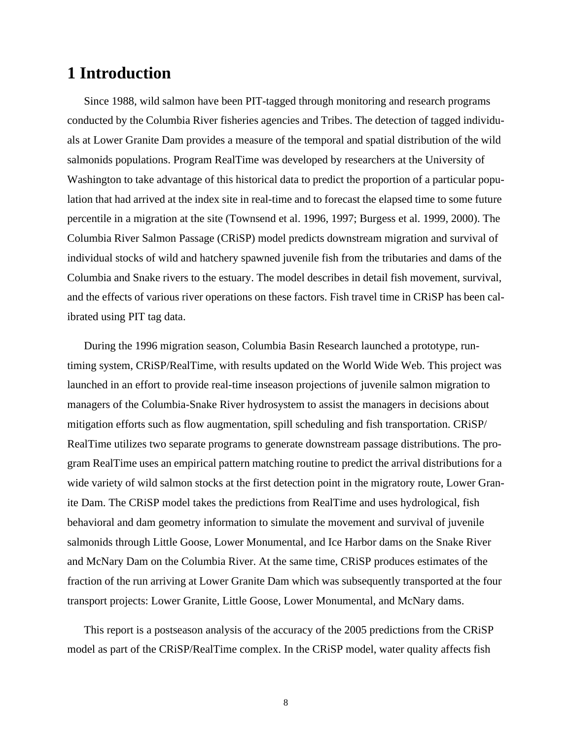## <span id="page-8-0"></span>**1 Introduction**

Since 1988, wild salmon have been PIT-tagged through monitoring and research programs conducted by the Columbia River fisheries agencies and Tribes. The detection of tagged individuals at Lower Granite Dam provides a measure of the temporal and spatial distribution of the wild salmonids populations. Program RealTime was developed by researchers at the University of Washington to take advantage of this historical data to predict the proportion of a particular population that had arrived at the index site in real-time and to forecast the elapsed time to some future percentile in a migration at the site (Townsend et al. 1996, 1997; Burgess et al. 1999, 2000). The Columbia River Salmon Passage (CRiSP) model predicts downstream migration and survival of individual stocks of wild and hatchery spawned juvenile fish from the tributaries and dams of the Columbia and Snake rivers to the estuary. The model describes in detail fish movement, survival, and the effects of various river operations on these factors. Fish travel time in CRiSP has been calibrated using PIT tag data.

During the 1996 migration season, Columbia Basin Research launched a prototype, runtiming system, CRiSP/RealTime, with results updated on the World Wide Web. This project was launched in an effort to provide real-time inseason projections of juvenile salmon migration to managers of the Columbia-Snake River hydrosystem to assist the managers in decisions about mitigation efforts such as flow augmentation, spill scheduling and fish transportation. CRiSP/ RealTime utilizes two separate programs to generate downstream passage distributions. The program RealTime uses an empirical pattern matching routine to predict the arrival distributions for a wide variety of wild salmon stocks at the first detection point in the migratory route, Lower Granite Dam. The CRiSP model takes the predictions from RealTime and uses hydrological, fish behavioral and dam geometry information to simulate the movement and survival of juvenile salmonids through Little Goose, Lower Monumental, and Ice Harbor dams on the Snake River and McNary Dam on the Columbia River. At the same time, CRiSP produces estimates of the fraction of the run arriving at Lower Granite Dam which was subsequently transported at the four transport projects: Lower Granite, Little Goose, Lower Monumental, and McNary dams.

This report is a postseason analysis of the accuracy of the 2005 predictions from the CRiSP model as part of the CRiSP/RealTime complex. In the CRiSP model, water quality affects fish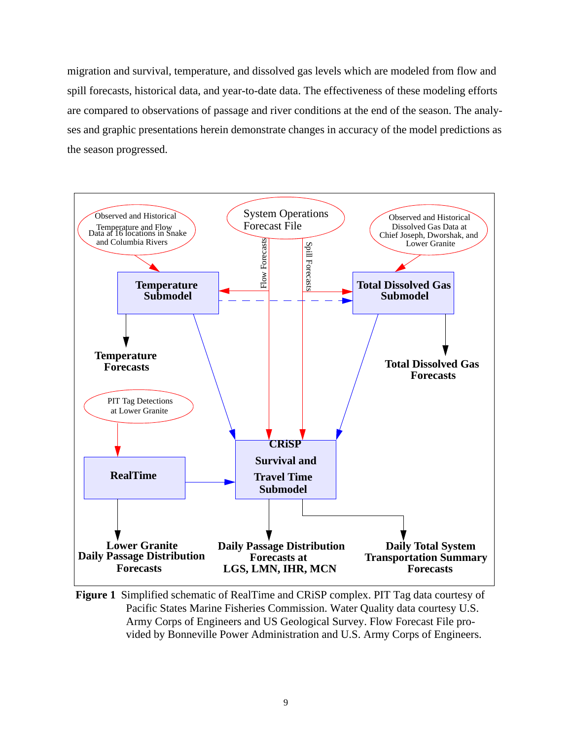migration and survival, temperature, and dissolved gas levels which are modeled from flow and spill forecasts, historical data, and year-to-date data. The effectiveness of these modeling efforts are compared to observations of passage and river conditions at the end of the season. The analyses and graphic presentations herein demonstrate changes in accuracy of the model predictions as the season progressed.



<span id="page-9-0"></span>**Figure 1** Simplified schematic of RealTime and CRiSP complex. PIT Tag data courtesy of Pacific States Marine Fisheries Commission. Water Quality data courtesy U.S. Army Corps of Engineers and US Geological Survey. Flow Forecast File provided by Bonneville Power Administration and U.S. Army Corps of Engineers.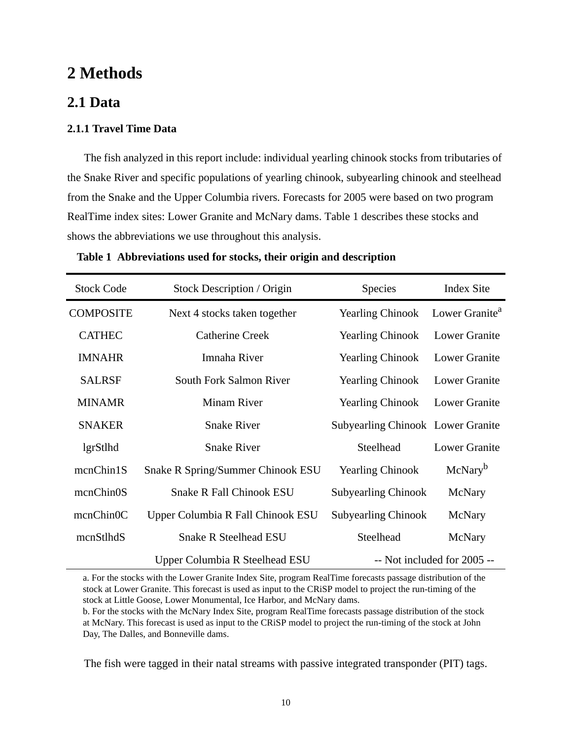## <span id="page-10-0"></span>**2 Methods**

## <span id="page-10-1"></span>**2.1 Data**

#### <span id="page-10-2"></span>**2.1.1 Travel Time Data**

The fish analyzed in this report include: individual yearling chinook stocks from tributaries of the Snake River and specific populations of yearling chinook, subyearling chinook and steelhead from the Snake and the Upper Columbia rivers. Forecasts for 2005 were based on two program RealTime index sites: Lower Granite and McNary dams. [Table 1](#page-10-3) describes these stocks and shows the abbreviations we use throughout this analysis.

| <b>Stock Code</b> | Stock Description / Origin                                    | Species                                  | <b>Index Site</b>          |
|-------------------|---------------------------------------------------------------|------------------------------------------|----------------------------|
| <b>COMPOSITE</b>  | <b>Yearling Chinook</b><br>Next 4 stocks taken together       |                                          | Lower Granite <sup>a</sup> |
| <b>CATHEC</b>     | <b>Catherine Creek</b>                                        | <b>Yearling Chinook</b>                  | Lower Granite              |
| <b>IMNAHR</b>     | Imnaha River<br><b>Yearling Chinook</b>                       |                                          | Lower Granite              |
| <b>SALRSF</b>     | South Fork Salmon River<br><b>Yearling Chinook</b>            |                                          | Lower Granite              |
| <b>MINAMR</b>     | <b>Minam River</b>                                            | <b>Yearling Chinook</b>                  | Lower Granite              |
| <b>SNAKER</b>     | <b>Snake River</b>                                            | <b>Subyearling Chinook Lower Granite</b> |                            |
| lgrStlhd          | <b>Snake River</b>                                            | Steelhead                                | <b>Lower Granite</b>       |
| mcnChin1S         | Snake R Spring/Summer Chinook ESU                             | <b>Yearling Chinook</b>                  | McNary <sup>b</sup>        |
| mcnChin0S         | <b>Snake R Fall Chinook ESU</b>                               | <b>Subyearling Chinook</b>               | McNary                     |
| mcnChin0C         | Upper Columbia R Fall Chinook ESU                             | <b>Subyearling Chinook</b>               | McNary                     |
| mcnStlhdS         | <b>Snake R Steelhead ESU</b>                                  | Steelhead                                | McNary                     |
|                   | -- Not included for 2005 --<br>Upper Columbia R Steelhead ESU |                                          |                            |

<span id="page-10-3"></span>**Table 1 Abbreviations used for stocks, their origin and description**

a. For the stocks with the Lower Granite Index Site, program RealTime forecasts passage distribution of the stock at Lower Granite. This forecast is used as input to the CRiSP model to project the run-timing of the stock at Little Goose, Lower Monumental, Ice Harbor, and McNary dams.

b. For the stocks with the McNary Index Site, program RealTime forecasts passage distribution of the stock at McNary. This forecast is used as input to the CRiSP model to project the run-timing of the stock at John Day, The Dalles, and Bonneville dams.

The fish were tagged in their natal streams with passive integrated transponder (PIT) tags.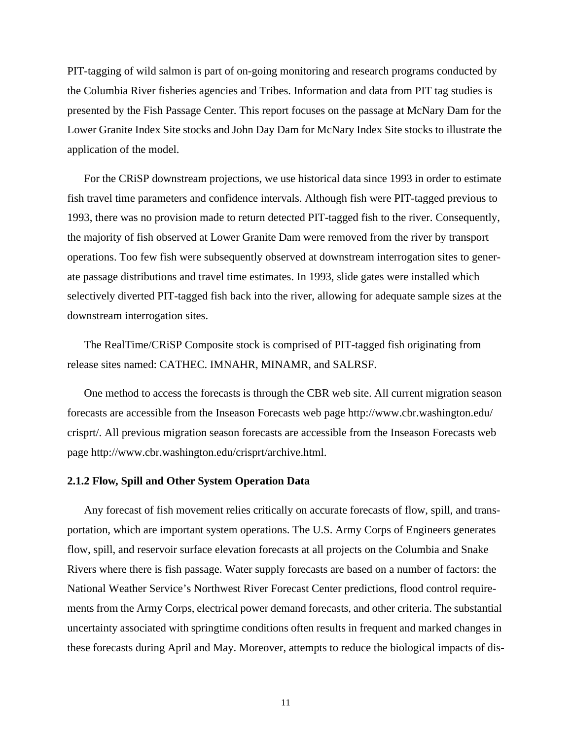PIT-tagging of wild salmon is part of on-going monitoring and research programs conducted by the Columbia River fisheries agencies and Tribes. Information and data from PIT tag studies is presented by the Fish Passage Center. This report focuses on the passage at McNary Dam for the Lower Granite Index Site stocks and John Day Dam for McNary Index Site stocks to illustrate the application of the model.

For the CRiSP downstream projections, we use historical data since 1993 in order to estimate fish travel time parameters and confidence intervals. Although fish were PIT-tagged previous to 1993, there was no provision made to return detected PIT-tagged fish to the river. Consequently, the majority of fish observed at Lower Granite Dam were removed from the river by transport operations. Too few fish were subsequently observed at downstream interrogation sites to generate passage distributions and travel time estimates. In 1993, slide gates were installed which selectively diverted PIT-tagged fish back into the river, allowing for adequate sample sizes at the downstream interrogation sites.

The RealTime/CRiSP Composite stock is comprised of PIT-tagged fish originating from release sites named: CATHEC. IMNAHR, MINAMR, and SALRSF.

One method to access the forecasts is through the CBR web site. All current migration season forecasts are accessible from the Inseason Forecasts web page http://www.cbr.washington.edu/ crisprt/. All previous migration season forecasts are accessible from the Inseason Forecasts web page http://www.cbr.washington.edu/crisprt/archive.html.

#### <span id="page-11-0"></span>**2.1.2 Flow, Spill and Other System Operation Data**

Any forecast of fish movement relies critically on accurate forecasts of flow, spill, and transportation, which are important system operations. The U.S. Army Corps of Engineers generates flow, spill, and reservoir surface elevation forecasts at all projects on the Columbia and Snake Rivers where there is fish passage. Water supply forecasts are based on a number of factors: the National Weather Service's Northwest River Forecast Center predictions, flood control requirements from the Army Corps, electrical power demand forecasts, and other criteria. The substantial uncertainty associated with springtime conditions often results in frequent and marked changes in these forecasts during April and May. Moreover, attempts to reduce the biological impacts of dis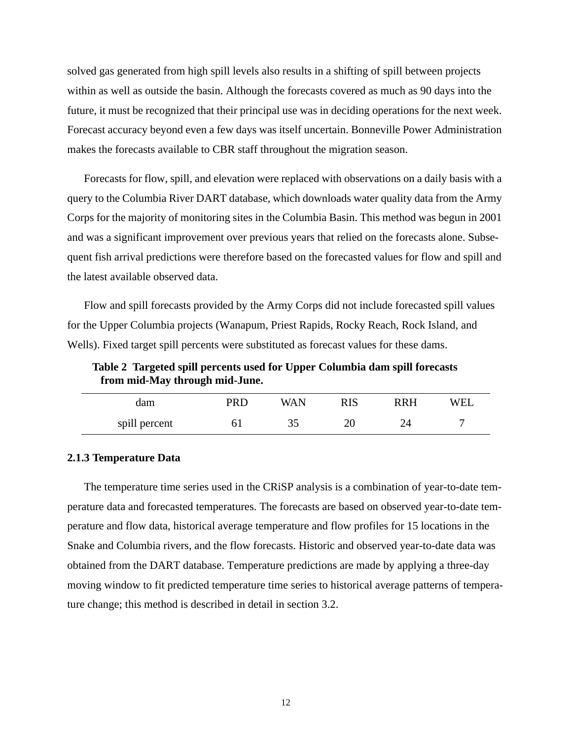solved gas generated from high spill levels also results in a shifting of spill between projects within as well as outside the basin. Although the forecasts covered as much as 90 days into the future, it must be recognized that their principal use was in deciding operations for the next week. Forecast accuracy beyond even a few days was itself uncertain. Bonneville Power Administration makes the forecasts available to CBR staff throughout the migration season.

Forecasts for flow, spill, and elevation were replaced with observations on a daily basis with a query to the Columbia River DART database, which downloads water quality data from the Army Corps for the majority of monitoring sites in the Columbia Basin. This method was begun in 2001 and was a significant improvement over previous years that relied on the forecasts alone. Subsequent fish arrival predictions were therefore based on the forecasted values for flow and spill and the latest available observed data.

Flow and spill forecasts provided by the Army Corps did not include forecasted spill values for the Upper Columbia projects (Wanapum, Priest Rapids, Rocky Reach, Rock Island, and Wells). Fixed target spill percents were substituted as forecast values for these dams.

<span id="page-12-1"></span>**Table 2 Targeted spill percents used for Upper Columbia dam spill forecasts from mid-May through mid-June.** 

| dam           | ו קכ | WA N | RRH | WEI |
|---------------|------|------|-----|-----|
| spill percent |      |      |     |     |

#### <span id="page-12-0"></span>**2.1.3 Temperature Data**

The temperature time series used in the CRiSP analysis is a combination of year-to-date temperature data and forecasted temperatures. The forecasts are based on observed year-to-date temperature and flow data, historical average temperature and flow profiles for 15 locations in the Snake and Columbia rivers, and the flow forecasts. Historic and observed year-to-date data was obtained from the DART database. Temperature predictions are made by applying a three-day moving window to fit predicted temperature time series to historical average patterns of temperature change; this method is described in detail in section [3.2](#page-24-0).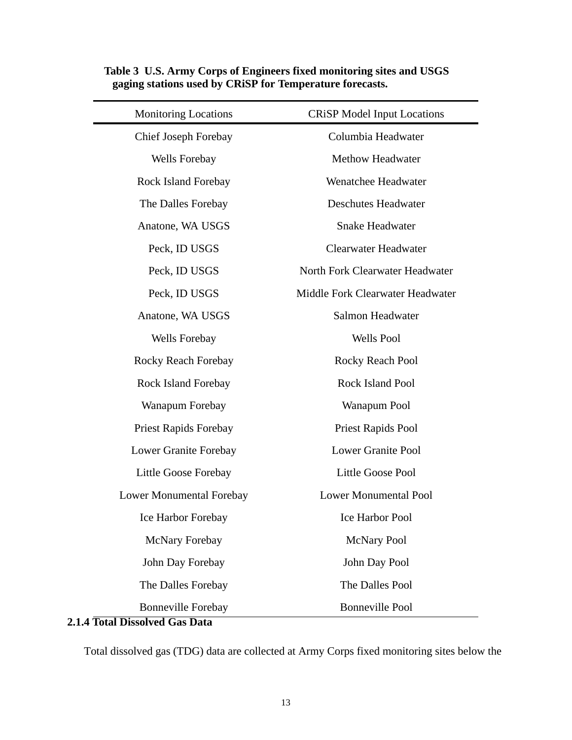| <b>Monitoring Locations</b>  | <b>CRiSP Model Input Locations</b> |  |
|------------------------------|------------------------------------|--|
| Chief Joseph Forebay         | Columbia Headwater                 |  |
| Wells Forebay                | <b>Methow Headwater</b>            |  |
| Rock Island Forebay          | Wenatchee Headwater                |  |
| The Dalles Forebay           | <b>Deschutes Headwater</b>         |  |
| Anatone, WA USGS             | <b>Snake Headwater</b>             |  |
| Peck, ID USGS                | <b>Clearwater Headwater</b>        |  |
| Peck, ID USGS                | North Fork Clearwater Headwater    |  |
| Peck, ID USGS                | Middle Fork Clearwater Headwater   |  |
| Anatone, WA USGS             | Salmon Headwater                   |  |
| Wells Forebay                | <b>Wells Pool</b>                  |  |
| Rocky Reach Forebay          | Rocky Reach Pool                   |  |
| Rock Island Forebay          | Rock Island Pool                   |  |
| Wanapum Forebay              | Wanapum Pool                       |  |
| <b>Priest Rapids Forebay</b> | Priest Rapids Pool                 |  |
| Lower Granite Forebay        | <b>Lower Granite Pool</b>          |  |
| Little Goose Forebay         | <b>Little Goose Pool</b>           |  |
| Lower Monumental Forebay     | <b>Lower Monumental Pool</b>       |  |
| Ice Harbor Forebay           | Ice Harbor Pool                    |  |
| McNary Forebay               | <b>McNary Pool</b>                 |  |
| John Day Forebay             | John Day Pool                      |  |
| The Dalles Forebay           | The Dalles Pool                    |  |
| <b>Bonneville Forebay</b>    | <b>Bonneville Pool</b>             |  |

#### <span id="page-13-1"></span>**Table 3 U.S. Army Corps of Engineers fixed monitoring sites and USGS gaging stations used by CRiSP for Temperature forecasts.**

## <span id="page-13-0"></span>**2.1.4 Total Dissolved Gas Data**

Total dissolved gas (TDG) data are collected at Army Corps fixed monitoring sites below the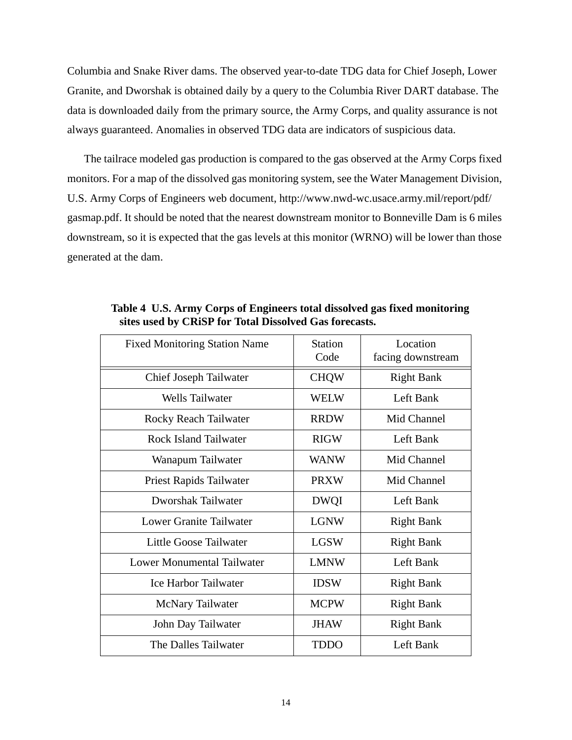Columbia and Snake River dams. The observed year-to-date TDG data for Chief Joseph, Lower Granite, and Dworshak is obtained daily by a query to the Columbia River DART database. The data is downloaded daily from the primary source, the Army Corps, and quality assurance is not always guaranteed. Anomalies in observed TDG data are indicators of suspicious data.

The tailrace modeled gas production is compared to the gas observed at the Army Corps fixed monitors. For a map of the dissolved gas monitoring system, see the Water Management Division, U.S. Army Corps of Engineers web document, http://www.nwd-wc.usace.army.mil/report/pdf/ gasmap.pdf. It should be noted that the nearest downstream monitor to Bonneville Dam is 6 miles downstream, so it is expected that the gas levels at this monitor (WRNO) will be lower than those generated at the dam.

| <b>Fixed Monitoring Station Name</b> | <b>Station</b><br>Code | Location<br>facing downstream |
|--------------------------------------|------------------------|-------------------------------|
| Chief Joseph Tailwater               | <b>CHQW</b>            | <b>Right Bank</b>             |
| <b>Wells Tailwater</b>               | WELW                   | Left Bank                     |
| Rocky Reach Tailwater                | <b>RRDW</b>            | Mid Channel                   |
| Rock Island Tailwater                | <b>RIGW</b>            | Left Bank                     |
| Wanapum Tailwater                    | <b>WANW</b>            | Mid Channel                   |
| Priest Rapids Tailwater              | <b>PRXW</b>            | Mid Channel                   |
| Dworshak Tailwater                   | <b>DWQI</b>            | Left Bank                     |
| Lower Granite Tailwater              | <b>LGNW</b>            | <b>Right Bank</b>             |
| Little Goose Tailwater               | <b>LGSW</b>            | <b>Right Bank</b>             |
| Lower Monumental Tailwater           | <b>LMNW</b>            | Left Bank                     |
| <b>Ice Harbor Tailwater</b>          | <b>IDSW</b>            | <b>Right Bank</b>             |
| <b>McNary Tailwater</b>              | <b>MCPW</b>            | <b>Right Bank</b>             |
| John Day Tailwater                   | <b>JHAW</b>            | <b>Right Bank</b>             |
| The Dalles Tailwater                 | <b>TDDO</b>            | Left Bank                     |

<span id="page-14-0"></span>**Table 4 U.S. Army Corps of Engineers total dissolved gas fixed monitoring sites used by CRiSP for Total Dissolved Gas forecasts.**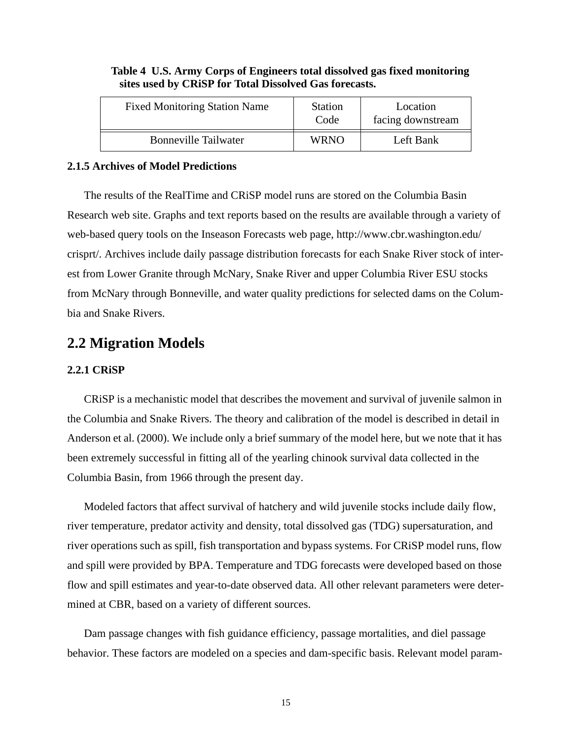| <b>Fixed Monitoring Station Name</b> | <b>Station</b><br>Code | Location<br>facing downstream |
|--------------------------------------|------------------------|-------------------------------|
| <b>Bonneville Tailwater</b>          | <b>WRNO</b>            | Left Bank                     |

#### **Table 4 U.S. Army Corps of Engineers total dissolved gas fixed monitoring sites used by CRiSP for Total Dissolved Gas forecasts.**

#### <span id="page-15-0"></span>**2.1.5 Archives of Model Predictions**

The results of the RealTime and CRiSP model runs are stored on the Columbia Basin Research web site. Graphs and text reports based on the results are available through a variety of web-based query tools on the Inseason Forecasts web page, http://www.cbr.washington.edu/ crisprt/. Archives include daily passage distribution forecasts for each Snake River stock of interest from Lower Granite through McNary, Snake River and upper Columbia River ESU stocks from McNary through Bonneville, and water quality predictions for selected dams on the Columbia and Snake Rivers.

## <span id="page-15-1"></span>**2.2 Migration Models**

#### <span id="page-15-2"></span>**2.2.1 CRiSP**

CRiSP is a mechanistic model that describes the movement and survival of juvenile salmon in the Columbia and Snake Rivers. The theory and calibration of the model is described in detail in Anderson et al. (2000). We include only a brief summary of the model here, but we note that it has been extremely successful in fitting all of the yearling chinook survival data collected in the Columbia Basin, from 1966 through the present day.

Modeled factors that affect survival of hatchery and wild juvenile stocks include daily flow, river temperature, predator activity and density, total dissolved gas (TDG) supersaturation, and river operations such as spill, fish transportation and bypass systems. For CRiSP model runs, flow and spill were provided by BPA. Temperature and TDG forecasts were developed based on those flow and spill estimates and year-to-date observed data. All other relevant parameters were determined at CBR, based on a variety of different sources.

Dam passage changes with fish guidance efficiency, passage mortalities, and diel passage behavior. These factors are modeled on a species and dam-specific basis. Relevant model param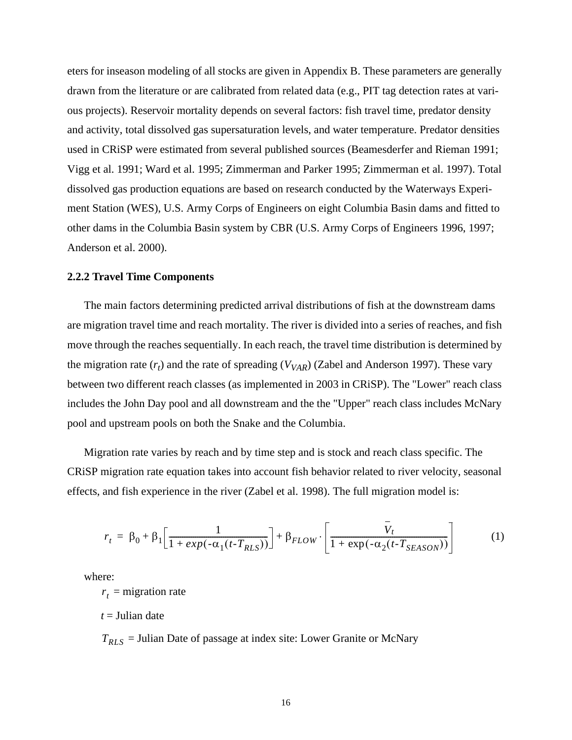eters for inseason modeling of all stocks are given in [Appendix B.](#page-41-3) These parameters are generally drawn from the literature or are calibrated from related data (e.g., PIT tag detection rates at various projects). Reservoir mortality depends on several factors: fish travel time, predator density and activity, total dissolved gas supersaturation levels, and water temperature. Predator densities used in CRiSP were estimated from several published sources (Beamesderfer and Rieman 1991; Vigg et al. 1991; Ward et al. 1995; Zimmerman and Parker 1995; Zimmerman et al. 1997). Total dissolved gas production equations are based on research conducted by the Waterways Experiment Station (WES), U.S. Army Corps of Engineers on eight Columbia Basin dams and fitted to other dams in the Columbia Basin system by CBR (U.S. Army Corps of Engineers 1996, 1997; Anderson et al. 2000).

#### <span id="page-16-0"></span>**2.2.2 Travel Time Components**

The main factors determining predicted arrival distributions of fish at the downstream dams are migration travel time and reach mortality. The river is divided into a series of reaches, and fish move through the reaches sequentially. In each reach, the travel time distribution is determined by the migration rate  $(r_t)$  and the rate of spreading  $(V_{VAR})$  (Zabel and Anderson 1997). These vary between two different reach classes (as implemented in 2003 in CRiSP). The "Lower" reach class includes the John Day pool and all downstream and the the "Upper" reach class includes McNary pool and upstream pools on both the Snake and the Columbia.

Migration rate varies by reach and by time step and is stock and reach class specific. The CRiSP migration rate equation takes into account fish behavior related to river velocity, seasonal effects, and fish experience in the river (Zabel et al. 1998). The full migration model is:

$$
r_t = \beta_0 + \beta_1 \left[ \frac{1}{1 + exp(-\alpha_1(t - T_{RLS}))} \right] + \beta_{FLOW} \cdot \left[ \frac{V_t}{1 + exp(-\alpha_2(t - T_{SEASON}))} \right] \tag{1}
$$

where:

 $r<sub>t</sub>$  = migration rate

*t* = Julian date

= Julian Date of passage at index site: Lower Granite or McNary *TRLS*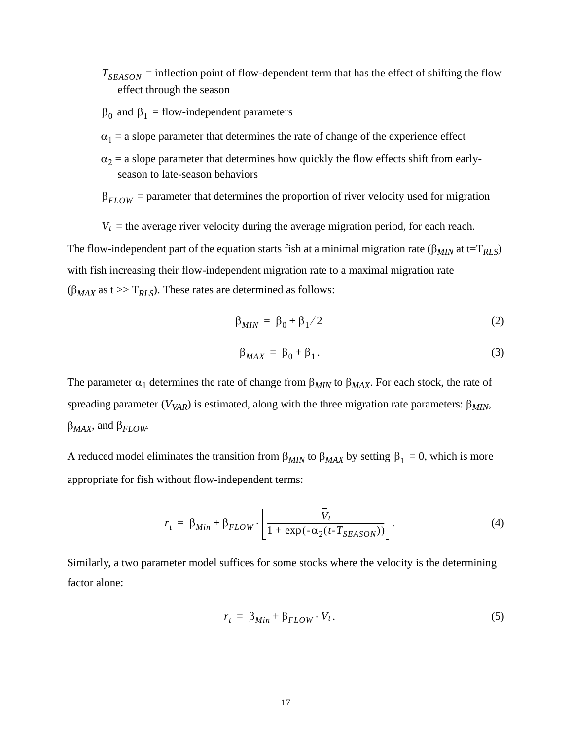- $T_{SEASON}$  = inflection point of flow-dependent term that has the effect of shifting the flow effect through the season
- $β<sub>0</sub>$  and  $β<sub>1</sub> = flow-independent parameters$
- $\alpha_1$  = a slope parameter that determines the rate of change of the experience effect
- $\alpha_2$  = a slope parameter that determines how quickly the flow effects shift from earlyseason to late-season behaviors
- $\beta_{FLOW}$  = parameter that determines the proportion of river velocity used for migration
- $V_t$  = the average river velocity during the average migration period, for each reach. The flow-independent part of the equation starts fish at a minimal migration rate ( $\beta_{MIN}$  at t=T<sub>RLS</sub>) with fish increasing their flow-independent migration rate to a maximal migration rate  $(\beta_{MAX}$  as t >> T<sub>RLS</sub>). These rates are determined as follows:

$$
\beta_{MIN} = \beta_0 + \beta_1 / 2 \tag{2}
$$

$$
\beta_{MAX} = \beta_0 + \beta_1. \tag{3}
$$

The parameter  $\alpha_1$  determines the rate of change from  $\beta_{MIN}$  to  $\beta_{MAX}$ . For each stock, the rate of spreading parameter ( $V_{VAR}$ ) is estimated, along with the three migration rate parameters:  $\beta_{MIN}$ , β*MAX*, and β*FLOW*.

A reduced model eliminates the transition from  $\beta_{MIN}$  to  $\beta_{MAX}$  by setting  $\beta_1 = 0$ , which is more appropriate for fish without flow-independent terms:

$$
r_{t} = \beta_{Min} + \beta_{FLOW} \cdot \left[ \frac{\bar{V}_{t}}{1 + \exp(-\alpha_{2}(t - T_{SEASON}))} \right].
$$
 (4)

Similarly, a two parameter model suffices for some stocks where the velocity is the determining factor alone:

$$
r_t = \beta_{Min} + \beta_{FLOW} \cdot V_t. \tag{5}
$$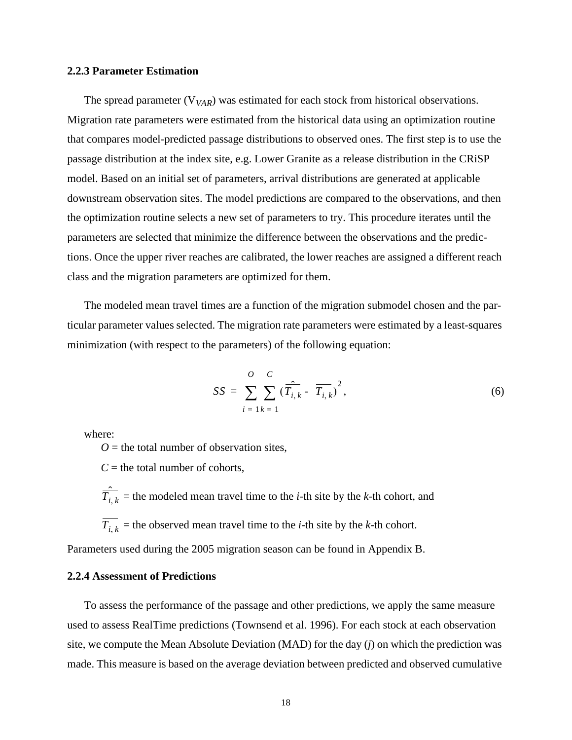#### <span id="page-18-0"></span>**2.2.3 Parameter Estimation**

The spread parameter  $(V_{VAR})$  was estimated for each stock from historical observations. Migration rate parameters were estimated from the historical data using an optimization routine that compares model-predicted passage distributions to observed ones. The first step is to use the passage distribution at the index site, e.g. Lower Granite as a release distribution in the CRiSP model. Based on an initial set of parameters, arrival distributions are generated at applicable downstream observation sites. The model predictions are compared to the observations, and then the optimization routine selects a new set of parameters to try. This procedure iterates until the parameters are selected that minimize the difference between the observations and the predictions. Once the upper river reaches are calibrated, the lower reaches are assigned a different reach class and the migration parameters are optimized for them.

The modeled mean travel times are a function of the migration submodel chosen and the particular parameter values selected. The migration rate parameters were estimated by a least-squares minimization (with respect to the parameters) of the following equation:

$$
SS = \sum_{i=1}^{O} \sum_{k=1}^{C} (\overline{T}_{i,k} - \overline{T_{i,k}})^{2},
$$
\n(6)

where:

 $O =$  the total number of observation sites,

 $C =$  the total number of cohorts,

 $\hat{T}_{i,k}$  = the modeled mean travel time to the *i*-th site by the *k*-th cohort, and

 $T_{i, k}$  = the observed mean travel time to the *i*-th site by the *k*-th cohort.

Parameters used during the 2005 migration season can be found in [Appendix B](#page-41-3).

#### <span id="page-18-1"></span>**2.2.4 Assessment of Predictions**

To assess the performance of the passage and other predictions, we apply the same measure used to assess RealTime predictions (Townsend et al. 1996). For each stock at each observation site, we compute the Mean Absolute Deviation (MAD) for the day (*j*) on which the prediction was made. This measure is based on the average deviation between predicted and observed cumulative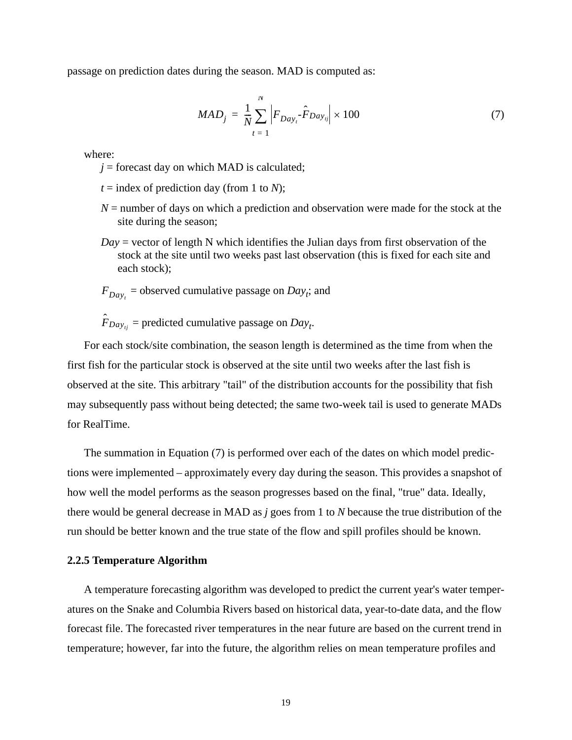<span id="page-19-1"></span>passage on prediction dates during the season. MAD is computed as:

$$
MAD_j = \frac{1}{N} \sum_{t=1}^{N} \left| F_{Day_t} \hat{F}_{Day_{tj}} \right| \times 100 \tag{7}
$$

where:

- $j =$  forecast day on which MAD is calculated;
- $t =$  index of prediction day (from 1 to *N*);
- *N* = number of days on which a prediction and observation were made for the stock at the site during the season;
- *Day* = vector of length N which identifies the Julian days from first observation of the stock at the site until two weeks past last observation (this is fixed for each site and each stock);
- $F_{Day_t}$  = observed cumulative passage on *Day<sub>t</sub>*; and

 $\hat{F}_{Day_{tj}}$  = predicted cumulative passage on  $Day_{tj}$ .

For each stock/site combination, the season length is determined as the time from when the first fish for the particular stock is observed at the site until two weeks after the last fish is observed at the site. This arbitrary "tail" of the distribution accounts for the possibility that fish may subsequently pass without being detected; the same two-week tail is used to generate MADs for RealTime.

The summation in Equation [\(7\)](#page-19-1) is performed over each of the dates on which model predictions were implemented – approximately every day during the season. This provides a snapshot of how well the model performs as the season progresses based on the final, "true" data. Ideally, there would be general decrease in MAD as *j* goes from 1 to *N* because the true distribution of the run should be better known and the true state of the flow and spill profiles should be known.

#### <span id="page-19-0"></span>**2.2.5 Temperature Algorithm**

A temperature forecasting algorithm was developed to predict the current year's water temperatures on the Snake and Columbia Rivers based on historical data, year-to-date data, and the flow forecast file. The forecasted river temperatures in the near future are based on the current trend in temperature; however, far into the future, the algorithm relies on mean temperature profiles and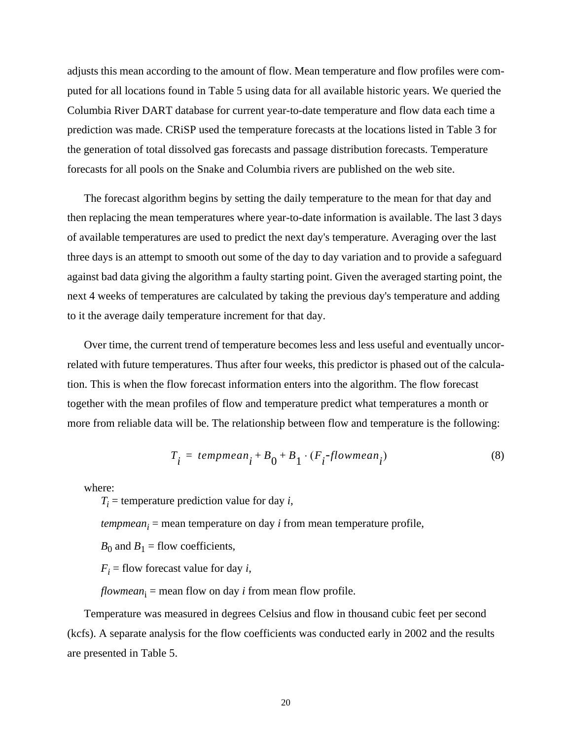adjusts this mean according to the amount of flow. Mean temperature and flow profiles were computed for all locations found in [Table 5](#page-21-1) using data for all available historic years. We queried the Columbia River DART database for current year-to-date temperature and flow data each time a prediction was made. CRiSP used the temperature forecasts at the locations listed in [Table 3](#page-13-1) for the generation of total dissolved gas forecasts and passage distribution forecasts. Temperature forecasts for all pools on the Snake and Columbia rivers are published on the web site.

The forecast algorithm begins by setting the daily temperature to the mean for that day and then replacing the mean temperatures where year-to-date information is available. The last 3 days of available temperatures are used to predict the next day's temperature. Averaging over the last three days is an attempt to smooth out some of the day to day variation and to provide a safeguard against bad data giving the algorithm a faulty starting point. Given the averaged starting point, the next 4 weeks of temperatures are calculated by taking the previous day's temperature and adding to it the average daily temperature increment for that day.

Over time, the current trend of temperature becomes less and less useful and eventually uncorrelated with future temperatures. Thus after four weeks, this predictor is phased out of the calculation. This is when the flow forecast information enters into the algorithm. The flow forecast together with the mean profiles of flow and temperature predict what temperatures a month or more from reliable data will be. The relationship between flow and temperature is the following:

$$
T_i = \text{temperature}_{i} + B_0 + B_1 \cdot (F_i - \text{flowmean}_{i}) \tag{8}
$$

where:

 $T_i$  = temperature prediction value for day *i*,

 $tempmean_i$  = mean temperature on day  $i$  from mean temperature profile,

 $B_0$  and  $B_1$  = flow coefficients,

 $F_i$  = flow forecast value for day *i*,

 $flowmean_i = mean$  flow on day  $i$  from mean flow profile.

Temperature was measured in degrees Celsius and flow in thousand cubic feet per second (kcfs). A separate analysis for the flow coefficients was conducted early in 2002 and the results are presented in [Table 5](#page-21-1).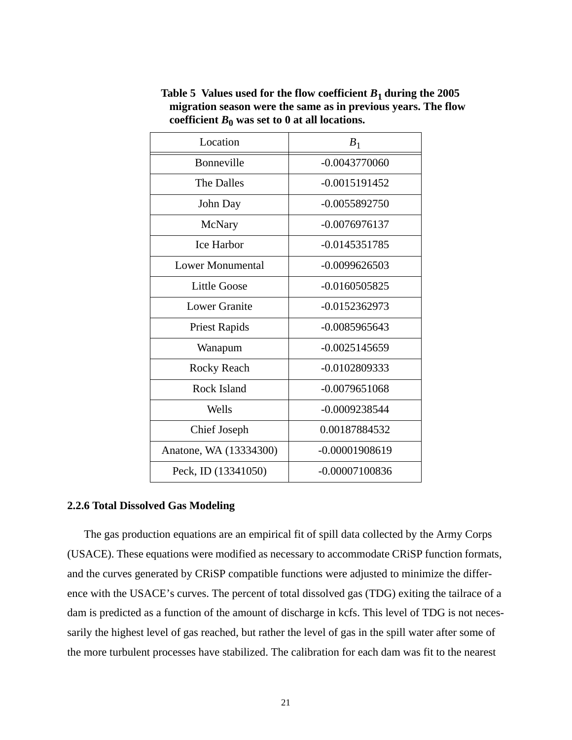| Location               | $B_1$            |
|------------------------|------------------|
| Bonneville             | $-0.0043770060$  |
| <b>The Dalles</b>      | $-0.0015191452$  |
| John Day               | $-0.0055892750$  |
| McNary                 | -0.0076976137    |
| <b>Ice Harbor</b>      | -0.0145351785    |
| Lower Monumental       | $-0.0099626503$  |
| <b>Little Goose</b>    | $-0.0160505825$  |
| <b>Lower Granite</b>   | $-0.0152362973$  |
| <b>Priest Rapids</b>   | $-0.0085965643$  |
| Wanapum                | $-0.0025145659$  |
| <b>Rocky Reach</b>     | $-0.0102809333$  |
| Rock Island            | $-0.0079651068$  |
| Wells                  | $-0.0009238544$  |
| Chief Joseph           | 0.00187884532    |
| Anatone, WA (13334300) | $-0.00001908619$ |
| Peck, ID (13341050)    | $-0.00007100836$ |

<span id="page-21-1"></span>Table 5 Values used for the flow coefficient  $B_1$  during the 2005 **migration season were the same as in previous years. The flow**  coefficient  $B_0$  was set to 0 at all locations.

#### <span id="page-21-0"></span>**2.2.6 Total Dissolved Gas Modeling**

The gas production equations are an empirical fit of spill data collected by the Army Corps (USACE). These equations were modified as necessary to accommodate CRiSP function formats, and the curves generated by CRiSP compatible functions were adjusted to minimize the difference with the USACE's curves. The percent of total dissolved gas (TDG) exiting the tailrace of a dam is predicted as a function of the amount of discharge in kcfs. This level of TDG is not necessarily the highest level of gas reached, but rather the level of gas in the spill water after some of the more turbulent processes have stabilized. The calibration for each dam was fit to the nearest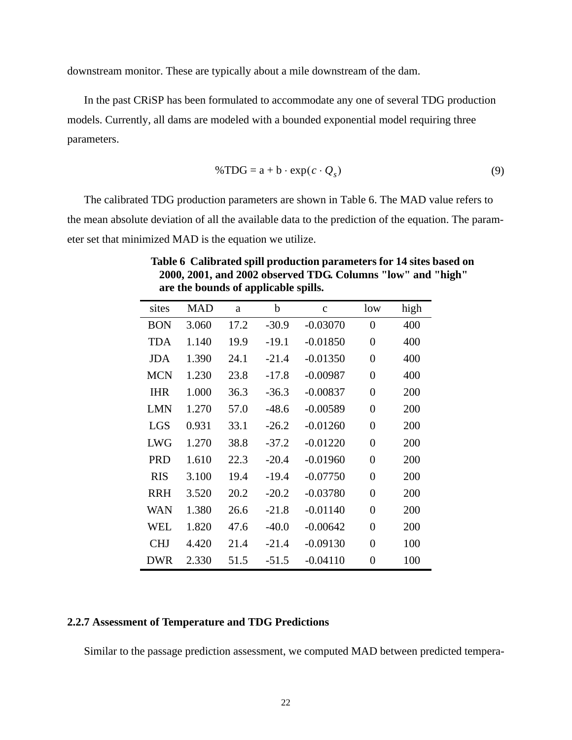downstream monitor. These are typically about a mile downstream of the dam.

In the past CRiSP has been formulated to accommodate any one of several TDG production models. Currently, all dams are modeled with a bounded exponential model requiring three parameters.

$$
\% TDG = a + b \cdot \exp(c \cdot Q_s) \tag{9}
$$

The calibrated TDG production parameters are shown in [Table 6.](#page-22-1) The MAD value refers to the mean absolute deviation of all the available data to the prediction of the equation. The parameter set that minimized MAD is the equation we utilize.

| sites      | <b>MAD</b> | a    | b       | $\mathbf{C}$ | low            | high |
|------------|------------|------|---------|--------------|----------------|------|
| <b>BON</b> | 3.060      | 17.2 | $-30.9$ | $-0.03070$   | $\overline{0}$ | 400  |
| <b>TDA</b> | 1.140      | 19.9 | $-19.1$ | $-0.01850$   | 0              | 400  |
| JDA        | 1.390      | 24.1 | $-21.4$ | $-0.01350$   | 0              | 400  |
| <b>MCN</b> | 1.230      | 23.8 | $-17.8$ | $-0.00987$   | 0              | 400  |
| <b>IHR</b> | 1.000      | 36.3 | $-36.3$ | $-0.00837$   | 0              | 200  |
| <b>LMN</b> | 1.270      | 57.0 | $-48.6$ | $-0.00589$   | 0              | 200  |
| <b>LGS</b> | 0.931      | 33.1 | $-26.2$ | $-0.01260$   | $\overline{0}$ | 200  |
| <b>LWG</b> | 1.270      | 38.8 | $-37.2$ | $-0.01220$   | $\overline{0}$ | 200  |
| <b>PRD</b> | 1.610      | 22.3 | $-20.4$ | $-0.01960$   | $\overline{0}$ | 200  |
| <b>RIS</b> | 3.100      | 19.4 | $-19.4$ | $-0.07750$   | 0              | 200  |
| <b>RRH</b> | 3.520      | 20.2 | $-20.2$ | $-0.03780$   | $\overline{0}$ | 200  |
| <b>WAN</b> | 1.380      | 26.6 | $-21.8$ | $-0.01140$   | $\overline{0}$ | 200  |
| <b>WEL</b> | 1.820      | 47.6 | $-40.0$ | $-0.00642$   | $\overline{0}$ | 200  |
| <b>CHJ</b> | 4.420      | 21.4 | $-21.4$ | $-0.09130$   | $\overline{0}$ | 100  |
| <b>DWR</b> | 2.330      | 51.5 | $-51.5$ | $-0.04110$   | $\overline{0}$ | 100  |

<span id="page-22-1"></span>**Table 6 Calibrated spill production parameters for 14 sites based on 2000, 2001, and 2002 observed TDG. Columns "low" and "high" are the bounds of applicable spills.**

#### <span id="page-22-0"></span>**2.2.7 Assessment of Temperature and TDG Predictions**

Similar to the passage prediction assessment, we computed MAD between predicted tempera-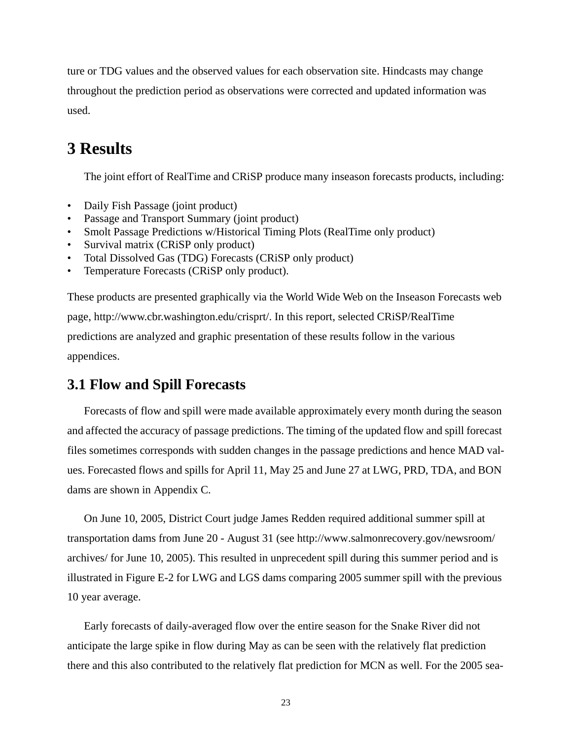ture or TDG values and the observed values for each observation site. Hindcasts may change throughout the prediction period as observations were corrected and updated information was used.

## <span id="page-23-0"></span>**3 Results**

The joint effort of RealTime and CRiSP produce many inseason forecasts products, including:

- Daily Fish Passage (joint product)
- Passage and Transport Summary (joint product)
- Smolt Passage Predictions w/Historical Timing Plots (RealTime only product)
- Survival matrix (CRiSP only product)
- Total Dissolved Gas (TDG) Forecasts (CRiSP only product)
- Temperature Forecasts (CRiSP only product).

These products are presented graphically via the World Wide Web on the Inseason Forecasts web page, http://www.cbr.washington.edu/crisprt/. In this report, selected CRiSP/RealTime predictions are analyzed and graphic presentation of these results follow in the various appendices.

### <span id="page-23-1"></span>**3.1 Flow and Spill Forecasts**

Forecasts of flow and spill were made available approximately every month during the season and affected the accuracy of passage predictions. The timing of the updated flow and spill forecast files sometimes corresponds with sudden changes in the passage predictions and hence MAD values. Forecasted flows and spills for April 11, May 25 and June 27 at LWG, PRD, TDA, and BON dams are shown in [Appendix C.](#page-46-1)

On June 10, 2005, District Court judge James Redden required additional summer spill at transportation dams from June 20 - August 31 (see http://www.salmonrecovery.gov/newsroom/ archives/ for June 10, 2005). This resulted in unprecedent spill during this summer period and is illustrated in [Figure E-2](#page-58-1) for LWG and LGS dams comparing 2005 summer spill with the previous 10 year average.

Early forecasts of daily-averaged flow over the entire season for the Snake River did not anticipate the large spike in flow during May as can be seen with the relatively flat prediction there and this also contributed to the relatively flat prediction for MCN as well. For the 2005 sea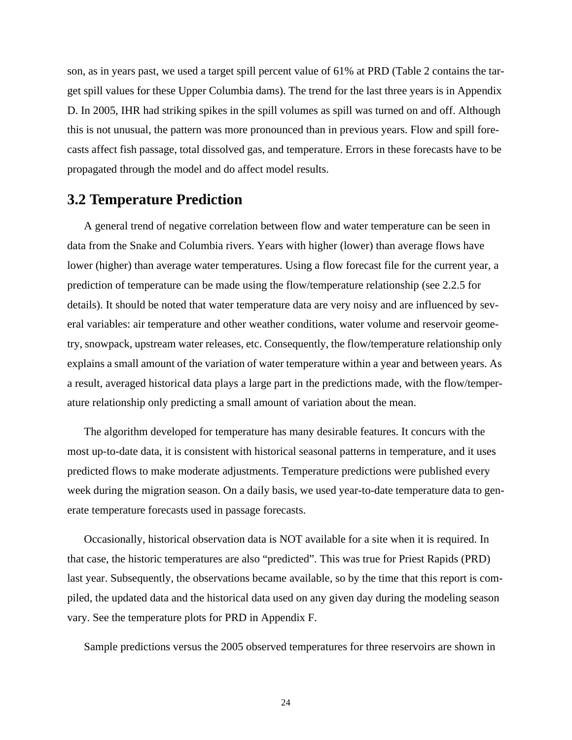son, as in years past, we used a target spill percent value of 61% at PRD ([Table 2](#page-12-1) contains the target spill values for these Upper Columbia dams). The trend for the last three years is in [Appendix](#page-55-2)  [D.](#page-55-2) In 2005, IHR had striking spikes in the spill volumes as spill was turned on and off. Although this is not unusual, the pattern was more pronounced than in previous years. Flow and spill forecasts affect fish passage, total dissolved gas, and temperature. Errors in these forecasts have to be propagated through the model and do affect model results.

### <span id="page-24-0"></span>**3.2 Temperature Prediction**

A general trend of negative correlation between flow and water temperature can be seen in data from the Snake and Columbia rivers. Years with higher (lower) than average flows have lower (higher) than average water temperatures. Using a flow forecast file for the current year, a prediction of temperature can be made using the flow/temperature relationship (see [2.2.5](#page-19-0) for details). It should be noted that water temperature data are very noisy and are influenced by several variables: air temperature and other weather conditions, water volume and reservoir geometry, snowpack, upstream water releases, etc. Consequently, the flow/temperature relationship only explains a small amount of the variation of water temperature within a year and between years. As a result, averaged historical data plays a large part in the predictions made, with the flow/temperature relationship only predicting a small amount of variation about the mean.

The algorithm developed for temperature has many desirable features. It concurs with the most up-to-date data, it is consistent with historical seasonal patterns in temperature, and it uses predicted flows to make moderate adjustments. Temperature predictions were published every week during the migration season. On a daily basis, we used year-to-date temperature data to generate temperature forecasts used in passage forecasts.

Occasionally, historical observation data is NOT available for a site when it is required. In that case, the historic temperatures are also "predicted". This was true for Priest Rapids (PRD) last year. Subsequently, the observations became available, so by the time that this report is compiled, the updated data and the historical data used on any given day during the modeling season vary. See the temperature plots for PRD in [Appendix F](#page-59-2).

Sample predictions versus the 2005 observed temperatures for three reservoirs are shown in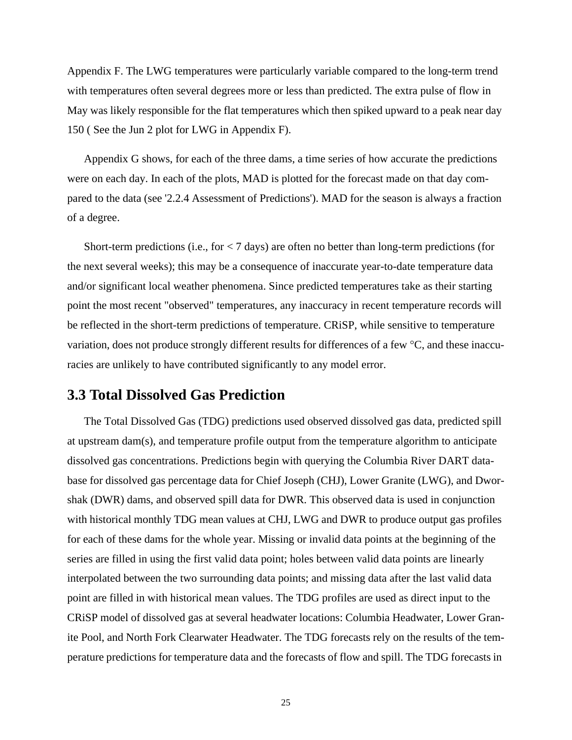[Appendix F.](#page-59-2) The LWG temperatures were particularly variable compared to the long-term trend with temperatures often several degrees more or less than predicted. The extra pulse of flow in May was likely responsible for the flat temperatures which then spiked upward to a peak near day 150 ( See the Jun 2 plot for LWG in [Appendix F\)](#page-59-2).

[Appendix G](#page-62-1) shows, for each of the three dams, a time series of how accurate the predictions were on each day. In each of the plots, MAD is plotted for the forecast made on that day compared to the data (see ['2.2.4 Assessment of Predictions'](#page-18-1)). MAD for the season is always a fraction of a degree.

Short-term predictions (i.e., for < 7 days) are often no better than long-term predictions (for the next several weeks); this may be a consequence of inaccurate year-to-date temperature data and/or significant local weather phenomena. Since predicted temperatures take as their starting point the most recent "observed" temperatures, any inaccuracy in recent temperature records will be reflected in the short-term predictions of temperature. CRiSP, while sensitive to temperature variation, does not produce strongly different results for differences of a few °C, and these inaccuracies are unlikely to have contributed significantly to any model error.

### <span id="page-25-0"></span>**3.3 Total Dissolved Gas Prediction**

The Total Dissolved Gas (TDG) predictions used observed dissolved gas data, predicted spill at upstream dam(s), and temperature profile output from the temperature algorithm to anticipate dissolved gas concentrations. Predictions begin with querying the Columbia River DART database for dissolved gas percentage data for Chief Joseph (CHJ), Lower Granite (LWG), and Dworshak (DWR) dams, and observed spill data for DWR. This observed data is used in conjunction with historical monthly TDG mean values at CHJ, LWG and DWR to produce output gas profiles for each of these dams for the whole year. Missing or invalid data points at the beginning of the series are filled in using the first valid data point; holes between valid data points are linearly interpolated between the two surrounding data points; and missing data after the last valid data point are filled in with historical mean values. The TDG profiles are used as direct input to the CRiSP model of dissolved gas at several headwater locations: Columbia Headwater, Lower Granite Pool, and North Fork Clearwater Headwater. The TDG forecasts rely on the results of the temperature predictions for temperature data and the forecasts of flow and spill. The TDG forecasts in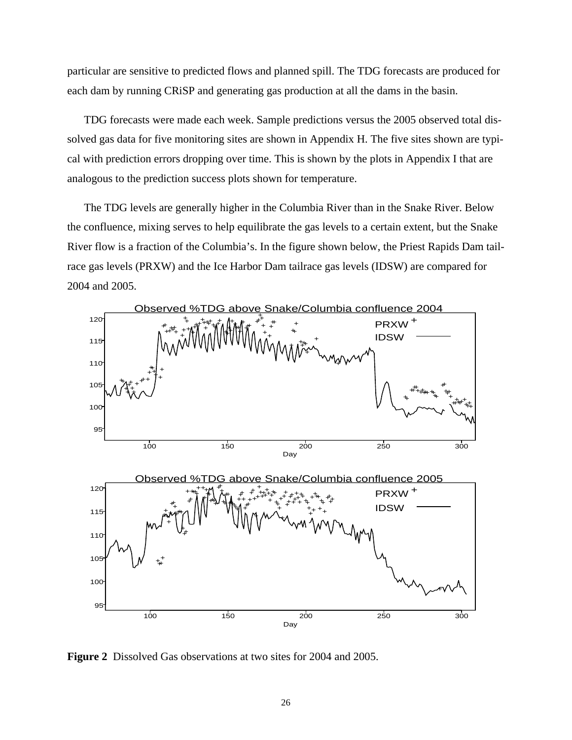particular are sensitive to predicted flows and planned spill. The TDG forecasts are produced for each dam by running CRiSP and generating gas production at all the dams in the basin.

TDG forecasts were made each week. Sample predictions versus the 2005 observed total dissolved gas data for five monitoring sites are shown in [Appendix H.](#page-64-2) The five sites shown are typical with prediction errors dropping over time. This is shown by the plots in [Appendix I](#page-68-2) that are analogous to the prediction success plots shown for temperature.

The TDG levels are generally higher in the Columbia River than in the Snake River. Below the confluence, mixing serves to help equilibrate the gas levels to a certain extent, but the Snake River flow is a fraction of the Columbia's. In the figure shown below, the Priest Rapids Dam tailrace gas levels (PRXW) and the Ice Harbor Dam tailrace gas levels (IDSW) are compared for 2004 and 2005.



<span id="page-26-0"></span>**Figure 2** Dissolved Gas observations at two sites for 2004 and 2005.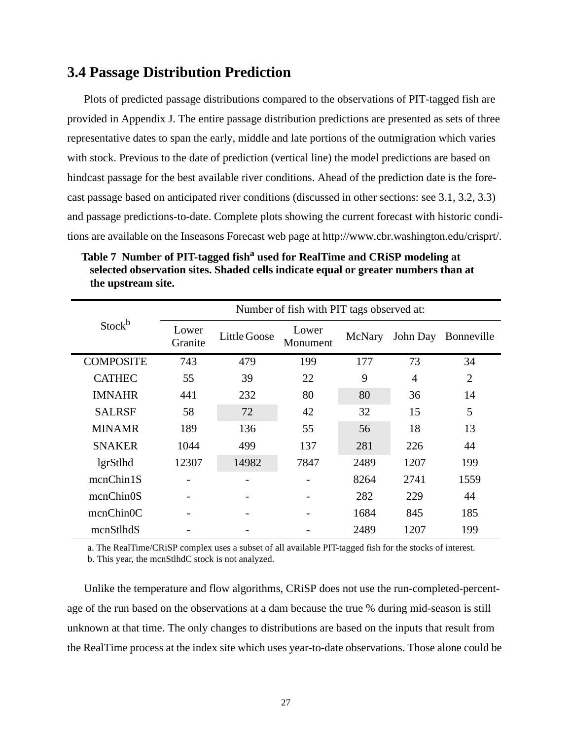### <span id="page-27-0"></span>**3.4 Passage Distribution Prediction**

Plots of predicted passage distributions compared to the observations of PIT-tagged fish are provided in [Appendix J.](#page-70-1) The entire passage distribution predictions are presented as sets of three representative dates to span the early, middle and late portions of the outmigration which varies with stock. Previous to the date of prediction (vertical line) the model predictions are based on hindcast passage for the best available river conditions. Ahead of the prediction date is the forecast passage based on anticipated river conditions (discussed in other sections: see [3.1,](#page-23-1) [3.2,](#page-24-0) [3.3\)](#page-25-0) and passage predictions-to-date. Complete plots showing the current forecast with historic conditions are available on the Inseasons Forecast web page at http://www.cbr.washington.edu/crisprt/.

| Stock <sup>b</sup> |                  | Number of fish with PIT tags observed at: |              |                   |        |                |                |  |  |
|--------------------|------------------|-------------------------------------------|--------------|-------------------|--------|----------------|----------------|--|--|
|                    |                  | Lower<br>Granite                          | Little Goose | Lower<br>Monument | McNary | John Day       | Bonneville     |  |  |
|                    | <b>COMPOSITE</b> | 743                                       | 479          | 199               | 177    | 73             | 34             |  |  |
|                    | <b>CATHEC</b>    | 55                                        | 39           | 22                | 9      | $\overline{4}$ | $\overline{2}$ |  |  |
|                    | <b>IMNAHR</b>    | 441                                       | 232          | 80                | 80     | 36             | 14             |  |  |
|                    | <b>SALRSF</b>    | 58                                        | 72           | 42                | 32     | 15             | 5              |  |  |
|                    | <b>MINAMR</b>    | 189                                       | 136          | 55                | 56     | 18             | 13             |  |  |
|                    | <b>SNAKER</b>    | 1044                                      | 499          | 137               | 281    | 226            | 44             |  |  |
|                    | lgrStlhd         | 12307                                     | 14982        | 7847              | 2489   | 1207           | 199            |  |  |
|                    | mcnChin1S        |                                           |              |                   | 8264   | 2741           | 1559           |  |  |
|                    | mcnChin0S        |                                           |              |                   | 282    | 229            | 44             |  |  |
|                    | mcnChin0C        |                                           |              |                   | 1684   | 845            | 185            |  |  |
|                    | mcnStlhdS        |                                           |              |                   | 2489   | 1207           | 199            |  |  |
|                    |                  |                                           |              |                   |        |                |                |  |  |

<span id="page-27-1"></span>Table 7 Number of PIT-tagged fish<sup>a</sup> used for RealTime and CRiSP modeling at **selected observation sites. Shaded cells indicate equal or greater numbers than at the upstream site.**

a. The RealTime/CRiSP complex uses a subset of all available PIT-tagged fish for the stocks of interest.

b. This year, the mcnStlhdC stock is not analyzed.

Unlike the temperature and flow algorithms, CRiSP does not use the run-completed-percentage of the run based on the observations at a dam because the true % during mid-season is still unknown at that time. The only changes to distributions are based on the inputs that result from the RealTime process at the index site which uses year-to-date observations. Those alone could be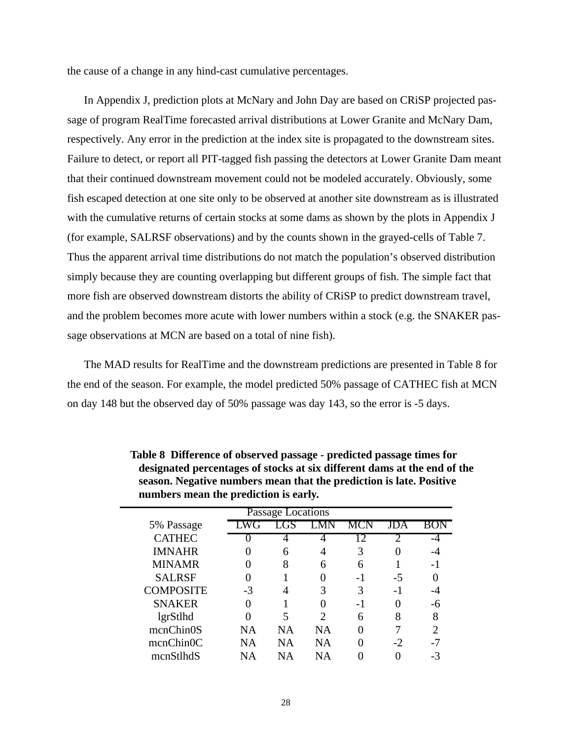the cause of a change in any hind-cast cumulative percentages.

In [Appendix J,](#page-70-1) prediction plots at McNary and John Day are based on CRiSP projected passage of program RealTime forecasted arrival distributions at Lower Granite and McNary Dam, respectively. Any error in the prediction at the index site is propagated to the downstream sites. Failure to detect, or report all PIT-tagged fish passing the detectors at Lower Granite Dam meant that their continued downstream movement could not be modeled accurately. Obviously, some fish escaped detection at one site only to be observed at another site downstream as is illustrated with the cumulative returns of certain stocks at some dams as shown by the plots in [Appendix J](#page-70-1) (for example, SALRSF observations) and by the counts shown in the grayed-cells of [Table 7.](#page-27-1) Thus the apparent arrival time distributions do not match the population's observed distribution simply because they are counting overlapping but different groups of fish. The simple fact that more fish are observed downstream distorts the ability of CRiSP to predict downstream travel, and the problem becomes more acute with lower numbers within a stock (e.g. the SNAKER passage observations at MCN are based on a total of nine fish).

The MAD results for RealTime and the downstream predictions are presented in [Table 8](#page-28-0) for the end of the season. For example, the model predicted 50% passage of CATHEC fish at MCN on day 148 but the observed day of 50% passage was day 143, so the error is -5 days.

| Passage Locations |           |           |                             |      |      |     |  |
|-------------------|-----------|-----------|-----------------------------|------|------|-----|--|
| 5% Passage        |           |           |                             | MCN  | JDA  |     |  |
| <b>CATHEC</b>     |           |           |                             |      |      |     |  |
| <b>IMNAHR</b>     |           | 6         | 4                           | 3    |      |     |  |
| <b>MINAMR</b>     |           | 8         | 6                           | 6    |      | – I |  |
| <b>SALRSF</b>     |           |           |                             | -1   | -5   |     |  |
| <b>COMPOSITE</b>  | -3        |           | 3                           | 3    | -1   |     |  |
| <b>SNAKER</b>     |           |           |                             | $-1$ |      |     |  |
| lgrStlhd          |           | 5         | $\mathcal{D}_{\mathcal{A}}$ | 6    | 8    | 8   |  |
| mcnChin0S         | <b>NA</b> | <b>NA</b> | <b>NA</b>                   |      |      |     |  |
| mcnChin0C         | NΑ        | NΑ        | NA                          |      | $-2$ |     |  |
| mcnStlhdS         | NА        | ΝA        | NΑ                          |      |      |     |  |

<span id="page-28-0"></span>**Table 8 Difference of observed passage - predicted passage times for designated percentages of stocks at six different dams at the end of the season. Negative numbers mean that the prediction is late. Positive numbers mean the prediction is early.**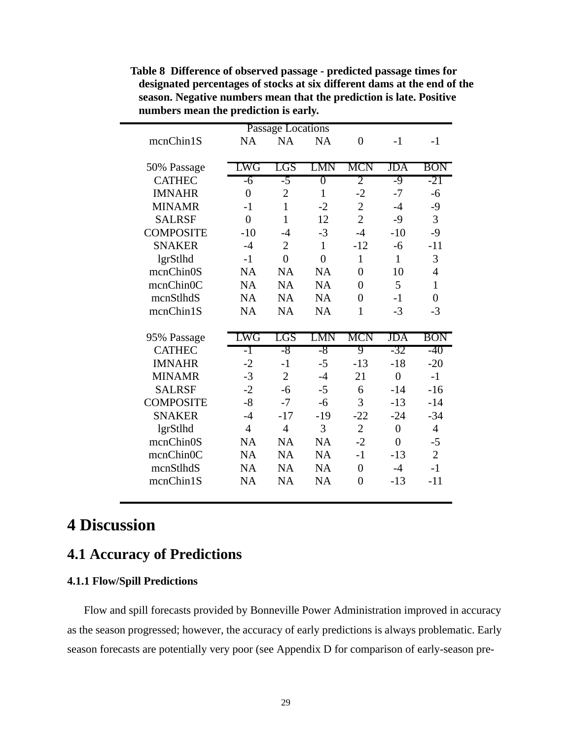|                        |                | <b>Passage Locations</b> |           |                |                |                |
|------------------------|----------------|--------------------------|-----------|----------------|----------------|----------------|
| mcnChin1S              | <b>NA</b>      | <b>NA</b>                | <b>NA</b> | $\overline{0}$ | $-1$           | $-1$           |
|                        |                |                          |           |                |                |                |
| 50% Passage            | LWG            | LGS                      | LMN       | MCN            | JDA            | <b>BON</b>     |
| <b>CATHEC</b>          | -6             | $-5$                     | 0         | 2              | -9             | -21            |
| <b>IMNAHR</b>          | $\theta$       | $\overline{2}$           | 1         | $-2$           | $-7$           | -6             |
| <b>MINAMR</b>          | $-1$           | $\mathbf{1}$             | $-2$      | $\overline{2}$ | $-4$           | $-9$           |
| <b>SALRSF</b>          | $\overline{0}$ | $\mathbf{1}$             | 12        | $\overline{2}$ | $-9$           | 3              |
| <b>COMPOSITE</b>       | $-10$          | -4                       | $-3$      | $-4$           | $-10$          | $-9$           |
| <b>SNAKER</b>          | $-4$           | $\overline{2}$           | 1         | $-12$          | $-6$           | $-11$          |
| lgrStlhd               | $-1$           | $\overline{0}$           | $\theta$  | $\mathbf{1}$   | 1              | 3              |
| mcnChin <sub>0</sub> S | <b>NA</b>      | <b>NA</b>                | <b>NA</b> | $\theta$       | 10             | $\overline{4}$ |
| mcnChinOC              | <b>NA</b>      | <b>NA</b>                | <b>NA</b> | $\theta$       | 5              | 1              |
| mcnStlhdS              | <b>NA</b>      | <b>NA</b>                | <b>NA</b> | $\theta$       | $-1$           | $\theta$       |
| mcnChin1S              | <b>NA</b>      | <b>NA</b>                | <b>NA</b> | $\mathbf{1}$   | $-3$           | $-3$           |
|                        |                |                          |           |                |                |                |
|                        |                |                          |           |                |                |                |
| 95% Passage            | LWG            | LGS                      | LMN       | MCN            | JDA            | <b>BON</b>     |
| <b>CATHEC</b>          | -1             | -8                       | -8        | 9              | -32            | -40            |
| <b>IMNAHR</b>          | $-2$           | $-1$                     | $-5$      | $-13$          | $-18$          | $-20$          |
| <b>MINAMR</b>          | $-3$           | $\overline{2}$           | $-4$      | 21             | $\overline{0}$ | $-1$           |
| <b>SALRSF</b>          | $-2$           | $-6$                     | $-5$      | 6              | $-14$          | $-16$          |
| <b>COMPOSITE</b>       | $-8$           | $-7$                     | $-6$      | 3              | $-13$          | $-14$          |
| <b>SNAKER</b>          | $-4$           | $-17$                    | $-19$     | $-22$          | $-24$          | $-34$          |
| lgrStlhd               | $\overline{4}$ | $\overline{4}$           | 3         | $\overline{2}$ | $\overline{0}$ | $\overline{4}$ |
| mcnChin0S              | <b>NA</b>      | <b>NA</b>                | NA        | $-2$           | $\theta$       | -5             |
| mcnChin <sub>0</sub> C | <b>NA</b>      | <b>NA</b>                | <b>NA</b> | $-1$           | $-13$          | $\overline{2}$ |
| mcnStlhdS              | <b>NA</b>      | <b>NA</b>                | <b>NA</b> | $\theta$       | $-4$           | $-1$           |
| mcnChin1S              | <b>NA</b>      | <b>NA</b>                | NA        | $\theta$       | $-13$          | $-11$          |

**Table 8 Difference of observed passage - predicted passage times for designated percentages of stocks at six different dams at the end of the season. Negative numbers mean that the prediction is late. Positive numbers mean the prediction is early.**

## <span id="page-29-0"></span>**4 Discussion**

## <span id="page-29-1"></span>**4.1 Accuracy of Predictions**

#### <span id="page-29-2"></span>**4.1.1 Flow/Spill Predictions**

Flow and spill forecasts provided by Bonneville Power Administration improved in accuracy as the season progressed; however, the accuracy of early predictions is always problematic. Early season forecasts are potentially very poor (see [Appendix D](#page-55-2) for comparison of early-season pre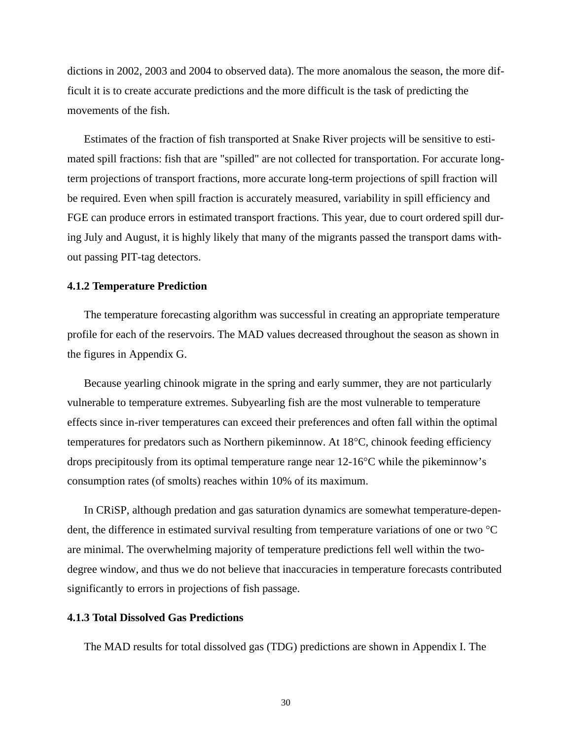dictions in 2002, 2003 and 2004 to observed data). The more anomalous the season, the more difficult it is to create accurate predictions and the more difficult is the task of predicting the movements of the fish.

Estimates of the fraction of fish transported at Snake River projects will be sensitive to estimated spill fractions: fish that are "spilled" are not collected for transportation. For accurate longterm projections of transport fractions, more accurate long-term projections of spill fraction will be required. Even when spill fraction is accurately measured, variability in spill efficiency and FGE can produce errors in estimated transport fractions. This year, due to court ordered spill during July and August, it is highly likely that many of the migrants passed the transport dams without passing PIT-tag detectors.

#### <span id="page-30-0"></span>**4.1.2 Temperature Prediction**

The temperature forecasting algorithm was successful in creating an appropriate temperature profile for each of the reservoirs. The MAD values decreased throughout the season as shown in the figures in [Appendix G](#page-62-1).

Because yearling chinook migrate in the spring and early summer, they are not particularly vulnerable to temperature extremes. Subyearling fish are the most vulnerable to temperature effects since in-river temperatures can exceed their preferences and often fall within the optimal temperatures for predators such as Northern pikeminnow. At 18°C, chinook feeding efficiency drops precipitously from its optimal temperature range near 12-16°C while the pikeminnow's consumption rates (of smolts) reaches within 10% of its maximum.

In CRiSP, although predation and gas saturation dynamics are somewhat temperature-dependent, the difference in estimated survival resulting from temperature variations of one or two °C are minimal. The overwhelming majority of temperature predictions fell well within the twodegree window, and thus we do not believe that inaccuracies in temperature forecasts contributed significantly to errors in projections of fish passage.

#### <span id="page-30-1"></span>**4.1.3 Total Dissolved Gas Predictions**

The MAD results for total dissolved gas (TDG) predictions are shown in [Appendix I](#page-68-2). The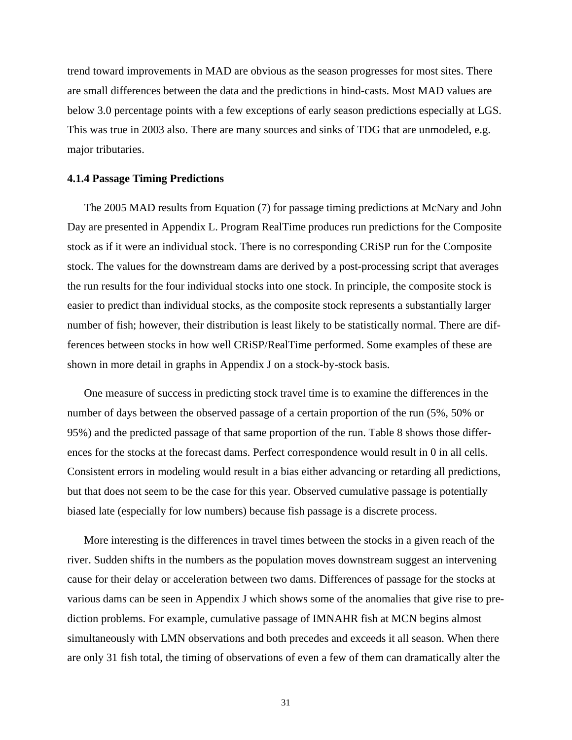trend toward improvements in MAD are obvious as the season progresses for most sites. There are small differences between the data and the predictions in hind-casts. Most MAD values are below 3.0 percentage points with a few exceptions of early season predictions especially at LGS. This was true in 2003 also. There are many sources and sinks of TDG that are unmodeled, e.g. major tributaries.

#### <span id="page-31-0"></span>**4.1.4 Passage Timing Predictions**

The 2005 MAD results from Equation [\(7\)](#page-19-1) for passage timing predictions at McNary and John Day are presented in [Appendix L](#page-89-1). Program RealTime produces run predictions for the Composite stock as if it were an individual stock. There is no corresponding CRiSP run for the Composite stock. The values for the downstream dams are derived by a post-processing script that averages the run results for the four individual stocks into one stock. In principle, the composite stock is easier to predict than individual stocks, as the composite stock represents a substantially larger number of fish; however, their distribution is least likely to be statistically normal. There are differences between stocks in how well CRiSP/RealTime performed. Some examples of these are shown in more detail in graphs in [Appendix J](#page-70-1) on a stock-by-stock basis.

One measure of success in predicting stock travel time is to examine the differences in the number of days between the observed passage of a certain proportion of the run (5%, 50% or 95%) and the predicted passage of that same proportion of the run. [Table 8](#page-28-0) shows those differences for the stocks at the forecast dams. Perfect correspondence would result in 0 in all cells. Consistent errors in modeling would result in a bias either advancing or retarding all predictions, but that does not seem to be the case for this year. Observed cumulative passage is potentially biased late (especially for low numbers) because fish passage is a discrete process.

More interesting is the differences in travel times between the stocks in a given reach of the river. Sudden shifts in the numbers as the population moves downstream suggest an intervening cause for their delay or acceleration between two dams. Differences of passage for the stocks at various dams can be seen in [Appendix J](#page-70-1) which shows some of the anomalies that give rise to prediction problems. For example, cumulative passage of IMNAHR fish at MCN begins almost simultaneously with LMN observations and both precedes and exceeds it all season. When there are only 31 fish total, the timing of observations of even a few of them can dramatically alter the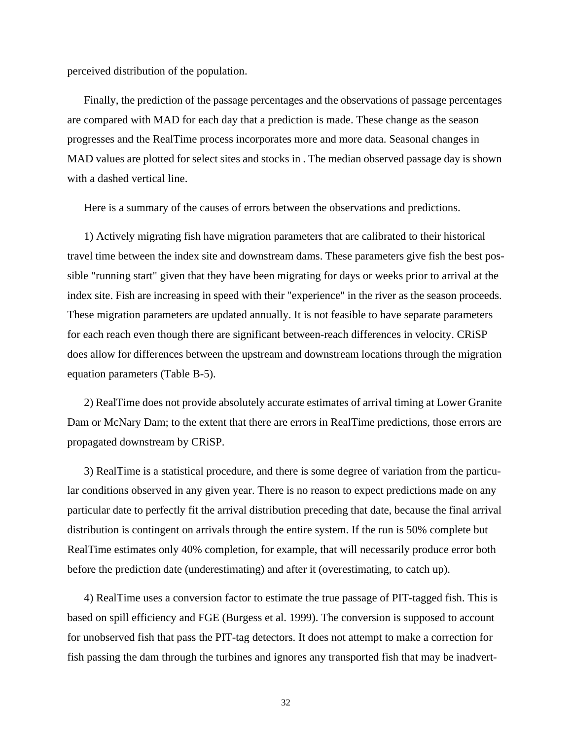perceived distribution of the population.

Finally, the prediction of the passage percentages and the observations of passage percentages are compared with MAD for each day that a prediction is made. These change as the season progresses and the RealTime process incorporates more and more data. Seasonal changes in MAD values are plotted for select sites and stocks in . The median observed passage day is shown with a dashed vertical line.

Here is a summary of the causes of errors between the observations and predictions.

1) Actively migrating fish have migration parameters that are calibrated to their historical travel time between the index site and downstream dams. These parameters give fish the best possible "running start" given that they have been migrating for days or weeks prior to arrival at the index site. Fish are increasing in speed with their "experience" in the river as the season proceeds. These migration parameters are updated annually. It is not feasible to have separate parameters for each reach even though there are significant between-reach differences in velocity. CRiSP does allow for differences between the upstream and downstream locations through the migration equation parameters ([Table B-5](#page-44-2)).

2) RealTime does not provide absolutely accurate estimates of arrival timing at Lower Granite Dam or McNary Dam; to the extent that there are errors in RealTime predictions, those errors are propagated downstream by CRiSP.

3) RealTime is a statistical procedure, and there is some degree of variation from the particular conditions observed in any given year. There is no reason to expect predictions made on any particular date to perfectly fit the arrival distribution preceding that date, because the final arrival distribution is contingent on arrivals through the entire system. If the run is 50% complete but RealTime estimates only 40% completion, for example, that will necessarily produce error both before the prediction date (underestimating) and after it (overestimating, to catch up).

4) RealTime uses a conversion factor to estimate the true passage of PIT-tagged fish. This is based on spill efficiency and FGE (Burgess et al. 1999). The conversion is supposed to account for unobserved fish that pass the PIT-tag detectors. It does not attempt to make a correction for fish passing the dam through the turbines and ignores any transported fish that may be inadvert-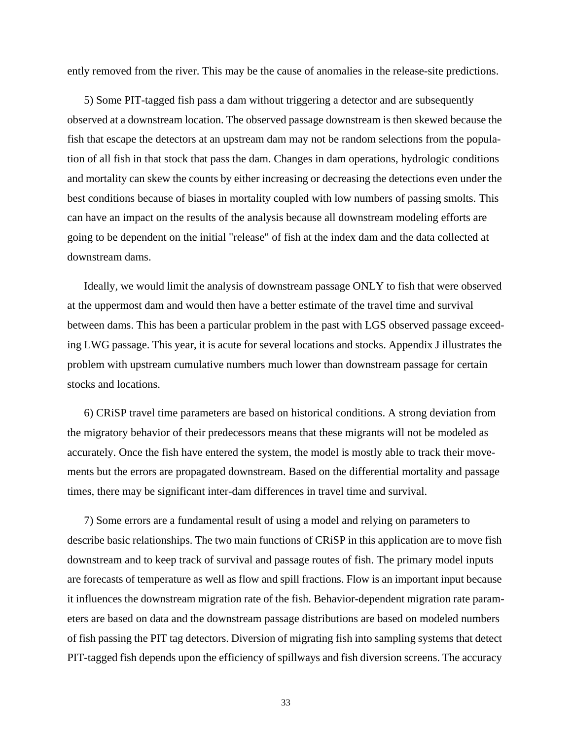ently removed from the river. This may be the cause of anomalies in the release-site predictions.

5) Some PIT-tagged fish pass a dam without triggering a detector and are subsequently observed at a downstream location. The observed passage downstream is then skewed because the fish that escape the detectors at an upstream dam may not be random selections from the population of all fish in that stock that pass the dam. Changes in dam operations, hydrologic conditions and mortality can skew the counts by either increasing or decreasing the detections even under the best conditions because of biases in mortality coupled with low numbers of passing smolts. This can have an impact on the results of the analysis because all downstream modeling efforts are going to be dependent on the initial "release" of fish at the index dam and the data collected at downstream dams.

Ideally, we would limit the analysis of downstream passage ONLY to fish that were observed at the uppermost dam and would then have a better estimate of the travel time and survival between dams. This has been a particular problem in the past with LGS observed passage exceeding LWG passage. This year, it is acute for several locations and stocks. [Appendix J](#page-70-1) illustrates the problem with upstream cumulative numbers much lower than downstream passage for certain stocks and locations.

6) CRiSP travel time parameters are based on historical conditions. A strong deviation from the migratory behavior of their predecessors means that these migrants will not be modeled as accurately. Once the fish have entered the system, the model is mostly able to track their movements but the errors are propagated downstream. Based on the differential mortality and passage times, there may be significant inter-dam differences in travel time and survival.

7) Some errors are a fundamental result of using a model and relying on parameters to describe basic relationships. The two main functions of CRiSP in this application are to move fish downstream and to keep track of survival and passage routes of fish. The primary model inputs are forecasts of temperature as well as flow and spill fractions. Flow is an important input because it influences the downstream migration rate of the fish. Behavior-dependent migration rate parameters are based on data and the downstream passage distributions are based on modeled numbers of fish passing the PIT tag detectors. Diversion of migrating fish into sampling systems that detect PIT-tagged fish depends upon the efficiency of spillways and fish diversion screens. The accuracy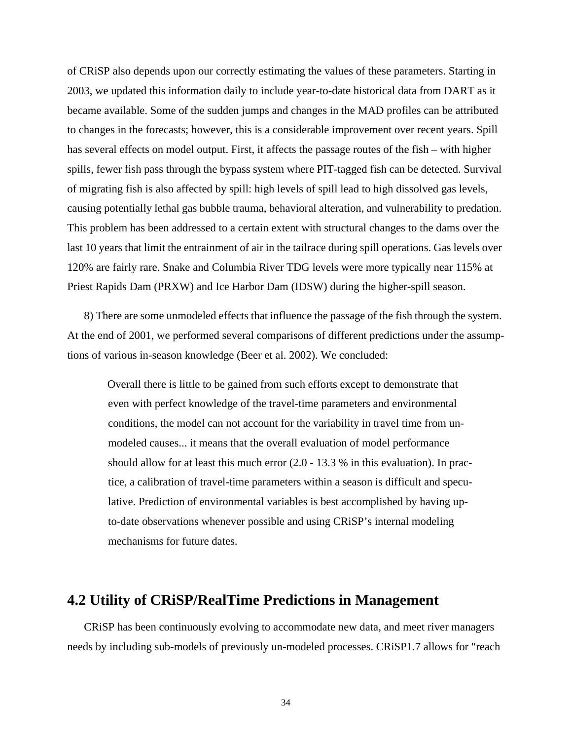of CRiSP also depends upon our correctly estimating the values of these parameters. Starting in 2003, we updated this information daily to include year-to-date historical data from DART as it became available. Some of the sudden jumps and changes in the MAD profiles can be attributed to changes in the forecasts; however, this is a considerable improvement over recent years. Spill has several effects on model output. First, it affects the passage routes of the fish – with higher spills, fewer fish pass through the bypass system where PIT-tagged fish can be detected. Survival of migrating fish is also affected by spill: high levels of spill lead to high dissolved gas levels, causing potentially lethal gas bubble trauma, behavioral alteration, and vulnerability to predation. This problem has been addressed to a certain extent with structural changes to the dams over the last 10 years that limit the entrainment of air in the tailrace during spill operations. Gas levels over 120% are fairly rare. Snake and Columbia River TDG levels were more typically near 115% at Priest Rapids Dam (PRXW) and Ice Harbor Dam (IDSW) during the higher-spill season.

8) There are some unmodeled effects that influence the passage of the fish through the system. At the end of 2001, we performed several comparisons of different predictions under the assumptions of various in-season knowledge (Beer et al. 2002). We concluded:

Overall there is little to be gained from such efforts except to demonstrate that even with perfect knowledge of the travel-time parameters and environmental conditions, the model can not account for the variability in travel time from unmodeled causes... it means that the overall evaluation of model performance should allow for at least this much error (2.0 - 13.3 % in this evaluation). In practice, a calibration of travel-time parameters within a season is difficult and speculative. Prediction of environmental variables is best accomplished by having upto-date observations whenever possible and using CRiSP's internal modeling mechanisms for future dates.

### <span id="page-34-0"></span>**4.2 Utility of CRiSP/RealTime Predictions in Management**

CRiSP has been continuously evolving to accommodate new data, and meet river managers needs by including sub-models of previously un-modeled processes. CRiSP1.7 allows for "reach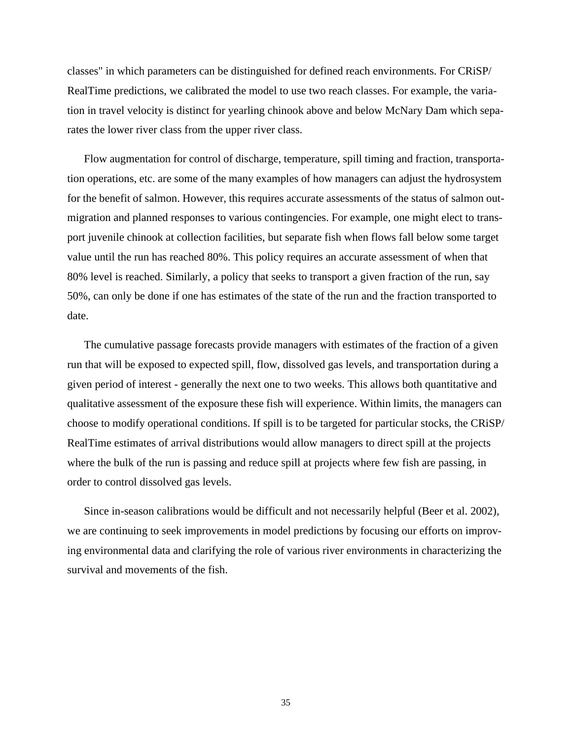classes" in which parameters can be distinguished for defined reach environments. For CRiSP/ RealTime predictions, we calibrated the model to use two reach classes. For example, the variation in travel velocity is distinct for yearling chinook above and below McNary Dam which separates the lower river class from the upper river class.

Flow augmentation for control of discharge, temperature, spill timing and fraction, transportation operations, etc. are some of the many examples of how managers can adjust the hydrosystem for the benefit of salmon. However, this requires accurate assessments of the status of salmon outmigration and planned responses to various contingencies. For example, one might elect to transport juvenile chinook at collection facilities, but separate fish when flows fall below some target value until the run has reached 80%. This policy requires an accurate assessment of when that 80% level is reached. Similarly, a policy that seeks to transport a given fraction of the run, say 50%, can only be done if one has estimates of the state of the run and the fraction transported to date.

The cumulative passage forecasts provide managers with estimates of the fraction of a given run that will be exposed to expected spill, flow, dissolved gas levels, and transportation during a given period of interest - generally the next one to two weeks. This allows both quantitative and qualitative assessment of the exposure these fish will experience. Within limits, the managers can choose to modify operational conditions. If spill is to be targeted for particular stocks, the CRiSP/ RealTime estimates of arrival distributions would allow managers to direct spill at the projects where the bulk of the run is passing and reduce spill at projects where few fish are passing, in order to control dissolved gas levels.

Since in-season calibrations would be difficult and not necessarily helpful (Beer et al. 2002), we are continuing to seek improvements in model predictions by focusing our efforts on improving environmental data and clarifying the role of various river environments in characterizing the survival and movements of the fish.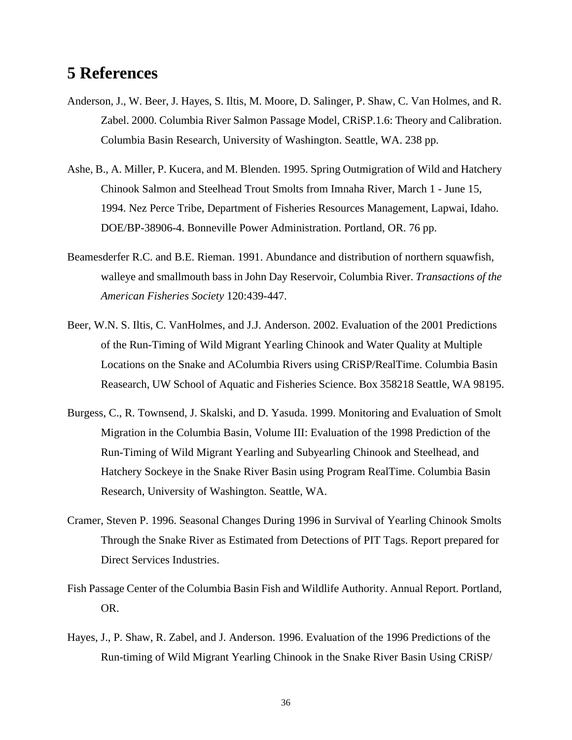# **5 References**

- Anderson, J., W. Beer, J. Hayes, S. Iltis, M. Moore, D. Salinger, P. Shaw, C. Van Holmes, and R. Zabel. 2000. Columbia River Salmon Passage Model, CRiSP.1.6: Theory and Calibration. Columbia Basin Research, University of Washington. Seattle, WA. 238 pp.
- Ashe, B., A. Miller, P. Kucera, and M. Blenden. 1995. Spring Outmigration of Wild and Hatchery Chinook Salmon and Steelhead Trout Smolts from Imnaha River, March 1 - June 15, 1994. Nez Perce Tribe, Department of Fisheries Resources Management, Lapwai, Idaho. DOE/BP-38906-4. Bonneville Power Administration. Portland, OR. 76 pp.
- Beamesderfer R.C. and B.E. Rieman. 1991. Abundance and distribution of northern squawfish, walleye and smallmouth bass in John Day Reservoir, Columbia River. *Transactions of the American Fisheries Society* 120:439-447.
- Beer, W.N. S. Iltis, C. VanHolmes, and J.J. Anderson. 2002. Evaluation of the 2001 Predictions of the Run-Timing of Wild Migrant Yearling Chinook and Water Quality at Multiple Locations on the Snake and AColumbia Rivers using CRiSP/RealTime. Columbia Basin Reasearch, UW School of Aquatic and Fisheries Science. Box 358218 Seattle, WA 98195.
- Burgess, C., R. Townsend, J. Skalski, and D. Yasuda. 1999. Monitoring and Evaluation of Smolt Migration in the Columbia Basin, Volume III: Evaluation of the 1998 Prediction of the Run-Timing of Wild Migrant Yearling and Subyearling Chinook and Steelhead, and Hatchery Sockeye in the Snake River Basin using Program RealTime. Columbia Basin Research, University of Washington. Seattle, WA.
- Cramer, Steven P. 1996. Seasonal Changes During 1996 in Survival of Yearling Chinook Smolts Through the Snake River as Estimated from Detections of PIT Tags. Report prepared for Direct Services Industries.
- Fish Passage Center of the Columbia Basin Fish and Wildlife Authority. Annual Report. Portland, OR.
- Hayes, J., P. Shaw, R. Zabel, and J. Anderson. 1996. Evaluation of the 1996 Predictions of the Run-timing of Wild Migrant Yearling Chinook in the Snake River Basin Using CRiSP/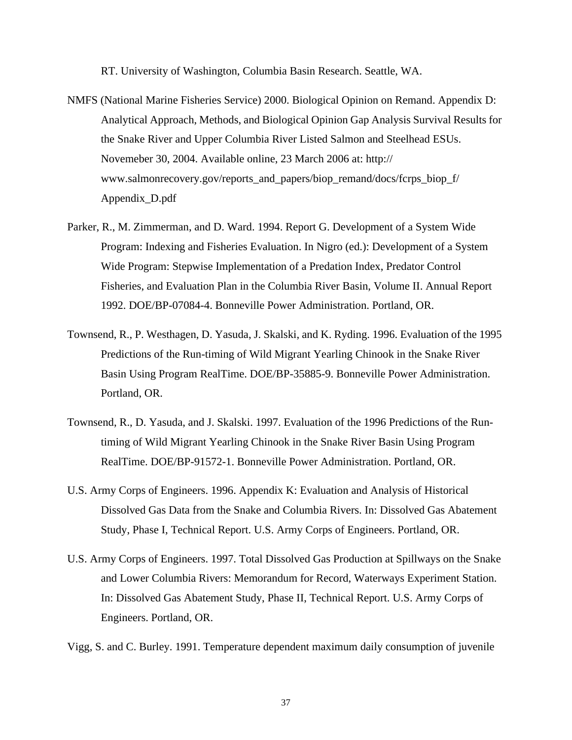RT. University of Washington, Columbia Basin Research. Seattle, WA.

- NMFS (National Marine Fisheries Service) 2000. Biological Opinion on Remand. Appendix D: Analytical Approach, Methods, and Biological Opinion Gap Analysis Survival Results for the Snake River and Upper Columbia River Listed Salmon and Steelhead ESUs. Novemeber 30, 2004. Available online, 23 March 2006 at: http:// www.salmonrecovery.gov/reports\_and\_papers/biop\_remand/docs/fcrps\_biop\_f/ Appendix\_D.pdf
- Parker, R., M. Zimmerman, and D. Ward. 1994. Report G. Development of a System Wide Program: Indexing and Fisheries Evaluation. In Nigro (ed.): Development of a System Wide Program: Stepwise Implementation of a Predation Index, Predator Control Fisheries, and Evaluation Plan in the Columbia River Basin, Volume II. Annual Report 1992. DOE/BP-07084-4. Bonneville Power Administration. Portland, OR.
- Townsend, R., P. Westhagen, D. Yasuda, J. Skalski, and K. Ryding. 1996. Evaluation of the 1995 Predictions of the Run-timing of Wild Migrant Yearling Chinook in the Snake River Basin Using Program RealTime. DOE/BP-35885-9. Bonneville Power Administration. Portland, OR.
- Townsend, R., D. Yasuda, and J. Skalski. 1997. Evaluation of the 1996 Predictions of the Runtiming of Wild Migrant Yearling Chinook in the Snake River Basin Using Program RealTime. DOE/BP-91572-1. Bonneville Power Administration. Portland, OR.
- U.S. Army Corps of Engineers. 1996. Appendix K: Evaluation and Analysis of Historical Dissolved Gas Data from the Snake and Columbia Rivers. In: Dissolved Gas Abatement Study, Phase I, Technical Report. U.S. Army Corps of Engineers. Portland, OR.
- U.S. Army Corps of Engineers. 1997. Total Dissolved Gas Production at Spillways on the Snake and Lower Columbia Rivers: Memorandum for Record, Waterways Experiment Station. In: Dissolved Gas Abatement Study, Phase II, Technical Report. U.S. Army Corps of Engineers. Portland, OR.
- Vigg, S. and C. Burley. 1991. Temperature dependent maximum daily consumption of juvenile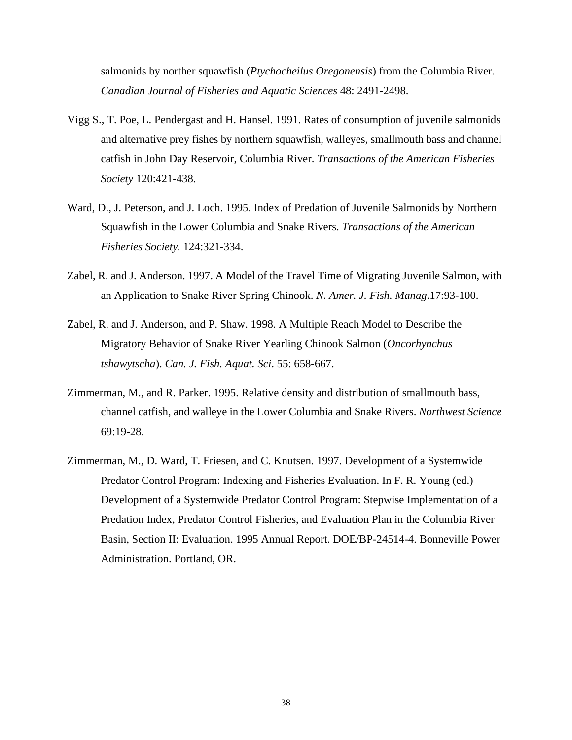salmonids by norther squawfish (*Ptychocheilus Oregonensis*) from the Columbia River. *Canadian Journal of Fisheries and Aquatic Sciences* 48: 2491-2498.

- Vigg S., T. Poe, L. Pendergast and H. Hansel. 1991. Rates of consumption of juvenile salmonids and alternative prey fishes by northern squawfish, walleyes, smallmouth bass and channel catfish in John Day Reservoir, Columbia River. *Transactions of the American Fisheries Society* 120:421-438.
- Ward, D., J. Peterson, and J. Loch. 1995. Index of Predation of Juvenile Salmonids by Northern Squawfish in the Lower Columbia and Snake Rivers. *Transactions of the American Fisheries Society.* 124:321-334.
- Zabel, R. and J. Anderson. 1997. A Model of the Travel Time of Migrating Juvenile Salmon, with an Application to Snake River Spring Chinook. *N. Amer. J. Fish. Manag*.17:93-100.
- Zabel, R. and J. Anderson, and P. Shaw. 1998. A Multiple Reach Model to Describe the Migratory Behavior of Snake River Yearling Chinook Salmon (*Oncorhynchus tshawytscha*). *Can. J. Fish. Aquat. Sci*. 55: 658-667.
- Zimmerman, M., and R. Parker. 1995. Relative density and distribution of smallmouth bass, channel catfish, and walleye in the Lower Columbia and Snake Rivers. *Northwest Science* 69:19-28.
- Zimmerman, M., D. Ward, T. Friesen, and C. Knutsen. 1997. Development of a Systemwide Predator Control Program: Indexing and Fisheries Evaluation. In F. R. Young (ed.) Development of a Systemwide Predator Control Program: Stepwise Implementation of a Predation Index, Predator Control Fisheries, and Evaluation Plan in the Columbia River Basin, Section II: Evaluation. 1995 Annual Report. DOE/BP-24514-4. Bonneville Power Administration. Portland, OR.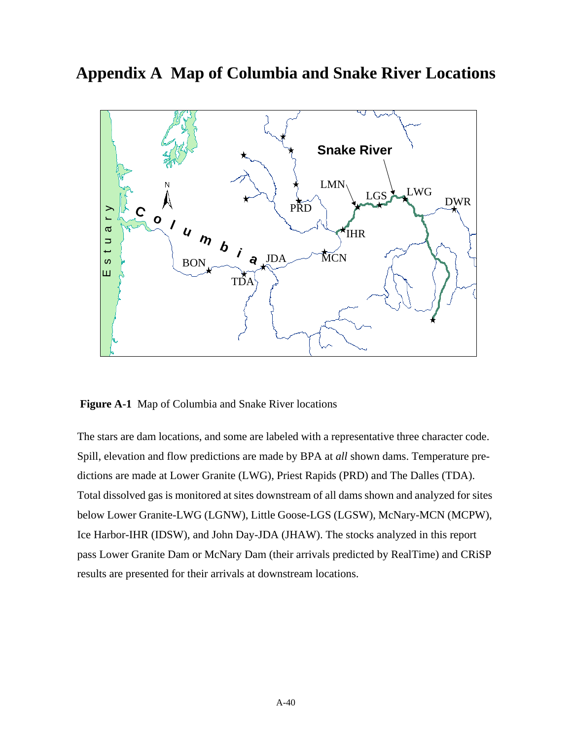#### **Appendix A Map of Columbia and Snake River Locations**



**Figure A-1** Map of Columbia and Snake River locations

The stars are dam locations, and some are labeled with a representative three character code. Spill, elevation and flow predictions are made by BPA at *all* shown dams. Temperature predictions are made at Lower Granite (LWG), Priest Rapids (PRD) and The Dalles (TDA). Total dissolved gas is monitored at sites downstream of all dams shown and analyzed for sites below Lower Granite-LWG (LGNW), Little Goose-LGS (LGSW), McNary-MCN (MCPW), Ice Harbor-IHR (IDSW), and John Day-JDA (JHAW). The stocks analyzed in this report pass Lower Granite Dam or McNary Dam (their arrivals predicted by RealTime) and CRiSP results are presented for their arrivals at downstream locations.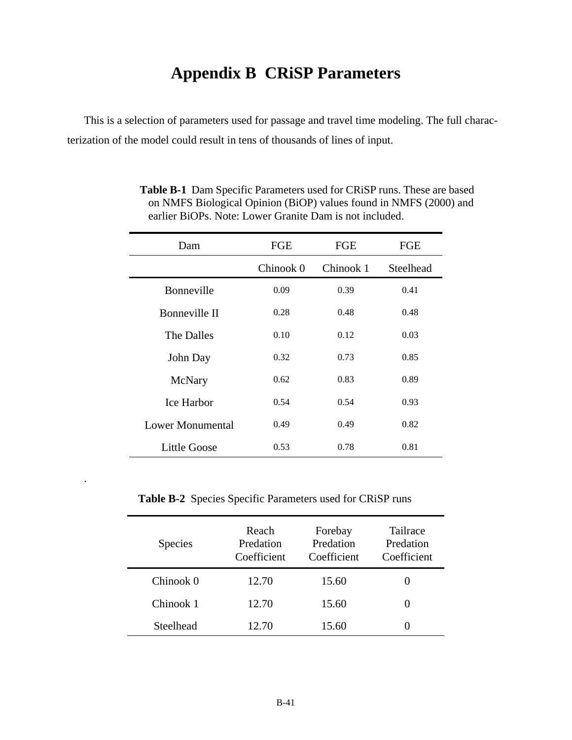# **Appendix B CRiSP Parameters**

This is a selection of parameters used for passage and travel time modeling. The full characterization of the model could result in tens of thousands of lines of input.

| Dam                 | <b>FGE</b> | <b>FGE</b> | <b>FGE</b> |
|---------------------|------------|------------|------------|
|                     | Chinook 0  | Chinook 1  | Steelhead  |
| <b>Bonneville</b>   | 0.09       | 0.39       | 0.41       |
| Bonneville II       | 0.28       | 0.48       | 0.48       |
| The Dalles          | 0.10       | 0.12       | 0.03       |
| John Day            | 0.32       | 0.73       | 0.85       |
| McNary              | 0.62       | 0.83       | 0.89       |
| <b>Ice Harbor</b>   | 0.54       | 0.54       | 0.93       |
| Lower Monumental    | 0.49       | 0.49       | 0.82       |
| <b>Little Goose</b> | 0.53       | 0.78       | 0.81       |

**Table B-1** Dam Specific Parameters used for CRiSP runs. These are based on NMFS Biological Opinion (BiOP) values found in NMFS (2000) and earlier BiOPs. Note: Lower Granite Dam is not included.

**Table B-2** Species Specific Parameters used for CRiSP runs

.

| <b>Species</b> | Reach<br>Predation<br>Coefficient | Forebay<br>Predation<br>Coefficient | <b>Tailrace</b><br>Predation<br>Coefficient |
|----------------|-----------------------------------|-------------------------------------|---------------------------------------------|
| Chinook 0      | 12.70                             | 15.60                               | 0                                           |
| Chinook 1      | 12.70                             | 15.60                               | 0                                           |
| Steelhead      | 12.70                             | 15.60                               |                                             |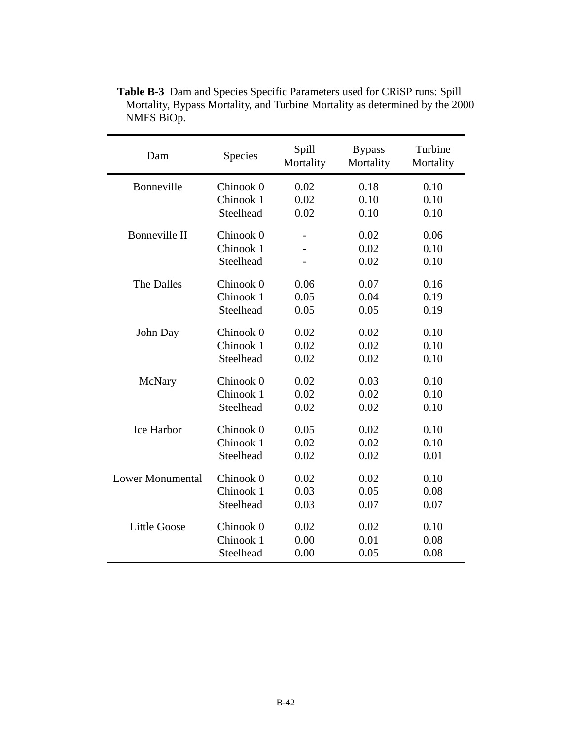| Dam                     | Species   |      | <b>Bypass</b><br>Mortality | Turbine<br>Mortality |  |
|-------------------------|-----------|------|----------------------------|----------------------|--|
| Bonneville              | Chinook 0 | 0.02 | 0.18                       | 0.10                 |  |
|                         | Chinook 1 | 0.02 | 0.10                       | 0.10                 |  |
|                         | Steelhead | 0.02 | 0.10                       | 0.10                 |  |
|                         |           |      |                            |                      |  |
| Bonneville II           | Chinook 0 |      | 0.02                       | 0.06                 |  |
|                         | Chinook 1 |      | 0.02                       | 0.10                 |  |
|                         | Steelhead |      | 0.02                       | 0.10                 |  |
| The Dalles              | Chinook 0 | 0.06 | 0.07                       | 0.16                 |  |
|                         | Chinook 1 | 0.05 | 0.04                       | 0.19                 |  |
|                         | Steelhead | 0.05 | 0.05                       | 0.19                 |  |
|                         |           |      |                            |                      |  |
| John Day                | Chinook 0 | 0.02 | 0.02                       | 0.10                 |  |
|                         | Chinook 1 | 0.02 | 0.02                       | 0.10                 |  |
|                         | Steelhead | 0.02 | 0.02                       | 0.10                 |  |
| McNary                  | Chinook 0 | 0.02 | 0.03                       | 0.10                 |  |
|                         | Chinook 1 | 0.02 | 0.02                       | 0.10                 |  |
|                         | Steelhead | 0.02 | 0.02                       | 0.10                 |  |
|                         |           |      |                            |                      |  |
| <b>Ice Harbor</b>       | Chinook 0 | 0.05 | 0.02                       | 0.10                 |  |
|                         | Chinook 1 | 0.02 | 0.02                       | 0.10                 |  |
|                         | Steelhead | 0.02 | 0.02                       | 0.01                 |  |
| <b>Lower Monumental</b> |           |      |                            |                      |  |
|                         | Chinook 0 | 0.02 | 0.02                       | 0.10                 |  |
|                         | Chinook 1 | 0.03 | 0.05                       | 0.08                 |  |
|                         | Steelhead | 0.03 | 0.07                       | 0.07                 |  |
| <b>Little Goose</b>     | Chinook 0 | 0.02 | 0.02                       | 0.10                 |  |
|                         | Chinook 1 | 0.00 | 0.01                       | 0.08                 |  |
|                         | Steelhead | 0.00 | 0.05                       | 0.08                 |  |

**Table B-3** Dam and Species Specific Parameters used for CRiSP runs: Spill Mortality, Bypass Mortality, and Turbine Mortality as determined by the 2000 NMFS BiOp.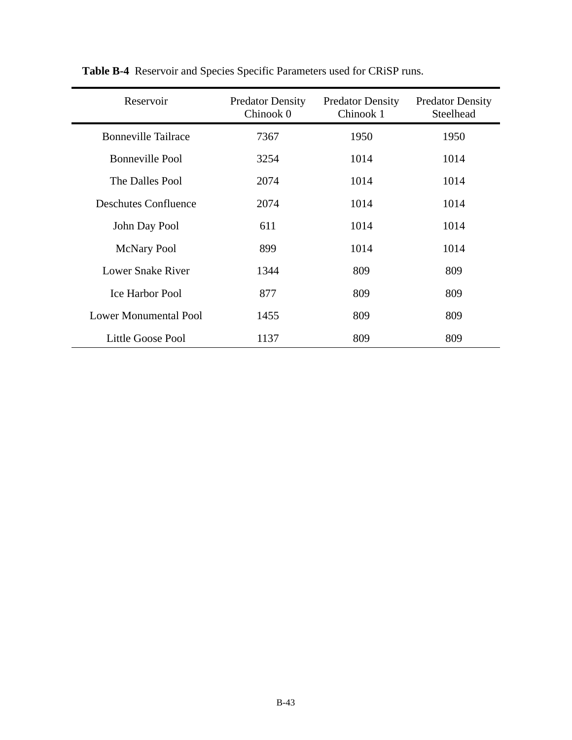| Reservoir                    | <b>Predator Density</b><br>Chinook 0 | <b>Predator Density</b><br>Chinook 1 | <b>Predator Density</b><br>Steelhead |
|------------------------------|--------------------------------------|--------------------------------------|--------------------------------------|
| <b>Bonneville Tailrace</b>   | 7367                                 | 1950                                 | 1950                                 |
| <b>Bonneville Pool</b>       | 3254                                 | 1014                                 | 1014                                 |
| The Dalles Pool              | 2074                                 | 1014                                 | 1014                                 |
| <b>Deschutes Confluence</b>  | 2074                                 | 1014                                 | 1014                                 |
| John Day Pool                | 611                                  | 1014                                 | 1014                                 |
| <b>McNary Pool</b>           | 899                                  | 1014                                 | 1014                                 |
| Lower Snake River            | 1344                                 | 809                                  | 809                                  |
| <b>Ice Harbor Pool</b>       | 877                                  | 809                                  | 809                                  |
| <b>Lower Monumental Pool</b> | 1455                                 | 809                                  | 809                                  |
| Little Goose Pool            | 1137                                 | 809                                  | 809                                  |

**Table B-4** Reservoir and Species Specific Parameters used for CRiSP runs.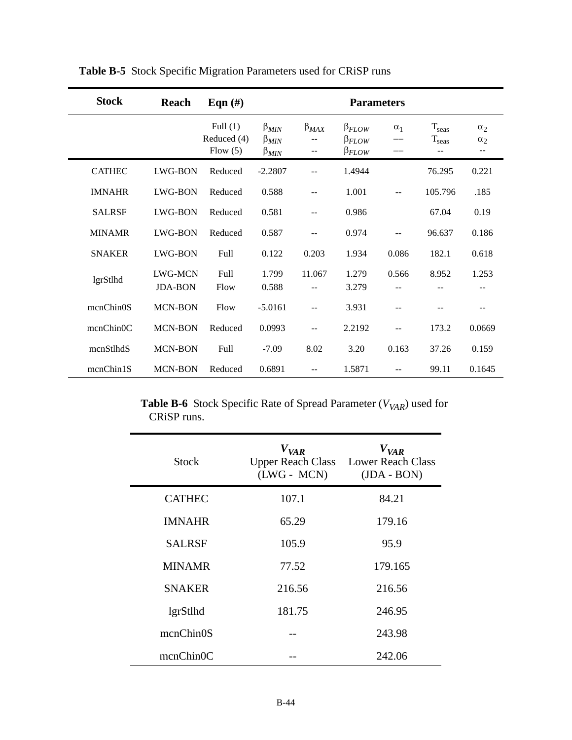| <b>Stock</b>  | Reach                     | Eqn $(\#)$                              | <b>Parameters</b>                               |                     |                                                    |            |                                                   |                        |
|---------------|---------------------------|-----------------------------------------|-------------------------------------------------|---------------------|----------------------------------------------------|------------|---------------------------------------------------|------------------------|
|               |                           | Full $(1)$<br>Reduced (4)<br>Flow $(5)$ | $\beta_{MIN}$<br>$\beta_{MIN}$<br>$\beta_{MIN}$ | $\beta_{MAX}$<br>-- | $\beta_{FLOW}$<br>$\beta_{FLOW}$<br>$\beta_{FLOW}$ | $\alpha_1$ | $T_{\text{seas}}$<br>$\mathrm{T_{seas}}$<br>$- -$ | $\alpha$<br>$\alpha_2$ |
| <b>CATHEC</b> | LWG-BON                   | Reduced                                 | $-2.2807$                                       |                     | 1.4944                                             |            | 76.295                                            | 0.221                  |
| <b>IMNAHR</b> | LWG-BON                   | Reduced                                 | 0.588                                           | --                  | 1.001                                              | --         | 105.796                                           | .185                   |
| <b>SALRSF</b> | LWG-BON                   | Reduced                                 | 0.581                                           | --                  | 0.986                                              |            | 67.04                                             | 0.19                   |
| <b>MINAMR</b> | LWG-BON                   | Reduced                                 | 0.587                                           | --                  | 0.974                                              | --         | 96.637                                            | 0.186                  |
| <b>SNAKER</b> | LWG-BON                   | Full                                    | 0.122                                           | 0.203               | 1.934                                              | 0.086      | 182.1                                             | 0.618                  |
| lgrStlhd      | LWG-MCN<br><b>JDA-BON</b> | Full<br>Flow                            | 1.799<br>0.588                                  | 11.067<br>--        | 1.279<br>3.279                                     | 0.566      | 8.952                                             | 1.253                  |
| mcnChin0S     | MCN-BON                   | Flow                                    | $-5.0161$                                       | $-$                 | 3.931                                              | $-$        |                                                   |                        |
| mcnChinOC     | <b>MCN-BON</b>            | Reduced                                 | 0.0993                                          | --                  | 2.2192                                             | $- -$      | 173.2                                             | 0.0669                 |
| mcnStlhdS     | MCN-BON                   | Full                                    | $-7.09$                                         | 8.02                | 3.20                                               | 0.163      | 37.26                                             | 0.159                  |
| mcnChin1S     | MCN-BON                   | Reduced                                 | 0.6891                                          | --                  | 1.5871                                             | $-$        | 99.11                                             | 0.1645                 |

**Table B-5** Stock Specific Migration Parameters used for CRiSP runs

**Table B-6** Stock Specific Rate of Spread Parameter ( $V_{VAR}$ ) used for CRiSP runs.

| <b>Stock</b>           | $V_{VAR}$<br>$(LWG - MCN)$ | $V_{VAR}$<br>Upper Reach Class Lower Reach Class<br>$(JDA - BON)$ |
|------------------------|----------------------------|-------------------------------------------------------------------|
| <b>CATHEC</b>          | 107.1                      | 84.21                                                             |
| <b>IMNAHR</b>          | 65.29                      | 179.16                                                            |
| <b>SALRSF</b>          | 105.9                      | 95.9                                                              |
| <b>MINAMR</b>          | 77.52                      | 179.165                                                           |
| <b>SNAKER</b>          | 216.56                     | 216.56                                                            |
| lgrStlhd               | 181.75                     | 246.95                                                            |
| mcnChin <sub>0</sub> S |                            | 243.98                                                            |
| mcnChin0C              |                            | 242.06                                                            |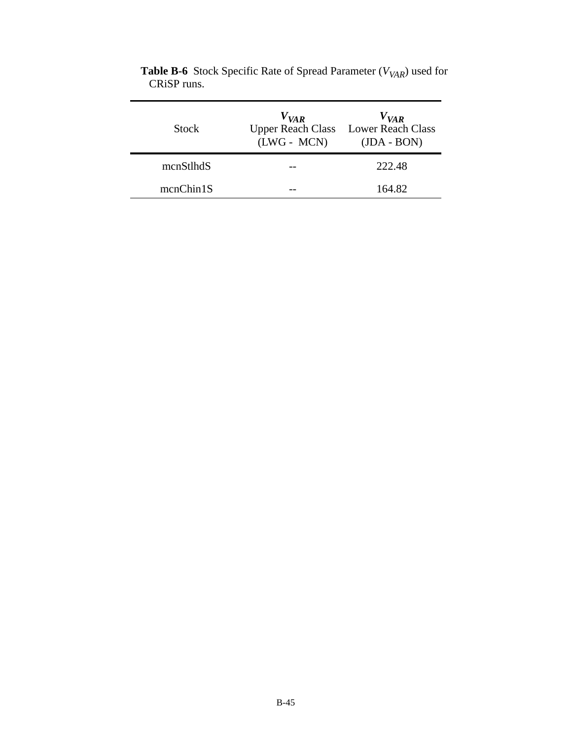| <b>Stock</b> | $V_{VAR}$<br>$(LWG - MCN)$ | $V_{VAR}$<br>Upper Reach Class Lower Reach Class<br>$(JDA - BON)$ |
|--------------|----------------------------|-------------------------------------------------------------------|
| mcnStlhdS    |                            | 222.48                                                            |
| mcnChin1S    |                            | 164.82                                                            |

**Table B-6** Stock Specific Rate of Spread Parameter ( $V_{VAR}$ ) used for CRiSP runs.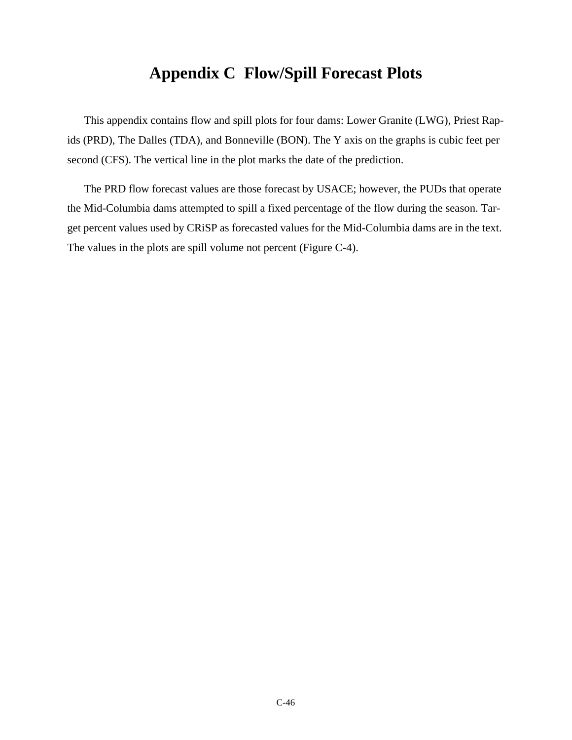## **Appendix C Flow/Spill Forecast Plots**

This appendix contains flow and spill plots for four dams: Lower Granite (LWG), Priest Rapids (PRD), The Dalles (TDA), and Bonneville (BON). The Y axis on the graphs is cubic feet per second (CFS). The vertical line in the plot marks the date of the prediction.

The PRD flow forecast values are those forecast by USACE; however, the PUDs that operate the Mid-Columbia dams attempted to spill a fixed percentage of the flow during the season. Target percent values used by CRiSP as forecasted values for the Mid-Columbia dams are in the text. The values in the plots are spill volume not percent [\(Figure C-4\)](#page-50-0).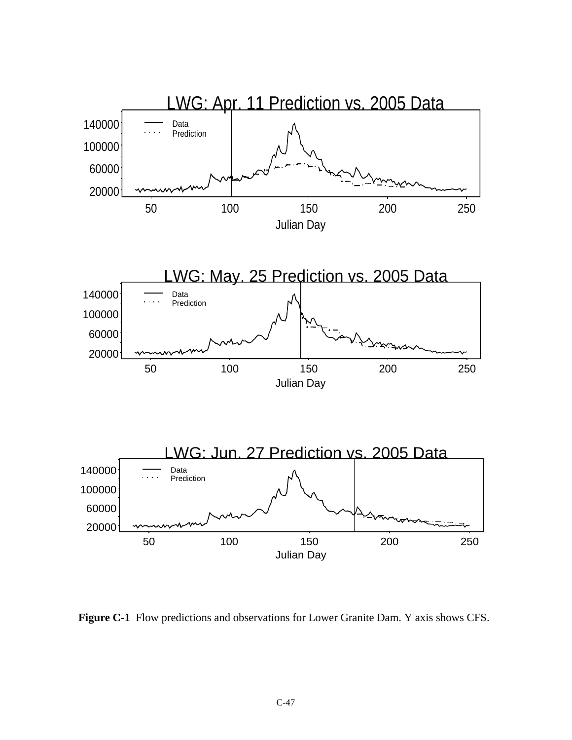

 **Figure C-1** Flow predictions and observations for Lower Granite Dam. Y axis shows CFS.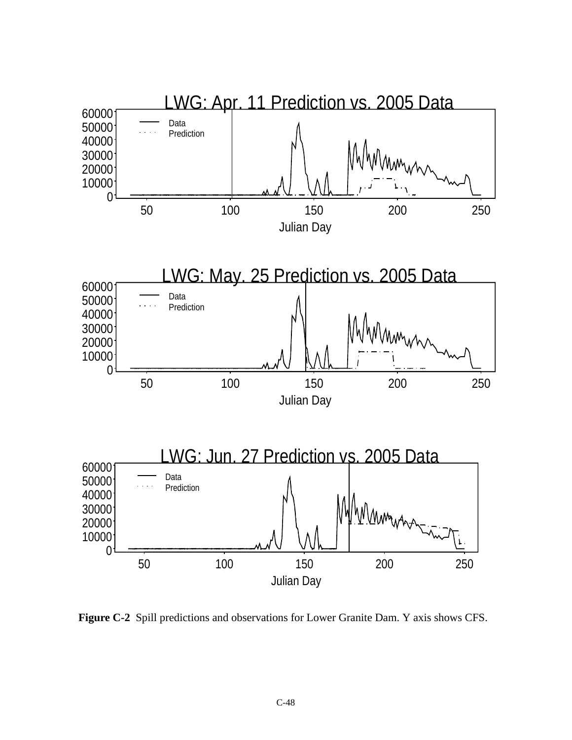

 **Figure C-2** Spill predictions and observations for Lower Granite Dam. Y axis shows CFS.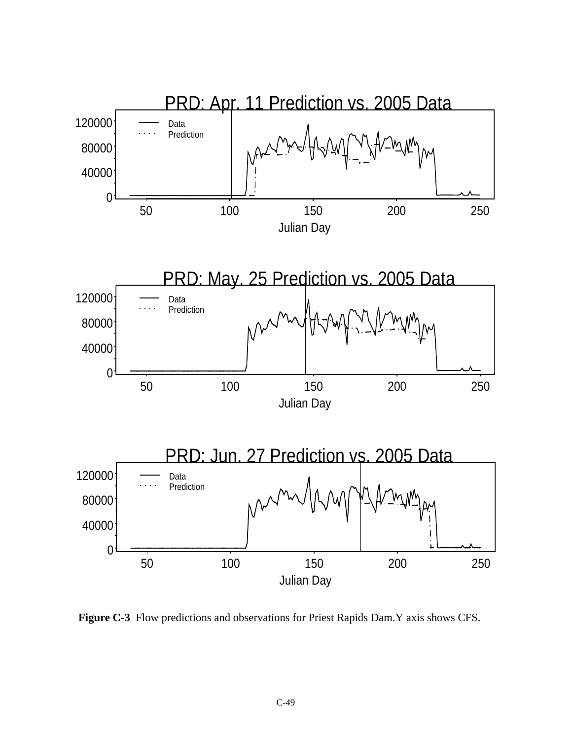

 **Figure C-3** Flow predictions and observations for Priest Rapids Dam.Y axis shows CFS.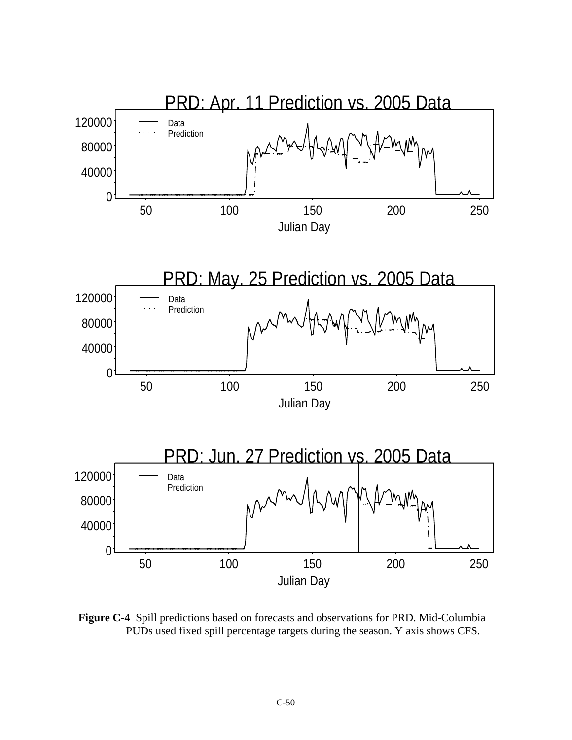

<span id="page-50-0"></span> **Figure C-4** Spill predictions based on forecasts and observations for PRD. Mid-Columbia PUDs used fixed spill percentage targets during the season. Y axis shows CFS.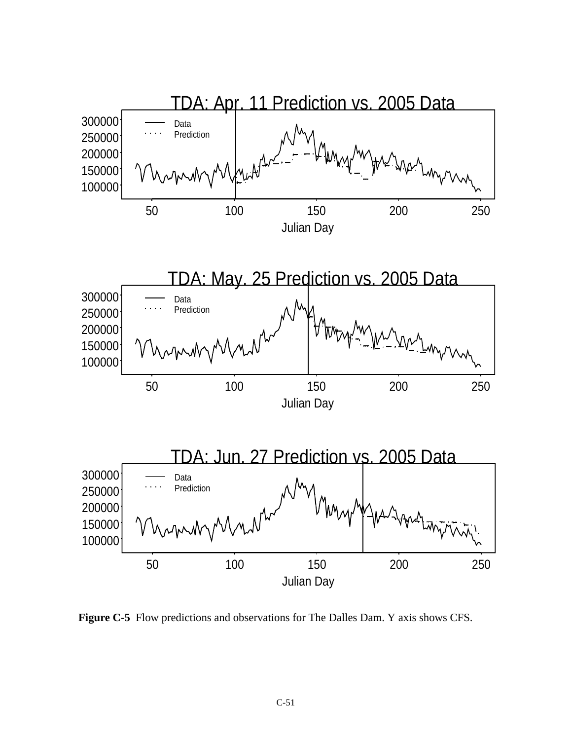

 **Figure C-5** Flow predictions and observations for The Dalles Dam. Y axis shows CFS.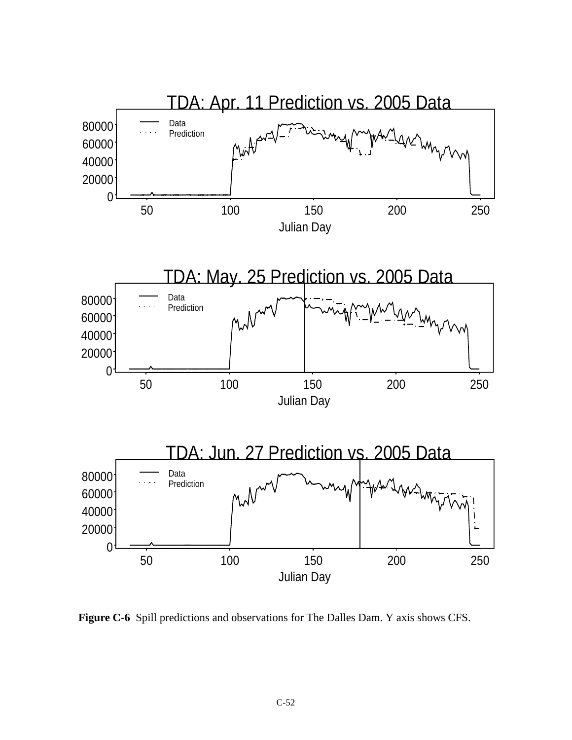

 **Figure C-6** Spill predictions and observations for The Dalles Dam. Y axis shows CFS.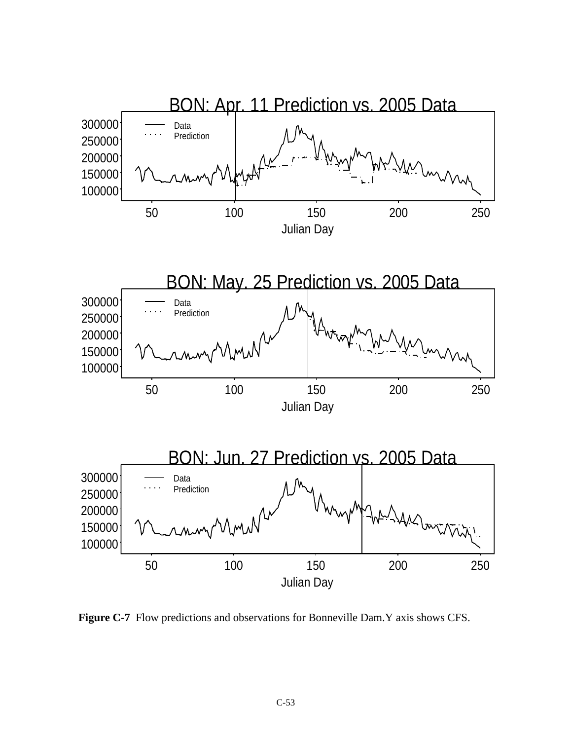

 **Figure C-7** Flow predictions and observations for Bonneville Dam.Y axis shows CFS.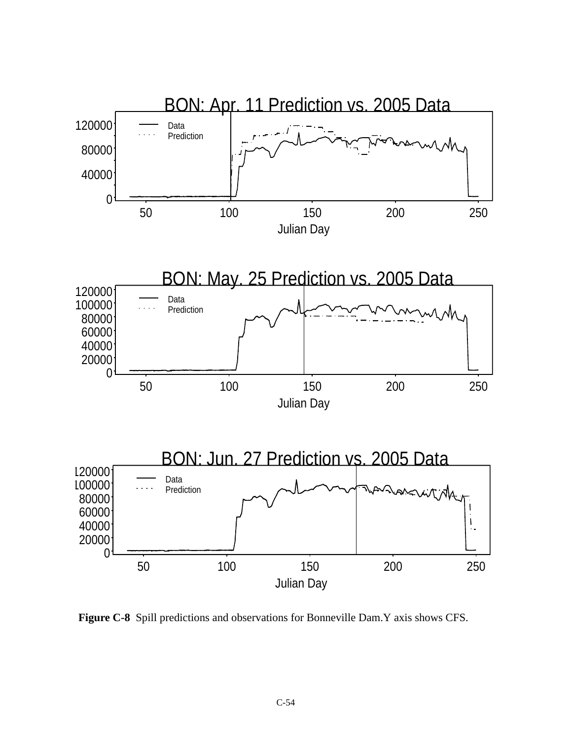

 **Figure C-8** Spill predictions and observations for Bonneville Dam.Y axis shows CFS.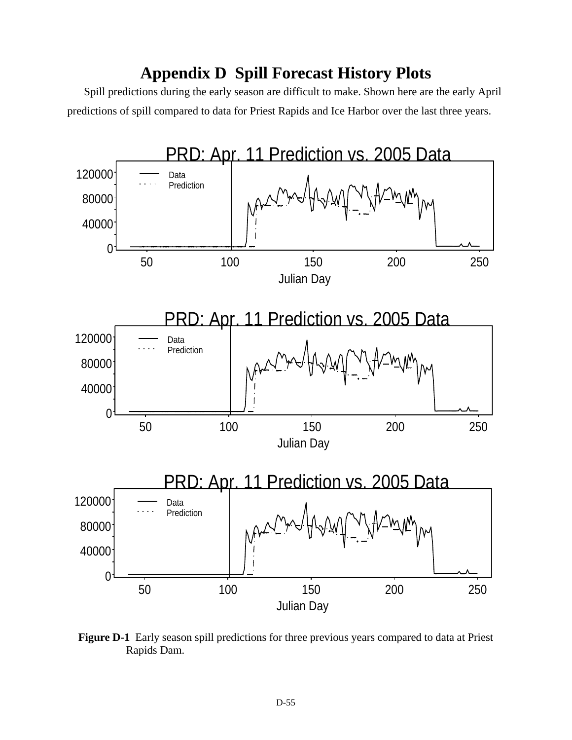# **Appendix D Spill Forecast History Plots**

Spill predictions during the early season are difficult to make. Shown here are the early April predictions of spill compared to data for Priest Rapids and Ice Harbor over the last three years.



 **Figure D-1** Early season spill predictions for three previous years compared to data at Priest Rapids Dam.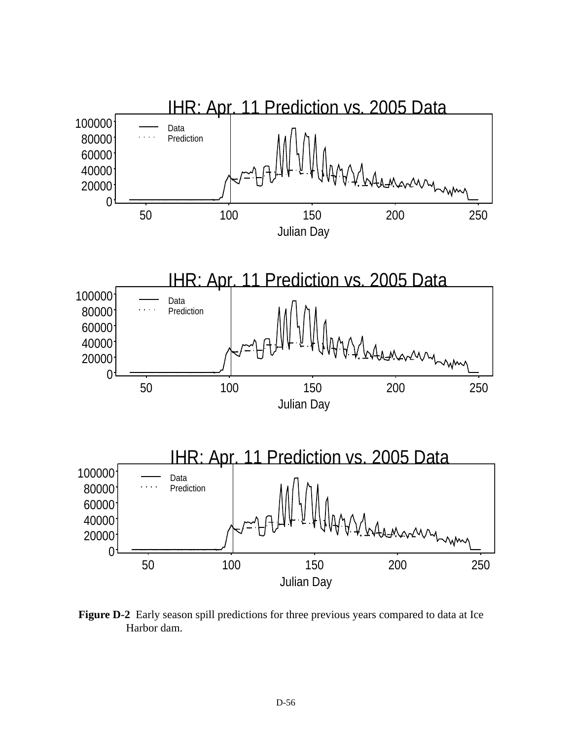

 **Figure D-2** Early season spill predictions for three previous years compared to data at Ice Harbor dam.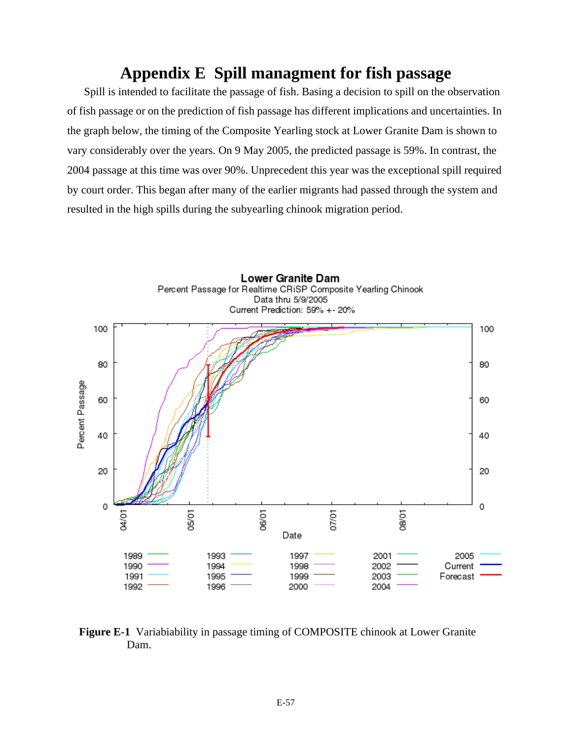#### **Appendix E Spill managment for fish passage**

Spill is intended to facilitate the passage of fish. Basing a decision to spill on the observation of fish passage or on the prediction of fish passage has different implications and uncertainties. In the graph below, the timing of the Composite Yearling stock at Lower Granite Dam is shown to vary considerably over the years. On 9 May 2005, the predicted passage is 59%. In contrast, the 2004 passage at this time was over 90%. Unprecedent this year was the exceptional spill required by court order. This began after many of the earlier migrants had passed through the system and resulted in the high spills during the subyearling chinook migration period.



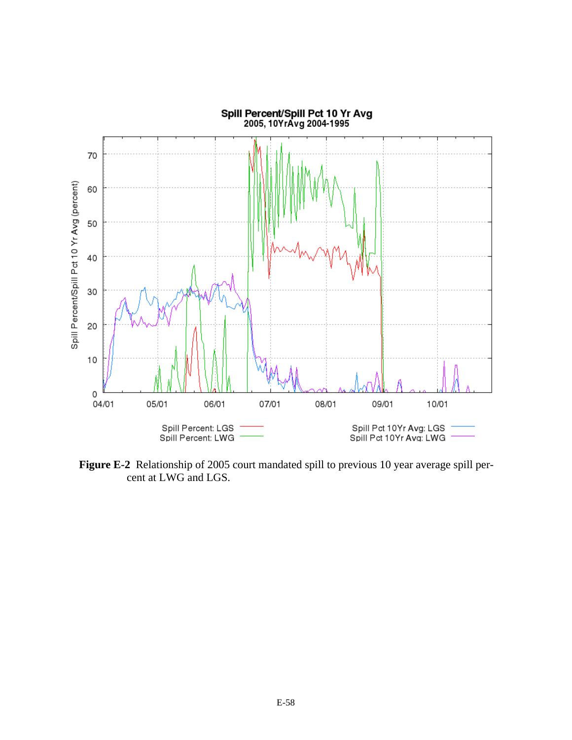

 **Figure E-2** Relationship of 2005 court mandated spill to previous 10 year average spill percent at LWG and LGS.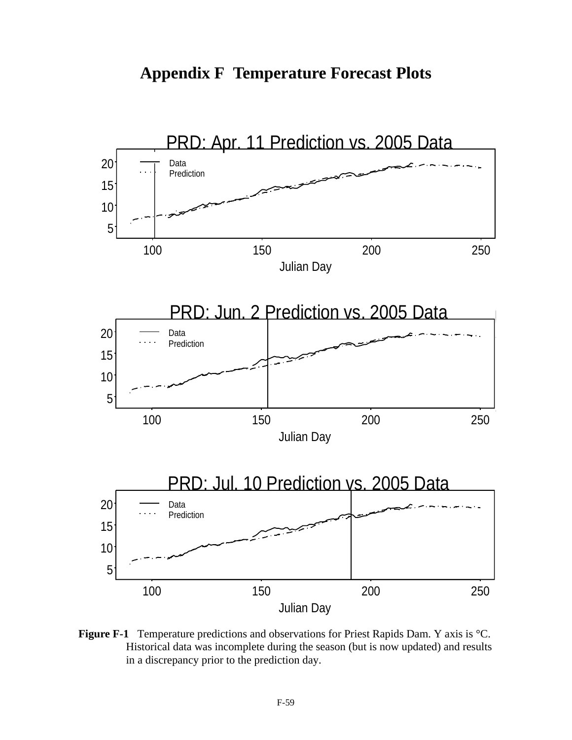



 **Figure F-1** Temperature predictions and observations for Priest Rapids Dam. Y axis is °C. Historical data was incomplete during the season (but is now updated) and results in a discrepancy prior to the prediction day.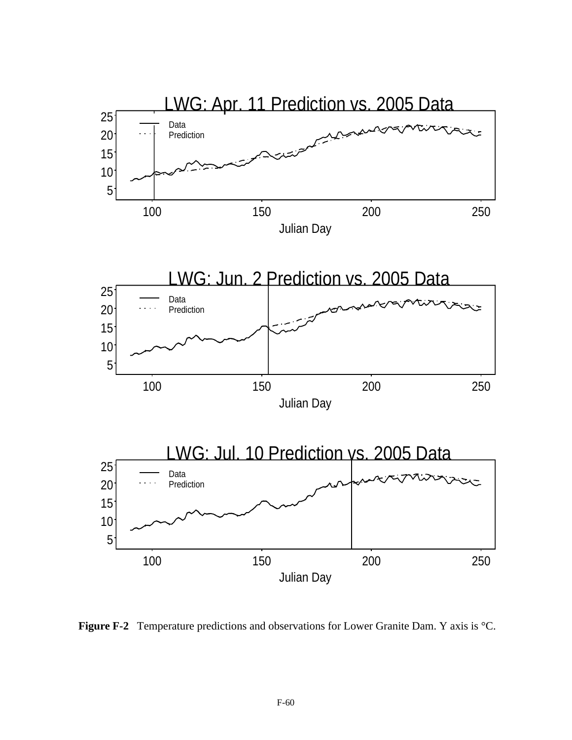

 **Figure F-2** Temperature predictions and observations for Lower Granite Dam. Y axis is °C.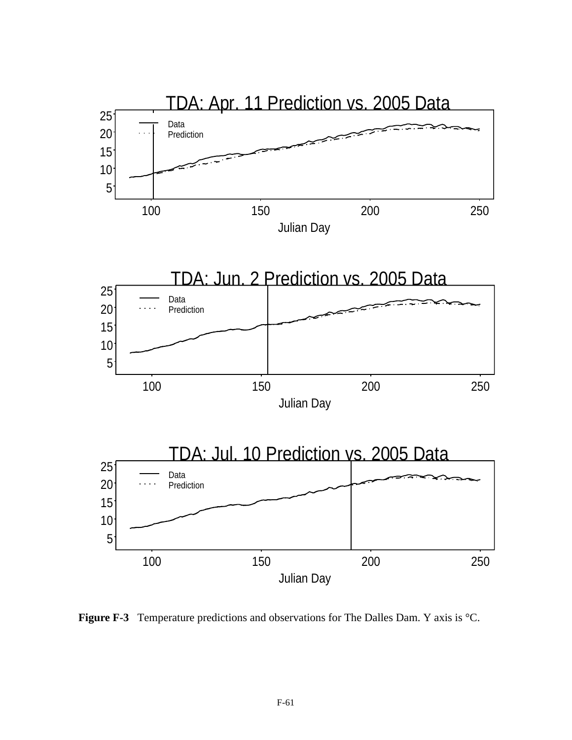

 **Figure F-3** Temperature predictions and observations for The Dalles Dam. Y axis is °C.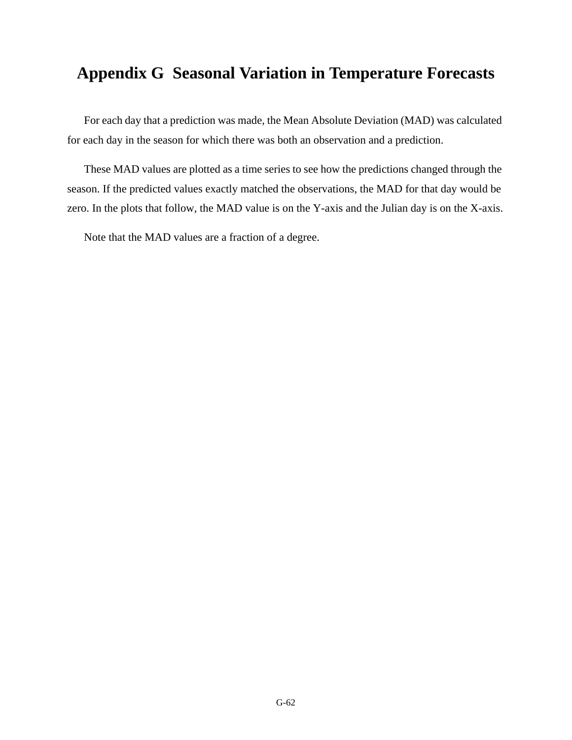## **Appendix G Seasonal Variation in Temperature Forecasts**

For each day that a prediction was made, the Mean Absolute Deviation (MAD) was calculated for each day in the season for which there was both an observation and a prediction.

These MAD values are plotted as a time series to see how the predictions changed through the season. If the predicted values exactly matched the observations, the MAD for that day would be zero. In the plots that follow, the MAD value is on the Y-axis and the Julian day is on the X-axis.

Note that the MAD values are a fraction of a degree.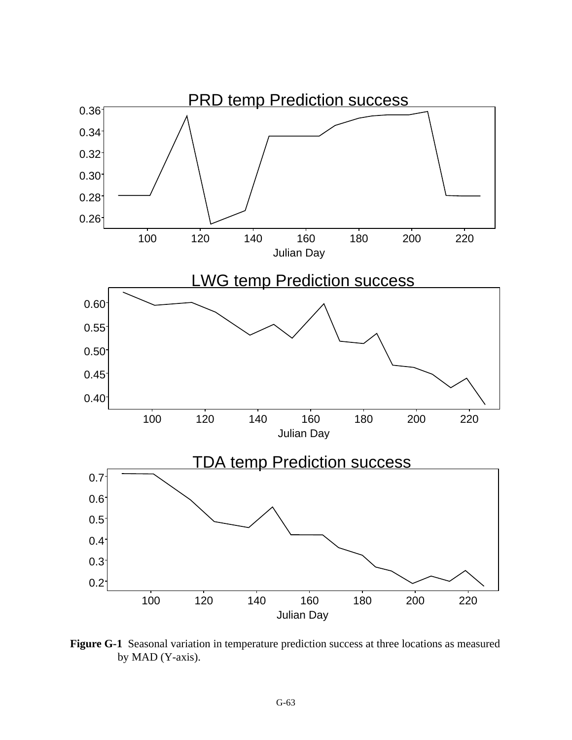

 **Figure G-1** Seasonal variation in temperature prediction success at three locations as measured by MAD (Y-axis).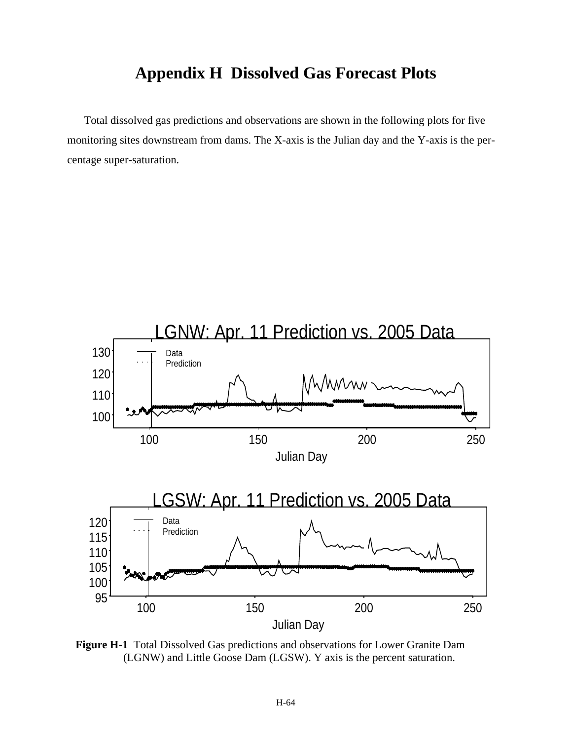### **Appendix H Dissolved Gas Forecast Plots**

Total dissolved gas predictions and observations are shown in the following plots for five monitoring sites downstream from dams. The X-axis is the Julian day and the Y-axis is the percentage super-saturation.



 **Figure H-1** Total Dissolved Gas predictions and observations for Lower Granite Dam (LGNW) and Little Goose Dam (LGSW). Y axis is the percent saturation.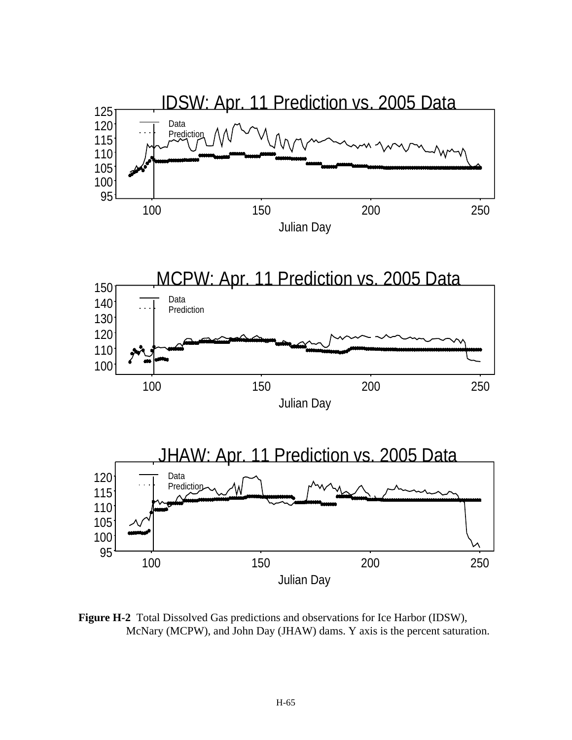

 **Figure H-2** Total Dissolved Gas predictions and observations for Ice Harbor (IDSW), McNary (MCPW), and John Day (JHAW) dams. Y axis is the percent saturation.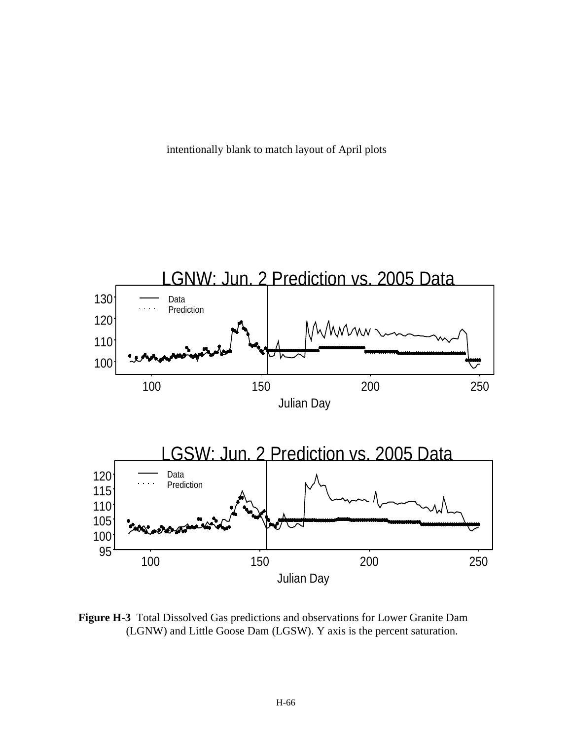intentionally blank to match layout of April plots



 **Figure H-3** Total Dissolved Gas predictions and observations for Lower Granite Dam (LGNW) and Little Goose Dam (LGSW). Y axis is the percent saturation.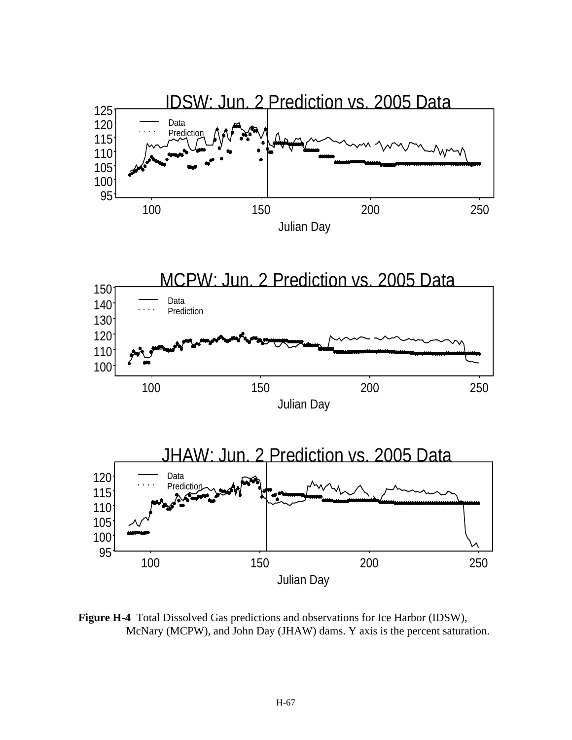

 **Figure H-4** Total Dissolved Gas predictions and observations for Ice Harbor (IDSW), McNary (MCPW), and John Day (JHAW) dams. Y axis is the percent saturation.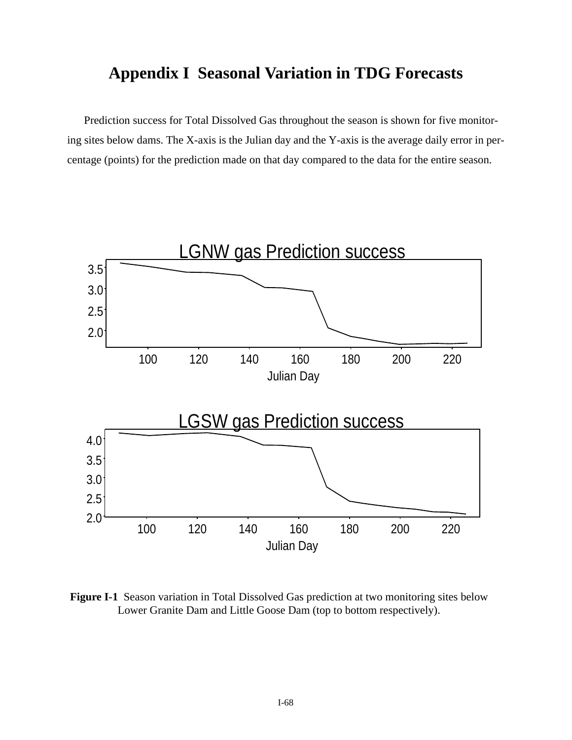#### **Appendix I Seasonal Variation in TDG Forecasts**

Prediction success for Total Dissolved Gas throughout the season is shown for five monitoring sites below dams. The X-axis is the Julian day and the Y-axis is the average daily error in percentage (points) for the prediction made on that day compared to the data for the entire season.



 **Figure I-1** Season variation in Total Dissolved Gas prediction at two monitoring sites below Lower Granite Dam and Little Goose Dam (top to bottom respectively).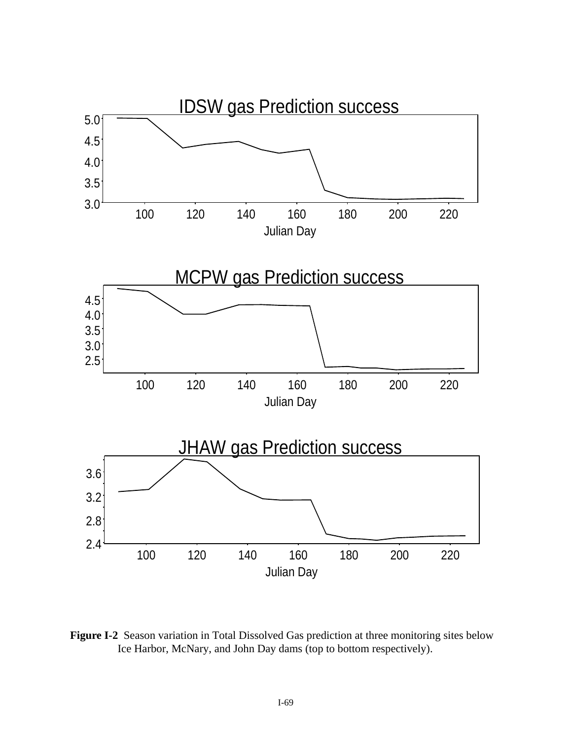

 **Figure I-2** Season variation in Total Dissolved Gas prediction at three monitoring sites below Ice Harbor, McNary, and John Day dams (top to bottom respectively).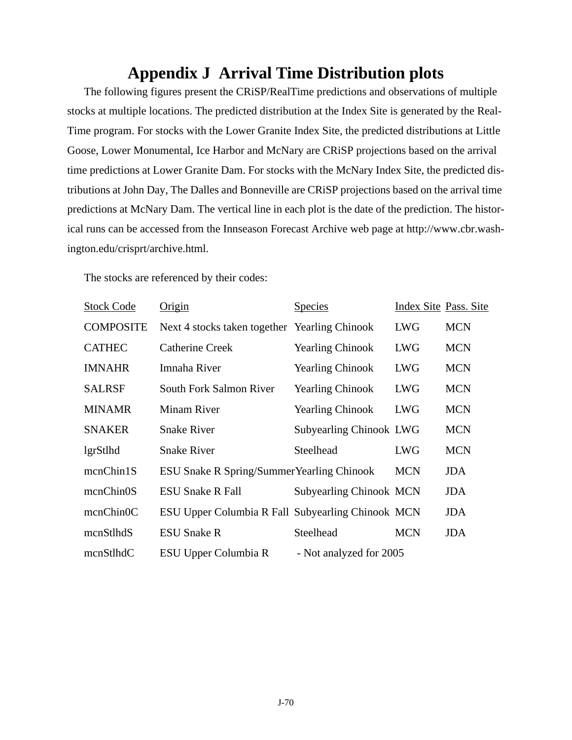# **Appendix J Arrival Time Distribution plots**

The following figures present the CRiSP/RealTime predictions and observations of multiple stocks at multiple locations. The predicted distribution at the Index Site is generated by the Real-Time program. For stocks with the Lower Granite Index Site, the predicted distributions at Little Goose, Lower Monumental, Ice Harbor and McNary are CRiSP projections based on the arrival time predictions at Lower Granite Dam. For stocks with the McNary Index Site, the predicted distributions at John Day, The Dalles and Bonneville are CRiSP projections based on the arrival time predictions at McNary Dam. The vertical line in each plot is the date of the prediction. The historical runs can be accessed from the Innseason Forecast Archive web page at http://www.cbr.washington.edu/crisprt/archive.html.

The stocks are referenced by their codes:

| <b>Stock Code</b> | Origin                                            | <b>Species</b>                 | Index Site Pass. Site |            |
|-------------------|---------------------------------------------------|--------------------------------|-----------------------|------------|
| <b>COMPOSITE</b>  | Next 4 stocks taken together Yearling Chinook     |                                | <b>LWG</b>            | <b>MCN</b> |
| <b>CATHEC</b>     | <b>Catherine Creek</b>                            | <b>Yearling Chinook</b>        | <b>LWG</b>            | <b>MCN</b> |
| <b>IMNAHR</b>     | Imnaha River                                      | <b>Yearling Chinook</b>        | <b>LWG</b>            | <b>MCN</b> |
| <b>SALRSF</b>     | South Fork Salmon River                           | <b>Yearling Chinook</b>        | <b>LWG</b>            | <b>MCN</b> |
| <b>MINAMR</b>     | <b>Minam River</b>                                | <b>Yearling Chinook</b>        | <b>LWG</b>            | <b>MCN</b> |
| <b>SNAKER</b>     | <b>Snake River</b>                                | Subyearling Chinook LWG        |                       | <b>MCN</b> |
| lgrStlhd          | <b>Snake River</b>                                | Steelhead                      | <b>LWG</b>            | <b>MCN</b> |
| mcnChin1S         | ESU Snake R Spring/Summer Yearling Chinook        |                                | <b>MCN</b>            | JDA.       |
| mcnChin0S         | <b>ESU Snake R Fall</b>                           | <b>Subyearling Chinook MCN</b> |                       | <b>JDA</b> |
| mcnChinOC         | ESU Upper Columbia R Fall Subyearling Chinook MCN |                                |                       | JDA        |
| mcnStlhdS         | <b>ESU Snake R</b>                                | Steelhead                      | <b>MCN</b>            | <b>JDA</b> |
| mcnStlhdC         | ESU Upper Columbia R                              | - Not analyzed for 2005        |                       |            |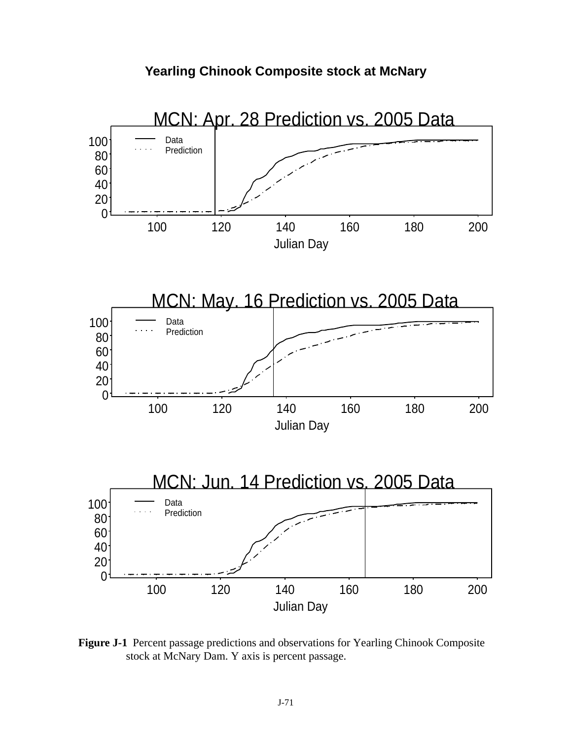



 **Figure J-1** Percent passage predictions and observations for Yearling Chinook Composite stock at McNary Dam. Y axis is percent passage.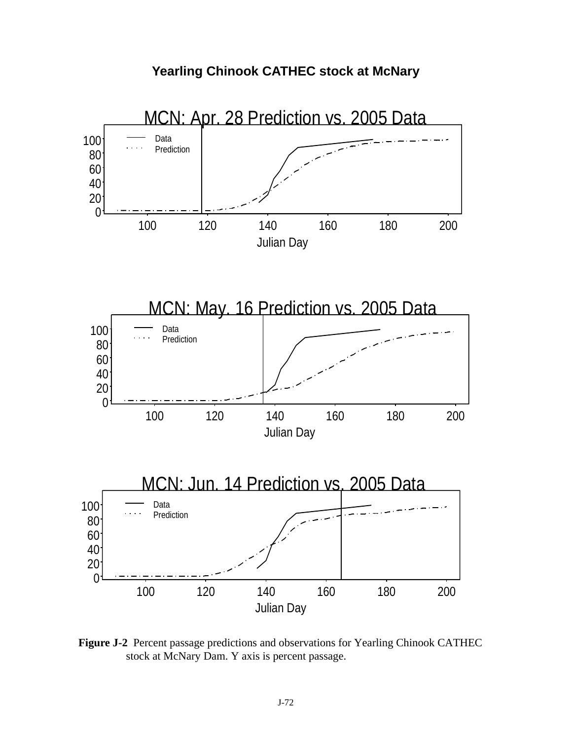

 **Figure J-2** Percent passage predictions and observations for Yearling Chinook CATHEC stock at McNary Dam. Y axis is percent passage.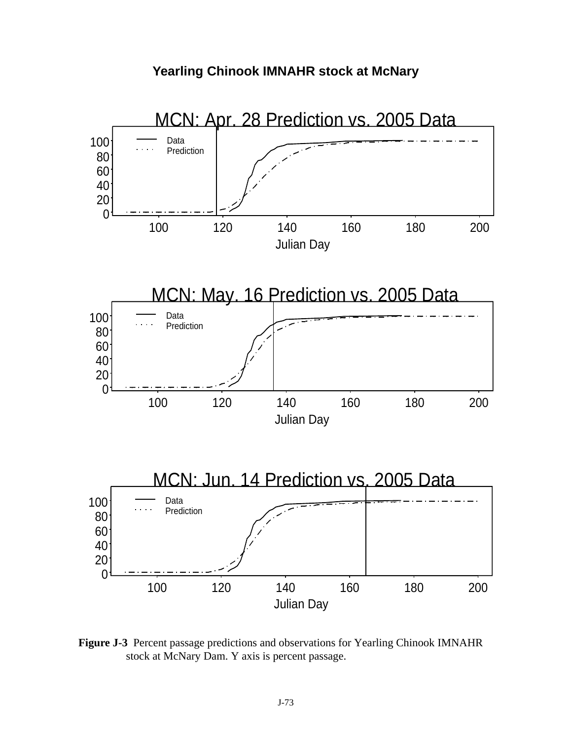

 **Figure J-3** Percent passage predictions and observations for Yearling Chinook IMNAHR stock at McNary Dam. Y axis is percent passage.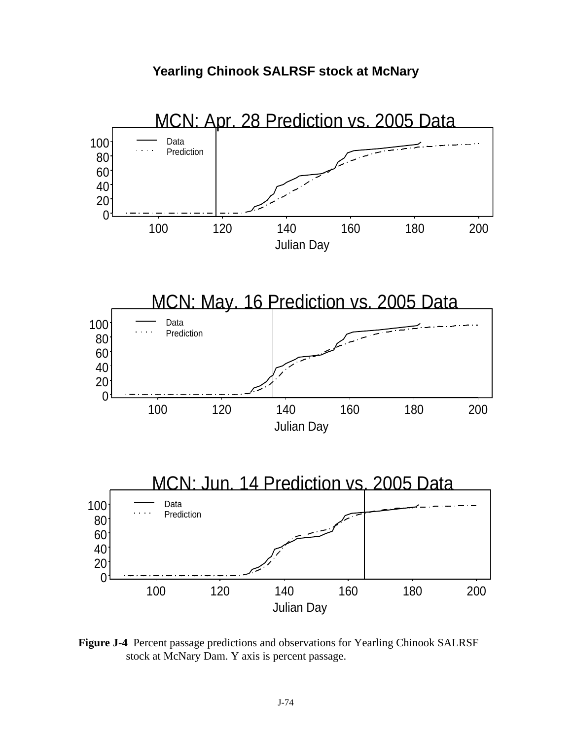

**Yearling Chinook SALRSF stock at McNary** 

 **Figure J-4** Percent passage predictions and observations for Yearling Chinook SALRSF stock at McNary Dam. Y axis is percent passage.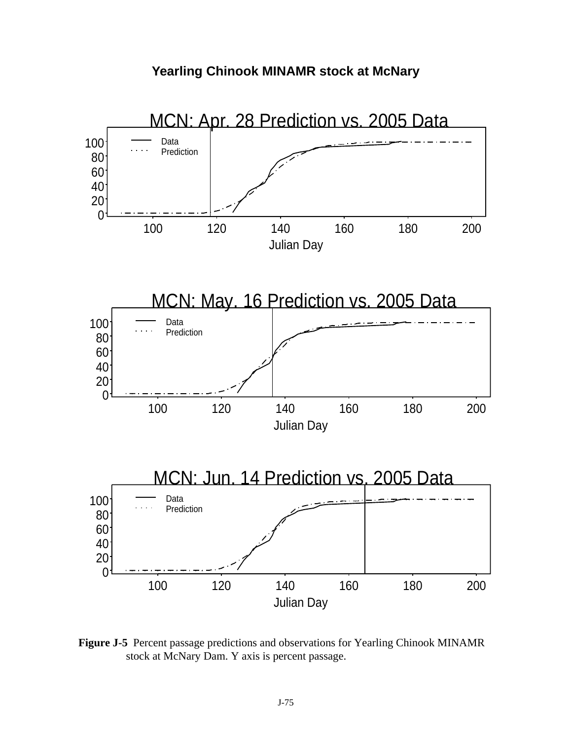

**Yearling Chinook MINAMR stock at McNary** 

 **Figure J-5** Percent passage predictions and observations for Yearling Chinook MINAMR stock at McNary Dam. Y axis is percent passage.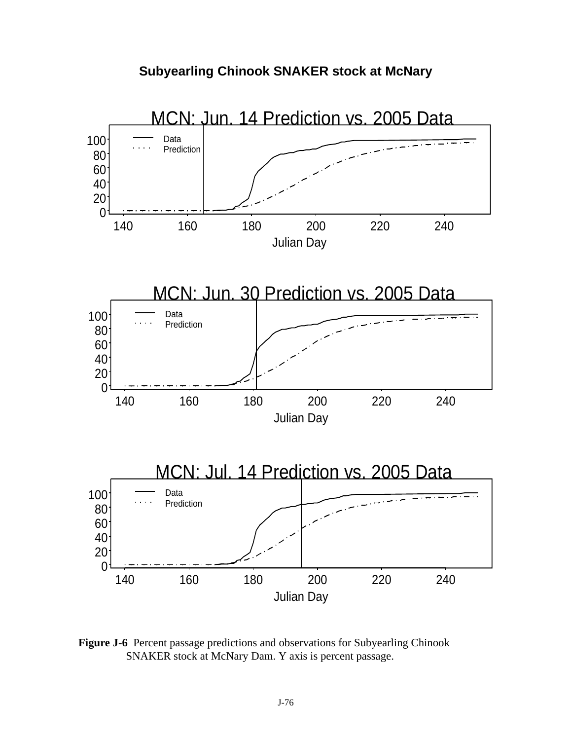



 **Figure J-6** Percent passage predictions and observations for Subyearling Chinook SNAKER stock at McNary Dam. Y axis is percent passage.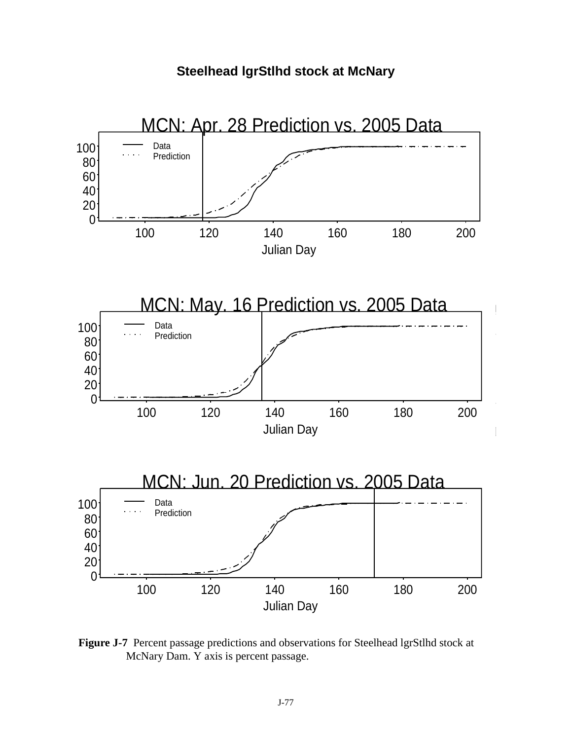**Steelhead lgrStlhd stock at McNary**



 **Figure J-7** Percent passage predictions and observations for Steelhead lgrStlhd stock at McNary Dam. Y axis is percent passage.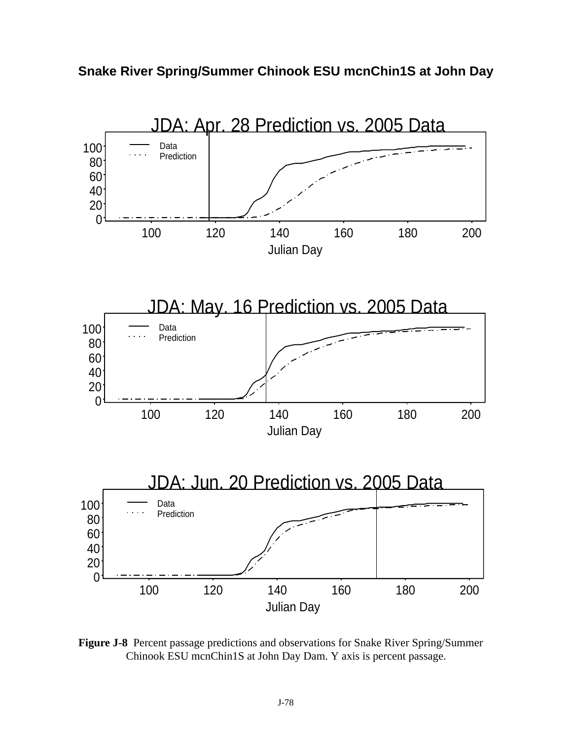



 **Figure J-8** Percent passage predictions and observations for Snake River Spring/Summer Chinook ESU mcnChin1S at John Day Dam. Y axis is percent passage.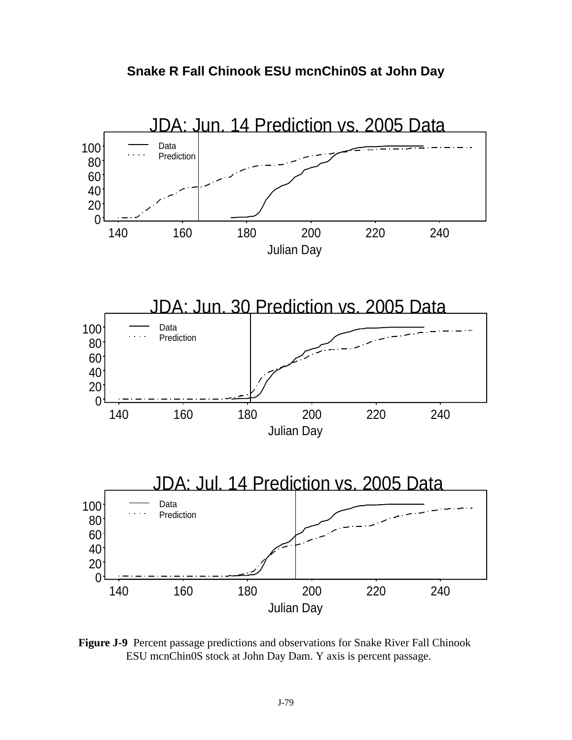



 **Figure J-9** Percent passage predictions and observations for Snake River Fall Chinook ESU mcnChin0S stock at John Day Dam. Y axis is percent passage.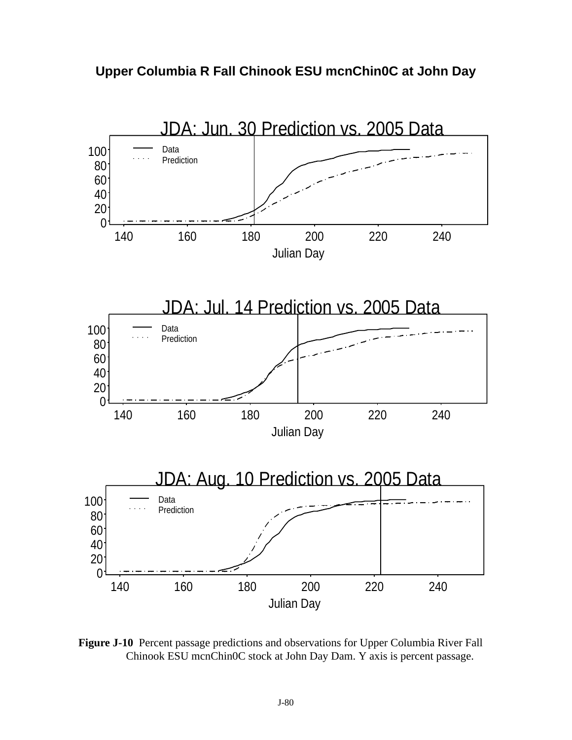



 **Figure J-10** Percent passage predictions and observations for Upper Columbia River Fall Chinook ESU mcnChin0C stock at John Day Dam. Y axis is percent passage.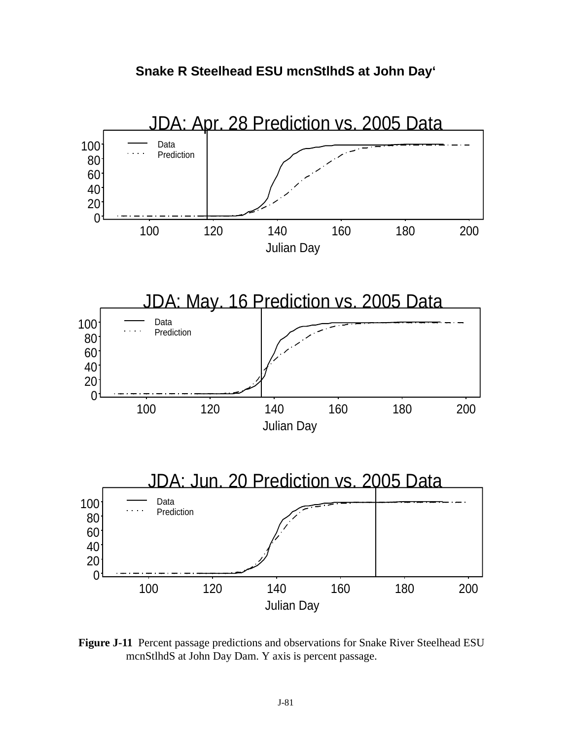



 **Figure J-11** Percent passage predictions and observations for Snake River Steelhead ESU mcnStlhdS at John Day Dam. Y axis is percent passage.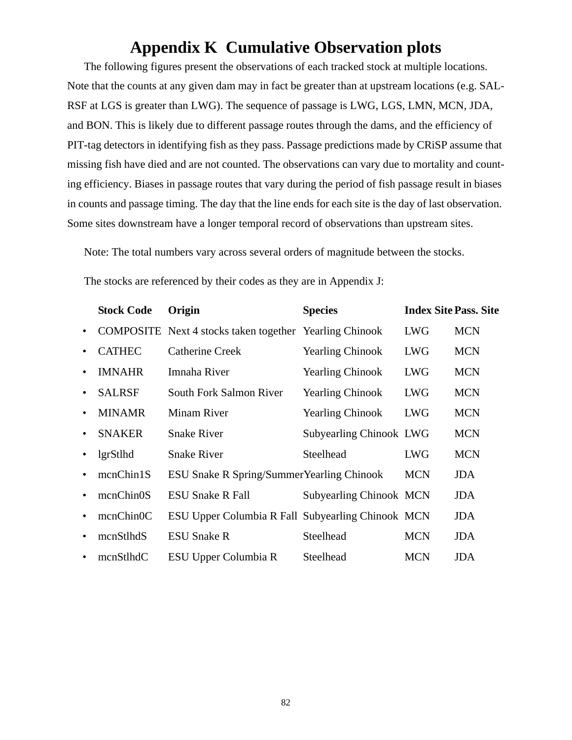## **Appendix K Cumulative Observation plots**

The following figures present the observations of each tracked stock at multiple locations. Note that the counts at any given dam may in fact be greater than at upstream locations (e.g. SAL-RSF at LGS is greater than LWG). The sequence of passage is LWG, LGS, LMN, MCN, JDA, and BON. This is likely due to different passage routes through the dams, and the efficiency of PIT-tag detectors in identifying fish as they pass. Passage predictions made by CRiSP assume that missing fish have died and are not counted. The observations can vary due to mortality and counting efficiency. Biases in passage routes that vary during the period of fish passage result in biases in counts and passage timing. The day that the line ends for each site is the day of last observation. Some sites downstream have a longer temporal record of observations than upstream sites.

Note: The total numbers vary across several orders of magnitude between the stocks.

The stocks are referenced by their codes as they are in [Appendix J:](#page-70-0)

|           | <b>Stock Code</b> | Origin                                                         | <b>Species</b>                 | <b>Index Site Pass. Site</b> |            |
|-----------|-------------------|----------------------------------------------------------------|--------------------------------|------------------------------|------------|
| $\bullet$ |                   | <b>COMPOSITE</b> Next 4 stocks taken together Yearling Chinook |                                | <b>LWG</b>                   | <b>MCN</b> |
| $\bullet$ | <b>CATHEC</b>     | <b>Catherine Creek</b>                                         | <b>Yearling Chinook</b>        | <b>LWG</b>                   | <b>MCN</b> |
|           | <b>IMNAHR</b>     | Imnaha River                                                   | <b>Yearling Chinook</b>        | <b>LWG</b>                   | <b>MCN</b> |
| $\bullet$ | <b>SALRSF</b>     | South Fork Salmon River                                        | <b>Yearling Chinook</b>        | <b>LWG</b>                   | <b>MCN</b> |
| $\bullet$ | <b>MINAMR</b>     | <b>Minam River</b>                                             | <b>Yearling Chinook</b>        | <b>LWG</b>                   | <b>MCN</b> |
| $\bullet$ | <b>SNAKER</b>     | <b>Snake River</b>                                             | <b>Subyearling Chinook LWG</b> |                              | <b>MCN</b> |
|           | lgrStlhd          | <b>Snake River</b>                                             | Steelhead                      | <b>LWG</b>                   | <b>MCN</b> |
|           | mcnChin1S         | <b>ESU Snake R Spring/Summer Yearling Chinook</b>              |                                | <b>MCN</b>                   | JDA.       |
|           | mcnChin0S         | <b>ESU Snake R Fall</b>                                        | <b>Subyearling Chinook MCN</b> |                              | JDA.       |
|           | mcnChin0C         | ESU Upper Columbia R Fall Subyearling Chinook MCN              |                                |                              | JDA        |
|           | mcnStlhdS         | <b>ESU Snake R</b>                                             | Steelhead                      | <b>MCN</b>                   | <b>JDA</b> |
|           | mcnStlhdC         | ESU Upper Columbia R                                           | Steelhead                      | <b>MCN</b>                   | <b>JDA</b> |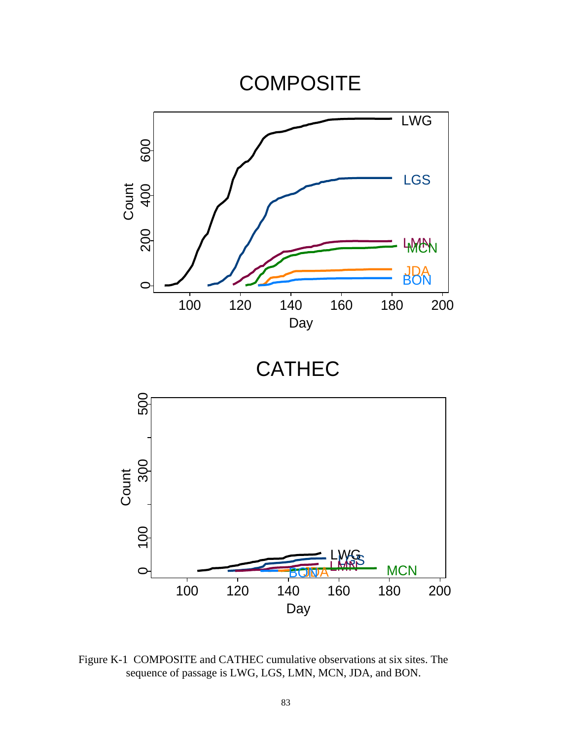

 Figure K-1 COMPOSITE and CATHEC cumulative observations at six sites. The sequence of passage is LWG, LGS, LMN, MCN, JDA, and BON.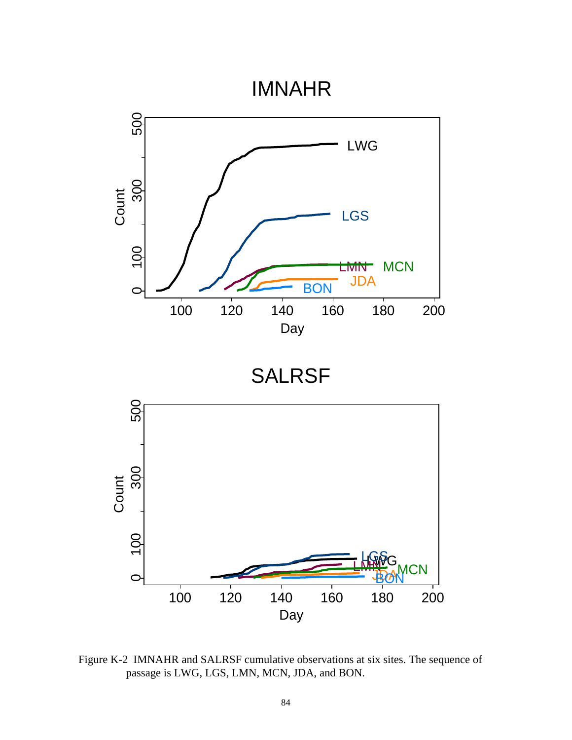## IMNAHR



 Figure K-2 IMNAHR and SALRSF cumulative observations at six sites. The sequence of passage is LWG, LGS, LMN, MCN, JDA, and BON.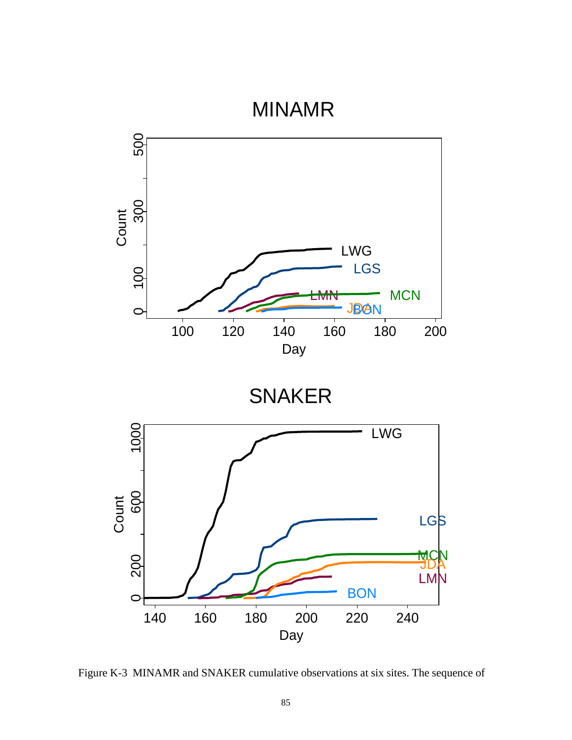## MINAMR



Figure K-3 MINAMR and SNAKER cumulative observations at six sites. The sequence of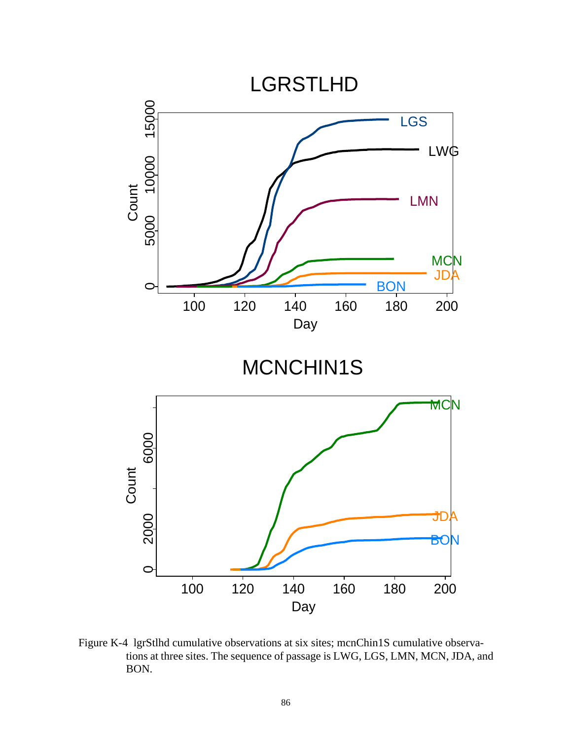

 Figure K-4 lgrStlhd cumulative observations at six sites; mcnChin1S cumulative observations at three sites. The sequence of passage is LWG, LGS, LMN, MCN, JDA, and BON.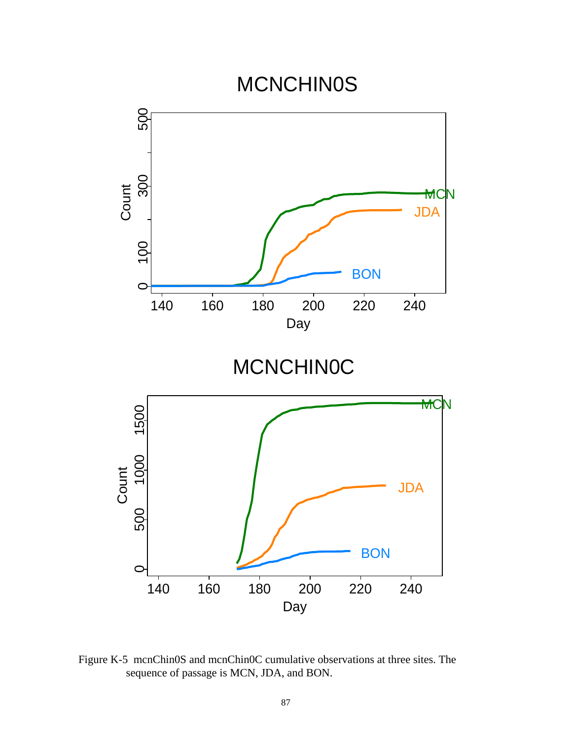

 Figure K-5 mcnChin0S and mcnChin0C cumulative observations at three sites. The sequence of passage is MCN, JDA, and BON.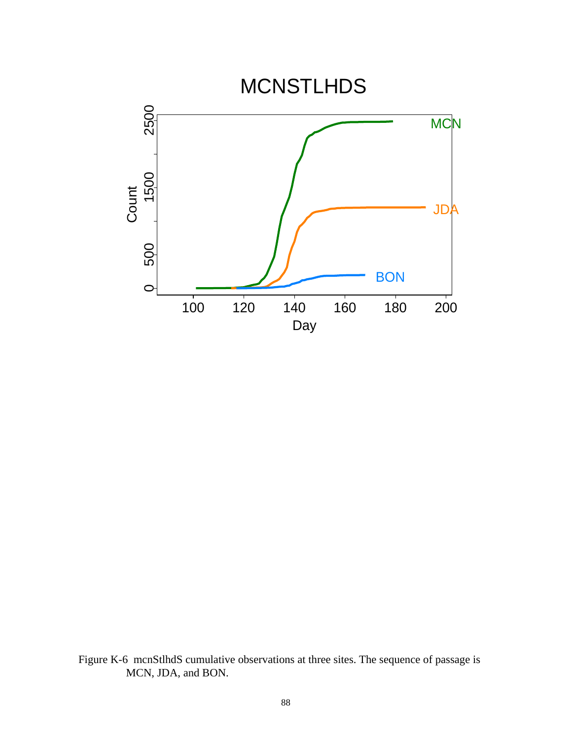

 Figure K-6 mcnStlhdS cumulative observations at three sites. The sequence of passage is MCN, JDA, and BON.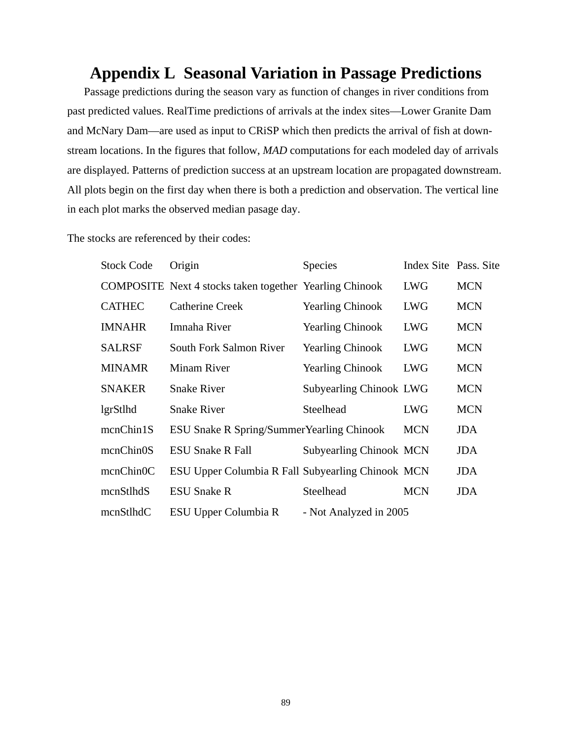## **Appendix L Seasonal Variation in Passage Predictions**

Passage predictions during the season vary as function of changes in river conditions from past predicted values. RealTime predictions of arrivals at the index sites—Lower Granite Dam and McNary Dam—are used as input to CRiSP which then predicts the arrival of fish at downstream locations. In the figures that follow, *MAD* computations for each modeled day of arrivals are displayed. Patterns of prediction success at an upstream location are propagated downstream. All plots begin on the first day when there is both a prediction and observation. The vertical line in each plot marks the observed median pasage day.

The stocks are referenced by their codes:

| <b>Stock Code</b> | Origin                                                         | <b>Species</b>                 | Index Site Pass. Site |            |
|-------------------|----------------------------------------------------------------|--------------------------------|-----------------------|------------|
|                   | <b>COMPOSITE</b> Next 4 stocks taken together Yearling Chinook |                                | <b>LWG</b>            | <b>MCN</b> |
| <b>CATHEC</b>     | <b>Catherine Creek</b>                                         | <b>Yearling Chinook</b>        | <b>LWG</b>            | <b>MCN</b> |
| <b>IMNAHR</b>     | Imnaha River                                                   | <b>Yearling Chinook</b>        | <b>LWG</b>            | <b>MCN</b> |
| <b>SALRSF</b>     | South Fork Salmon River                                        | <b>Yearling Chinook</b>        | <b>LWG</b>            | <b>MCN</b> |
| <b>MINAMR</b>     | <b>Minam River</b>                                             | <b>Yearling Chinook</b>        | <b>LWG</b>            | <b>MCN</b> |
| <b>SNAKER</b>     | <b>Snake River</b>                                             | <b>Subyearling Chinook LWG</b> |                       | <b>MCN</b> |
| lgrStlhd          | <b>Snake River</b>                                             | Steelhead                      | <b>LWG</b>            | <b>MCN</b> |
| mcnChin1S         | ESU Snake R Spring/Summer Yearling Chinook                     |                                | <b>MCN</b>            | <b>JDA</b> |
| mcnChin0S         | <b>ESU Snake R Fall</b>                                        | <b>Subyearling Chinook MCN</b> |                       | JDA        |
| mcnChin0C         | ESU Upper Columbia R Fall Subyearling Chinook MCN              |                                |                       | JDA        |
| mcnStlhdS         | <b>ESU Snake R</b>                                             | Steelhead                      | <b>MCN</b>            | JDA        |
| mcnStlhdC         | ESU Upper Columbia R                                           | - Not Analyzed in 2005         |                       |            |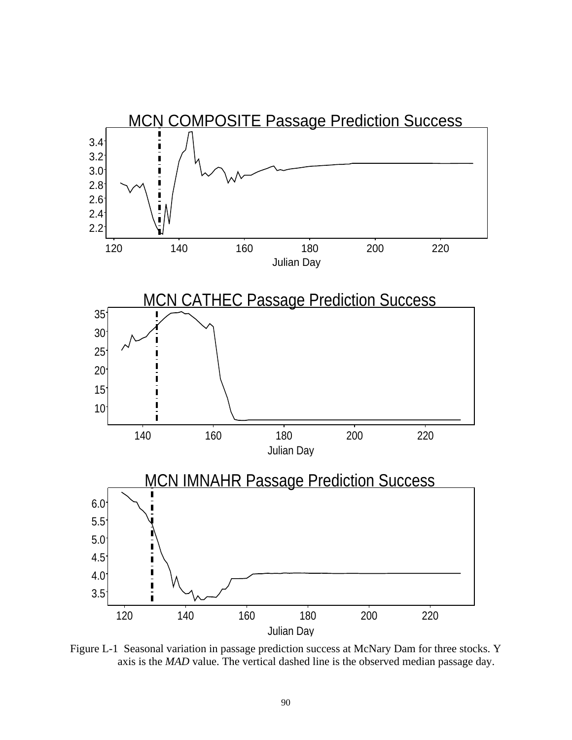

 Figure L-1 Seasonal variation in passage prediction success at McNary Dam for three stocks. Y axis is the *MAD* value. The vertical dashed line is the observed median passage day.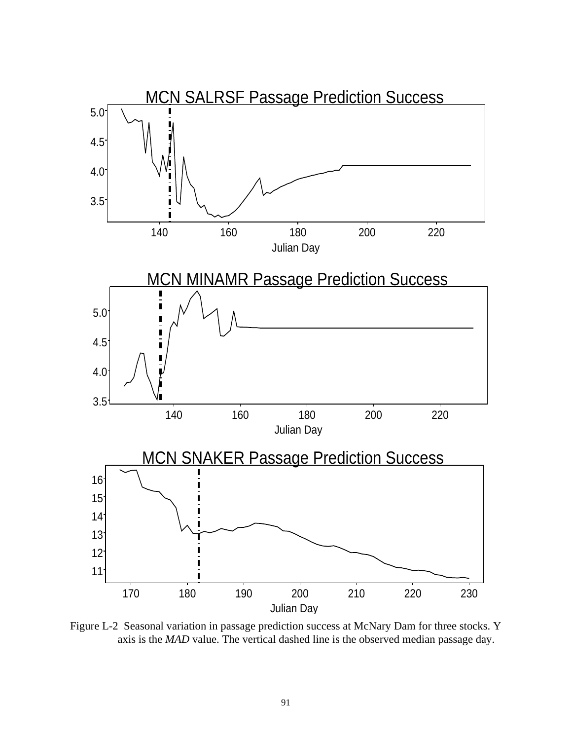

 Figure L-2 Seasonal variation in passage prediction success at McNary Dam for three stocks. Y axis is the *MAD* value. The vertical dashed line is the observed median passage day.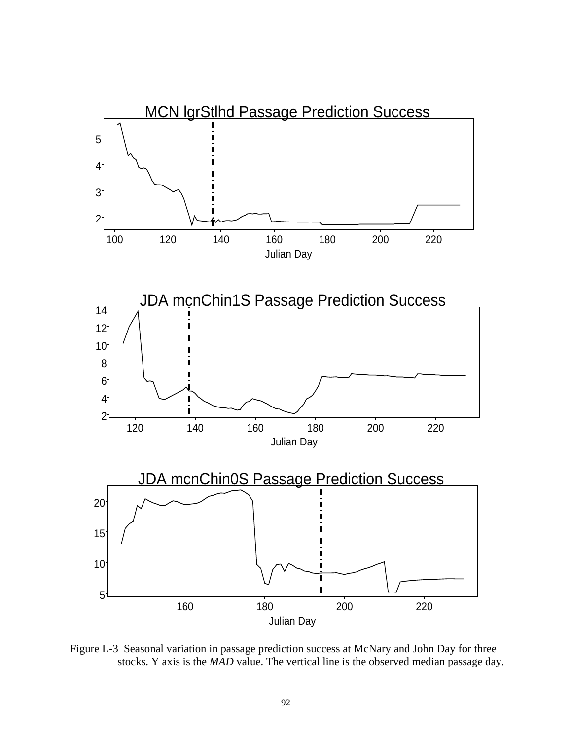

 Figure L-3 Seasonal variation in passage prediction success at McNary and John Day for three stocks. Y axis is the *MAD* value. The vertical line is the observed median passage day.